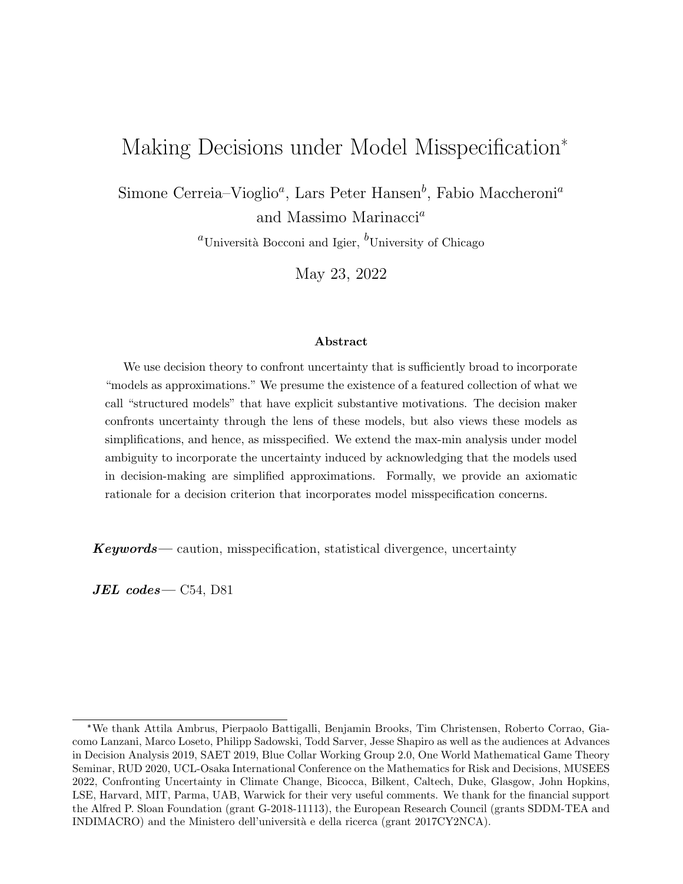# Making Decisions under Model Misspecification\*

Simone Cerreia–Vioglio<sup>a</sup>, Lars Peter Hansen<sup>b</sup>, Fabio Maccheroni<sup>a</sup> and Massimo Marinacci<sup>a</sup>

<sup>a</sup>Università Bocconi and Igier, <sup>b</sup>University of Chicago

May 23, 2022

#### Abstract

We use decision theory to confront uncertainty that is sufficiently broad to incorporate "models as approximations." We presume the existence of a featured collection of what we call "structured models" that have explicit substantive motivations. The decision maker confronts uncertainty through the lens of these models, but also views these models as simplifications, and hence, as misspecified. We extend the max-min analysis under model ambiguity to incorporate the uncertainty induced by acknowledging that the models used in decision-making are simplified approximations. Formally, we provide an axiomatic rationale for a decision criterion that incorporates model misspecification concerns.

 $Keywords$ — caution, misspecification, statistical divergence, uncertainty

 $JEL$  codes  $-$  C54, D81

<sup>\*</sup>We thank Attila Ambrus, Pierpaolo Battigalli, Benjamin Brooks, Tim Christensen, Roberto Corrao, Giacomo Lanzani, Marco Loseto, Philipp Sadowski, Todd Sarver, Jesse Shapiro as well as the audiences at Advances in Decision Analysis 2019, SAET 2019, Blue Collar Working Group 2.0, One World Mathematical Game Theory Seminar, RUD 2020, UCL-Osaka International Conference on the Mathematics for Risk and Decisions, MUSEES 2022, Confronting Uncertainty in Climate Change, Bicocca, Bilkent, Caltech, Duke, Glasgow, John Hopkins, LSE, Harvard, MIT, Parma, UAB, Warwick for their very useful comments. We thank for the financial support the Alfred P. Sloan Foundation (grant G-2018-11113), the European Research Council (grants SDDM-TEA and INDIMACRO) and the Ministero dell'universit`a e della ricerca (grant 2017CY2NCA).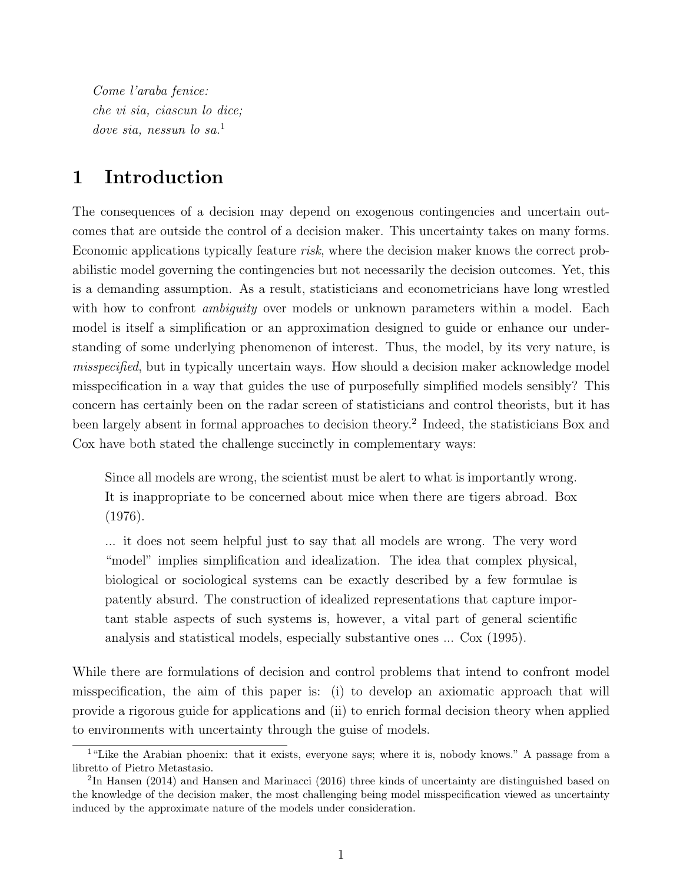Come l'araba fenice: che vi sia, ciascun lo dice; dove sia, nessun lo sa.<sup>1</sup>

### 1 Introduction

The consequences of a decision may depend on exogenous contingencies and uncertain outcomes that are outside the control of a decision maker. This uncertainty takes on many forms. Economic applications typically feature risk, where the decision maker knows the correct probabilistic model governing the contingencies but not necessarily the decision outcomes. Yet, this is a demanding assumption. As a result, statisticians and econometricians have long wrestled with how to confront *ambiguity* over models or unknown parameters within a model. Each model is itself a simplification or an approximation designed to guide or enhance our understanding of some underlying phenomenon of interest. Thus, the model, by its very nature, is misspecified, but in typically uncertain ways. How should a decision maker acknowledge model misspecification in a way that guides the use of purposefully simplified models sensibly? This concern has certainly been on the radar screen of statisticians and control theorists, but it has been largely absent in formal approaches to decision theory.<sup>2</sup> Indeed, the statisticians Box and Cox have both stated the challenge succinctly in complementary ways:

Since all models are wrong, the scientist must be alert to what is importantly wrong. It is inappropriate to be concerned about mice when there are tigers abroad. Box (1976).

... it does not seem helpful just to say that all models are wrong. The very word "model" implies simplification and idealization. The idea that complex physical, biological or sociological systems can be exactly described by a few formulae is patently absurd. The construction of idealized representations that capture important stable aspects of such systems is, however, a vital part of general scientific analysis and statistical models, especially substantive ones ... Cox (1995).

While there are formulations of decision and control problems that intend to confront model misspecification, the aim of this paper is: (i) to develop an axiomatic approach that will provide a rigorous guide for applications and (ii) to enrich formal decision theory when applied to environments with uncertainty through the guise of models.

<sup>&</sup>lt;sup>1</sup>"Like the Arabian phoenix: that it exists, everyone says; where it is, nobody knows." A passage from a libretto of Pietro Metastasio.

 ${}^{2}$ In Hansen (2014) and Hansen and Marinacci (2016) three kinds of uncertainty are distinguished based on the knowledge of the decision maker, the most challenging being model misspecification viewed as uncertainty induced by the approximate nature of the models under consideration.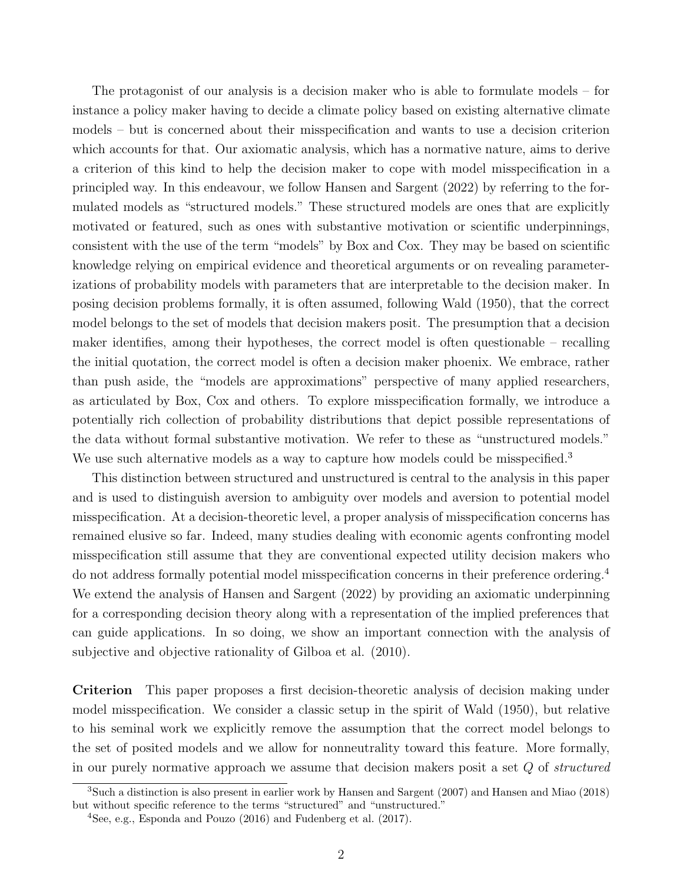The protagonist of our analysis is a decision maker who is able to formulate models – for instance a policy maker having to decide a climate policy based on existing alternative climate models – but is concerned about their misspecification and wants to use a decision criterion which accounts for that. Our axiomatic analysis, which has a normative nature, aims to derive a criterion of this kind to help the decision maker to cope with model misspecification in a principled way. In this endeavour, we follow Hansen and Sargent (2022) by referring to the formulated models as "structured models." These structured models are ones that are explicitly motivated or featured, such as ones with substantive motivation or scientific underpinnings, consistent with the use of the term "models" by Box and Cox. They may be based on scientific knowledge relying on empirical evidence and theoretical arguments or on revealing parameterizations of probability models with parameters that are interpretable to the decision maker. In posing decision problems formally, it is often assumed, following Wald (1950), that the correct model belongs to the set of models that decision makers posit. The presumption that a decision maker identifies, among their hypotheses, the correct model is often questionable – recalling the initial quotation, the correct model is often a decision maker phoenix. We embrace, rather than push aside, the "models are approximations" perspective of many applied researchers, as articulated by Box, Cox and others. To explore misspecification formally, we introduce a potentially rich collection of probability distributions that depict possible representations of the data without formal substantive motivation. We refer to these as "unstructured models." We use such alternative models as a way to capture how models could be misspecified.<sup>3</sup>

This distinction between structured and unstructured is central to the analysis in this paper and is used to distinguish aversion to ambiguity over models and aversion to potential model misspecification. At a decision-theoretic level, a proper analysis of misspecification concerns has remained elusive so far. Indeed, many studies dealing with economic agents confronting model misspecification still assume that they are conventional expected utility decision makers who do not address formally potential model misspecification concerns in their preference ordering.<sup>4</sup> We extend the analysis of Hansen and Sargent (2022) by providing an axiomatic underpinning for a corresponding decision theory along with a representation of the implied preferences that can guide applications. In so doing, we show an important connection with the analysis of subjective and objective rationality of Gilboa et al. (2010).

Criterion This paper proposes a first decision-theoretic analysis of decision making under model misspecification. We consider a classic setup in the spirit of Wald (1950), but relative to his seminal work we explicitly remove the assumption that the correct model belongs to the set of posited models and we allow for nonneutrality toward this feature. More formally, in our purely normative approach we assume that decision makers posit a set Q of structured

<sup>3</sup>Such a distinction is also present in earlier work by Hansen and Sargent (2007) and Hansen and Miao (2018) but without specific reference to the terms "structured" and "unstructured."

<sup>&</sup>lt;sup>4</sup>See, e.g., Esponda and Pouzo  $(2016)$  and Fudenberg et al.  $(2017)$ .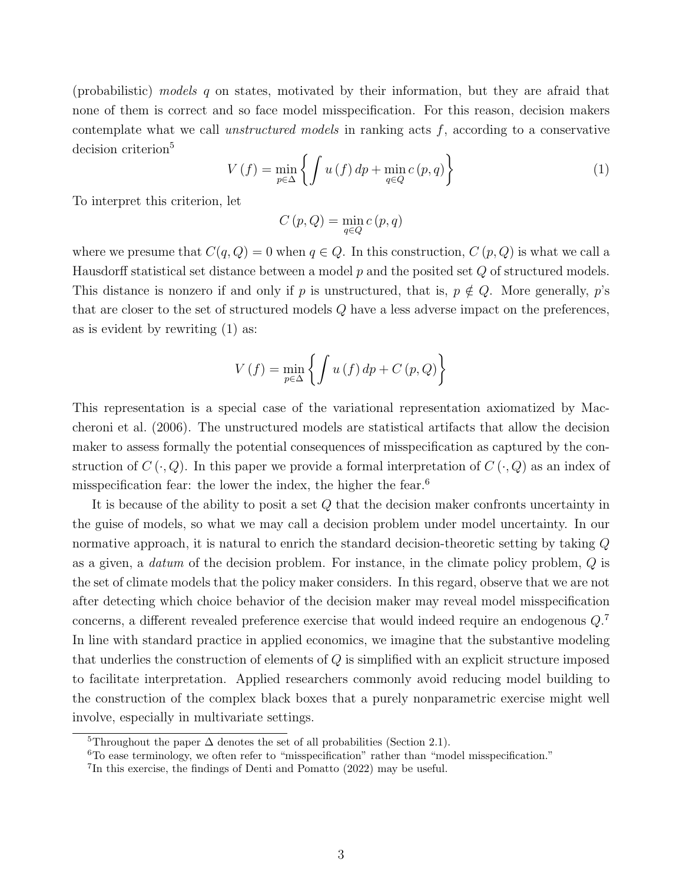(probabilistic) models q on states, motivated by their information, but they are afraid that none of them is correct and so face model misspecification. For this reason, decision makers contemplate what we call *unstructured models* in ranking acts  $f$ , according to a conservative decision criterion<sup>5</sup>

$$
V(f) = \min_{p \in \Delta} \left\{ \int u(f) \, dp + \min_{q \in Q} c(p, q) \right\} \tag{1}
$$

To interpret this criterion, let

$$
C\left( p,Q\right) =\min_{q\in Q}\boldsymbol{c}\left( p,q\right)
$$

where we presume that  $C(q,Q) = 0$  when  $q \in Q$ . In this construction,  $C(p,Q)$  is what we call a Hausdorff statistical set distance between a model  $p$  and the posited set  $Q$  of structured models. This distance is nonzero if and only if p is unstructured, that is,  $p \notin Q$ . More generally, p's that are closer to the set of structured models Q have a less adverse impact on the preferences, as is evident by rewriting (1) as:

$$
V(f) = \min_{p \in \Delta} \left\{ \int u(f) \, dp + C(p, Q) \right\}
$$

This representation is a special case of the variational representation axiomatized by Maccheroni et al. (2006). The unstructured models are statistical artifacts that allow the decision maker to assess formally the potential consequences of misspecification as captured by the construction of  $C(\cdot, Q)$ . In this paper we provide a formal interpretation of  $C(\cdot, Q)$  as an index of misspecification fear: the lower the index, the higher the fear.<sup>6</sup>

It is because of the ability to posit a set Q that the decision maker confronts uncertainty in the guise of models, so what we may call a decision problem under model uncertainty. In our normative approach, it is natural to enrich the standard decision-theoretic setting by taking Q as a given, a *datum* of the decision problem. For instance, in the climate policy problem,  $Q$  is the set of climate models that the policy maker considers. In this regard, observe that we are not after detecting which choice behavior of the decision maker may reveal model misspecification concerns, a different revealed preference exercise that would indeed require an endogenous  $Q$ .<sup>7</sup> In line with standard practice in applied economics, we imagine that the substantive modeling that underlies the construction of elements of Q is simplified with an explicit structure imposed to facilitate interpretation. Applied researchers commonly avoid reducing model building to the construction of the complex black boxes that a purely nonparametric exercise might well involve, especially in multivariate settings.

<sup>&</sup>lt;sup>5</sup>Throughout the paper  $\Delta$  denotes the set of all probabilities (Section 2.1).

<sup>6</sup>To ease terminology, we often refer to "misspecification" rather than "model misspecification."

<sup>7</sup> In this exercise, the findings of Denti and Pomatto (2022) may be useful.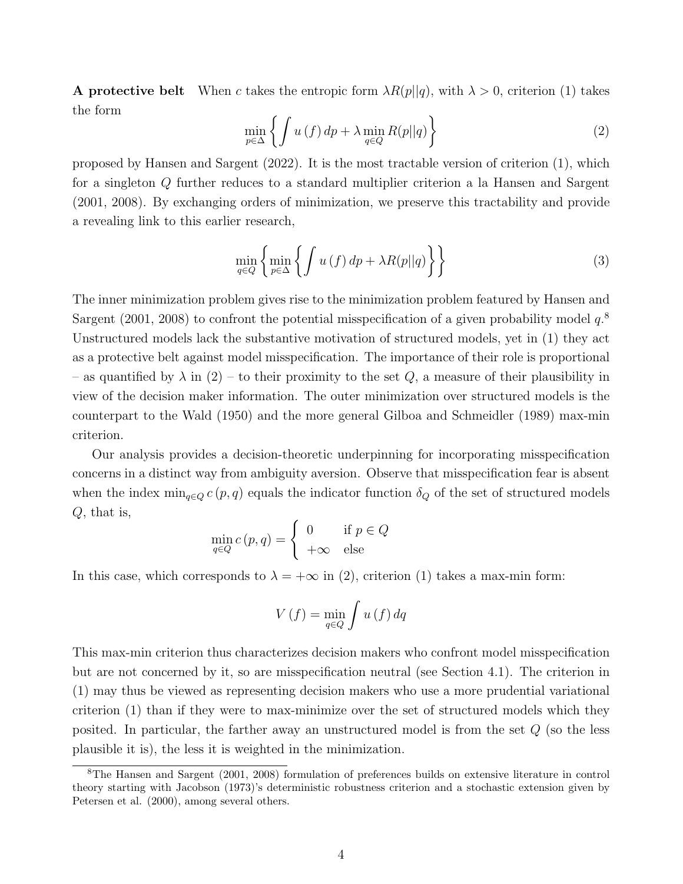**A protective belt** When c takes the entropic form  $\lambda R(p||q)$ , with  $\lambda > 0$ , criterion (1) takes the form

$$
\min_{p \in \Delta} \left\{ \int u(f) \, dp + \lambda \min_{q \in Q} R(p||q) \right\} \tag{2}
$$

proposed by Hansen and Sargent (2022). It is the most tractable version of criterion (1), which for a singleton Q further reduces to a standard multiplier criterion a la Hansen and Sargent (2001, 2008). By exchanging orders of minimization, we preserve this tractability and provide a revealing link to this earlier research,

$$
\min_{q \in Q} \left\{ \min_{p \in \Delta} \left\{ \int u(f) \, dp + \lambda R(p||q) \right\} \right\} \tag{3}
$$

The inner minimization problem gives rise to the minimization problem featured by Hansen and Sargent (2001, 2008) to confront the potential misspecification of a given probability model  $q$ <sup>8</sup> Unstructured models lack the substantive motivation of structured models, yet in (1) they act as a protective belt against model misspecification. The importance of their role is proportional – as quantified by  $\lambda$  in (2) – to their proximity to the set Q, a measure of their plausibility in view of the decision maker information. The outer minimization over structured models is the counterpart to the Wald (1950) and the more general Gilboa and Schmeidler (1989) max-min criterion.

Our analysis provides a decision-theoretic underpinning for incorporating misspecification concerns in a distinct way from ambiguity aversion. Observe that misspecification fear is absent when the index  $\min_{q \in Q} c(p, q)$  equals the indicator function  $\delta_Q$  of the set of structured models Q, that is,

$$
\min_{q \in Q} c(p, q) = \begin{cases} 0 & \text{if } p \in Q \\ +\infty & \text{else} \end{cases}
$$

In this case, which corresponds to  $\lambda = +\infty$  in (2), criterion (1) takes a max-min form:

$$
V(f) = \min_{q \in Q} \int u(f) \, dq
$$

This max-min criterion thus characterizes decision makers who confront model misspecification but are not concerned by it, so are misspecification neutral (see Section 4.1). The criterion in (1) may thus be viewed as representing decision makers who use a more prudential variational criterion (1) than if they were to max-minimize over the set of structured models which they posited. In particular, the farther away an unstructured model is from the set Q (so the less plausible it is), the less it is weighted in the minimization.

<sup>8</sup>The Hansen and Sargent (2001, 2008) formulation of preferences builds on extensive literature in control theory starting with Jacobson (1973)'s deterministic robustness criterion and a stochastic extension given by Petersen et al. (2000), among several others.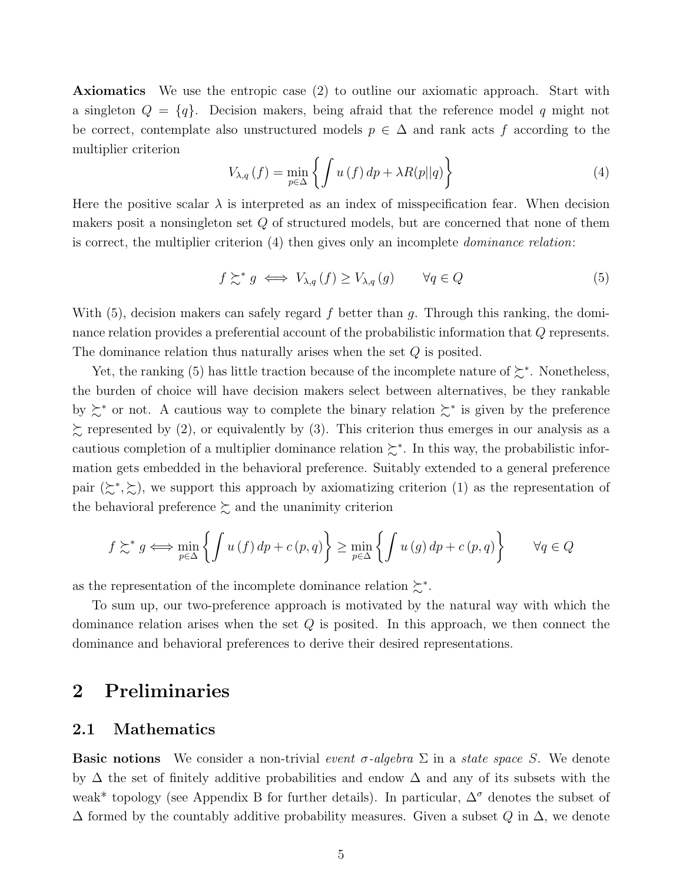Axiomatics We use the entropic case (2) to outline our axiomatic approach. Start with a singleton  $Q = \{q\}$ . Decision makers, being afraid that the reference model q might not be correct, contemplate also unstructured models  $p \in \Delta$  and rank acts f according to the multiplier criterion

$$
V_{\lambda,q}(f) = \min_{p \in \Delta} \left\{ \int u(f) \, dp + \lambda R(p||q) \right\} \tag{4}
$$

Here the positive scalar  $\lambda$  is interpreted as an index of misspecification fear. When decision makers posit a nonsingleton set Q of structured models, but are concerned that none of them is correct, the multiplier criterion (4) then gives only an incomplete dominance relation:

$$
f \succsim^* g \iff V_{\lambda,q}(f) \ge V_{\lambda,q}(g) \qquad \forall q \in Q \tag{5}
$$

With  $(5)$ , decision makers can safely regard f better than q. Through this ranking, the dominance relation provides a preferential account of the probabilistic information that Q represents. The dominance relation thus naturally arises when the set Q is posited.

Yet, the ranking (5) has little traction because of the incomplete nature of  $\succeq^*$ . Nonetheless, the burden of choice will have decision makers select between alternatives, be they rankable by ≿<sup>∗</sup> or not. A cautious way to complete the binary relation ≿<sup>∗</sup> is given by the preference  $\lesssim$  represented by (2), or equivalently by (3). This criterion thus emerges in our analysis as a cautious completion of a multiplier dominance relation  $\succeq^*$ . In this way, the probabilistic information gets embedded in the behavioral preference. Suitably extended to a general preference pair  $(\succsim^*, \succsim)$ , we support this approach by axiomatizing criterion (1) as the representation of the behavioral preference  $\succsim$  and the unanimity criterion

$$
f \gtrsim^* g \iff \min_{p \in \Delta} \left\{ \int u(f) \, dp + c(p, q) \right\} \ge \min_{p \in \Delta} \left\{ \int u(g) \, dp + c(p, q) \right\} \quad \forall q \in Q
$$

as the representation of the incomplete dominance relation  $\succsim^*$ .

To sum up, our two-preference approach is motivated by the natural way with which the dominance relation arises when the set Q is posited. In this approach, we then connect the dominance and behavioral preferences to derive their desired representations.

# 2 Preliminaries

### 2.1 Mathematics

**Basic notions** We consider a non-trivial event  $\sigma$ -algebra  $\Sigma$  in a state space S. We denote by ∆ the set of finitely additive probabilities and endow ∆ and any of its subsets with the weak<sup>\*</sup> topology (see Appendix B for further details). In particular,  $\Delta^{\sigma}$  denotes the subset of  $\Delta$  formed by the countably additive probability measures. Given a subset Q in  $\Delta$ , we denote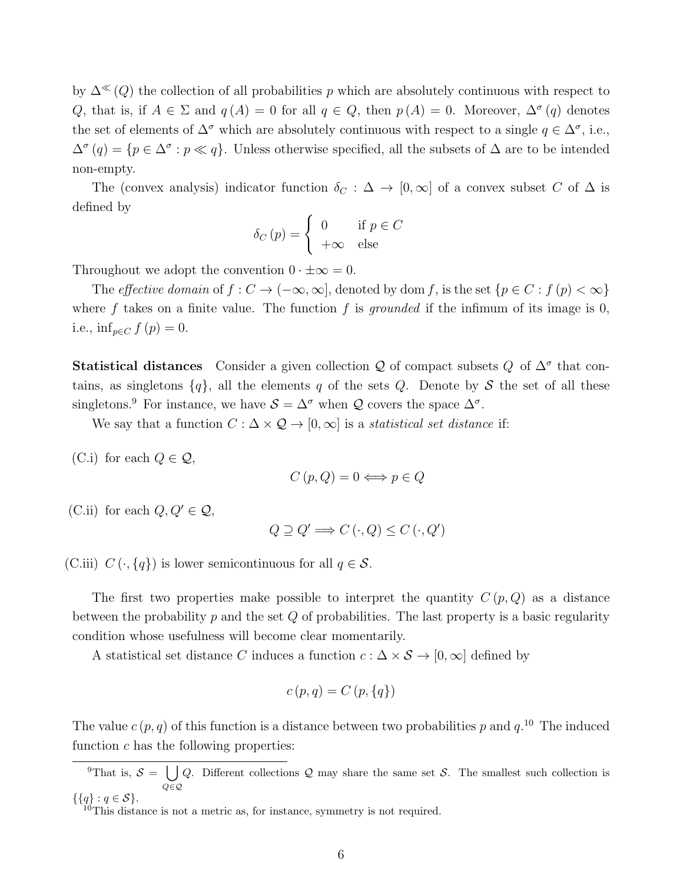by  $\Delta^{\ll}(Q)$  the collection of all probabilities p which are absolutely continuous with respect to Q, that is, if  $A \in \Sigma$  and  $q(A) = 0$  for all  $q \in Q$ , then  $p(A) = 0$ . Moreover,  $\Delta^{\sigma}(q)$  denotes the set of elements of  $\Delta^{\sigma}$  which are absolutely continuous with respect to a single  $q \in \Delta^{\sigma}$ , i.e.,  $\Delta^{\sigma}(q) = \{p \in \Delta^{\sigma} : p \ll q\}.$  Unless otherwise specified, all the subsets of  $\Delta$  are to be intended non-empty.

The (convex analysis) indicator function  $\delta_C : \Delta \to [0,\infty]$  of a convex subset C of  $\Delta$  is defined by

$$
\delta_C(p) = \begin{cases} 0 & \text{if } p \in C \\ +\infty & \text{else} \end{cases}
$$

Throughout we adopt the convention  $0 \cdot \pm \infty = 0$ .

The effective domain of  $f: C \to (-\infty, \infty]$ , denoted by dom f, is the set  $\{p \in C : f(p) < \infty\}$ where f takes on a finite value. The function f is grounded if the infimum of its image is  $0$ , i.e.,  $\inf_{p \in C} f(p) = 0$ .

**Statistical distances** Consider a given collection Q of compact subsets Q of  $\Delta^{\sigma}$  that contains, as singletons  $\{q\}$ , all the elements q of the sets Q. Denote by S the set of all these singletons.<sup>9</sup> For instance, we have  $S = \Delta^{\sigma}$  when Q covers the space  $\Delta^{\sigma}$ .

We say that a function  $C : \Delta \times \mathcal{Q} \to [0, \infty]$  is a *statistical set distance* if:

(C.i) for each  $Q \in \mathcal{Q}$ ,

$$
C(p,Q) = 0 \Longleftrightarrow p \in Q
$$

(C.ii) for each  $Q, Q' \in \mathcal{Q}$ ,

$$
Q \supseteq Q' \Longrightarrow C(\cdot, Q) \leq C(\cdot, Q')
$$

(C.iii)  $C(\cdot, \{q\})$  is lower semicontinuous for all  $q \in \mathcal{S}$ .

The first two properties make possible to interpret the quantity  $C(p,Q)$  as a distance between the probability p and the set  $Q$  of probabilities. The last property is a basic regularity condition whose usefulness will become clear momentarily.

A statistical set distance C induces a function  $c : \Delta \times S \to [0, \infty]$  defined by

$$
c(p,q) = C(p,\{q\})
$$

The value  $c(p, q)$  of this function is a distance between two probabilities p and  $q$ .<sup>10</sup> The induced function  $c$  has the following properties:

<sup>&</sup>lt;sup>9</sup>That is,  $S = \begin{bmatrix} \end{bmatrix}$ Q∈Q Q. Different collections Q may share the same set S. The smallest such collection is  $\{\{q\} : q \in S\}.$ 

 $10$ This distance is not a metric as, for instance, symmetry is not required.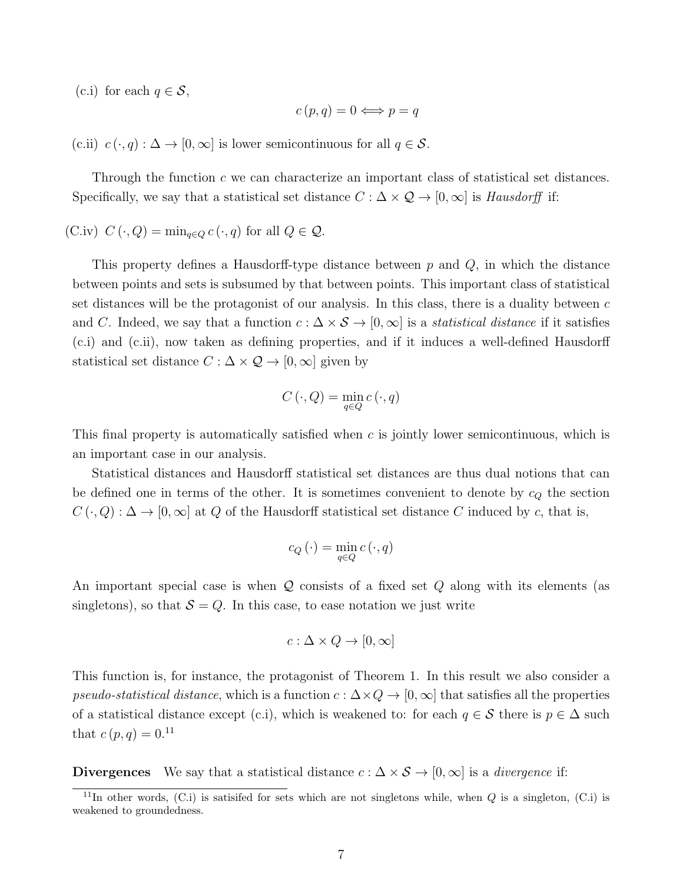(c.i) for each  $q \in \mathcal{S}$ ,

$$
c(p,q) = 0 \Longleftrightarrow p = q
$$

(c.ii)  $c(\cdot, q): \Delta \to [0, \infty]$  is lower semicontinuous for all  $q \in \mathcal{S}$ .

Through the function c we can characterize an important class of statistical set distances. Specifically, we say that a statistical set distance  $C : \Delta \times \mathcal{Q} \to [0, \infty]$  is Hausdorff if:

(C.iv)  $C(\cdot, Q) = \min_{q \in Q} c(\cdot, q)$  for all  $Q \in \mathcal{Q}$ .

This property defines a Hausdorff-type distance between  $p$  and  $Q$ , in which the distance between points and sets is subsumed by that between points. This important class of statistical set distances will be the protagonist of our analysis. In this class, there is a duality between  $c$ and C. Indeed, we say that a function  $c : \Delta \times S \to [0, \infty]$  is a *statistical distance* if it satisfies (c.i) and (c.ii), now taken as defining properties, and if it induces a well-defined Hausdorff statistical set distance  $C : \Delta \times \mathcal{Q} \rightarrow [0, \infty]$  given by

$$
C(\cdot, Q) = \min_{q \in Q} c(\cdot, q)
$$

This final property is automatically satisfied when  $c$  is jointly lower semicontinuous, which is an important case in our analysis.

Statistical distances and Hausdorff statistical set distances are thus dual notions that can be defined one in terms of the other. It is sometimes convenient to denote by  $c_Q$  the section  $C(\cdot, Q): \Delta \to [0, \infty]$  at Q of the Hausdorff statistical set distance C induced by c, that is,

$$
c_Q(\cdot) = \min_{q \in Q} c(\cdot, q)
$$

An important special case is when Q consists of a fixed set Q along with its elements (as singletons), so that  $S = Q$ . In this case, to ease notation we just write

$$
c: \Delta \times Q \to [0, \infty]
$$

This function is, for instance, the protagonist of Theorem 1. In this result we also consider a pseudo-statistical distance, which is a function  $c : \Delta \times Q \to [0, \infty]$  that satisfies all the properties of a statistical distance except (c.i), which is weakened to: for each  $q \in \mathcal{S}$  there is  $p \in \Delta$  such that  $c(p, q) = 0.11$ 

**Divergences** We say that a statistical distance  $c : \Delta \times S \rightarrow [0, \infty]$  is a *divergence* if:

 $11$ In other words, (C.i) is satisifed for sets which are not singletons while, when  $Q$  is a singleton, (C.i) is weakened to groundedness.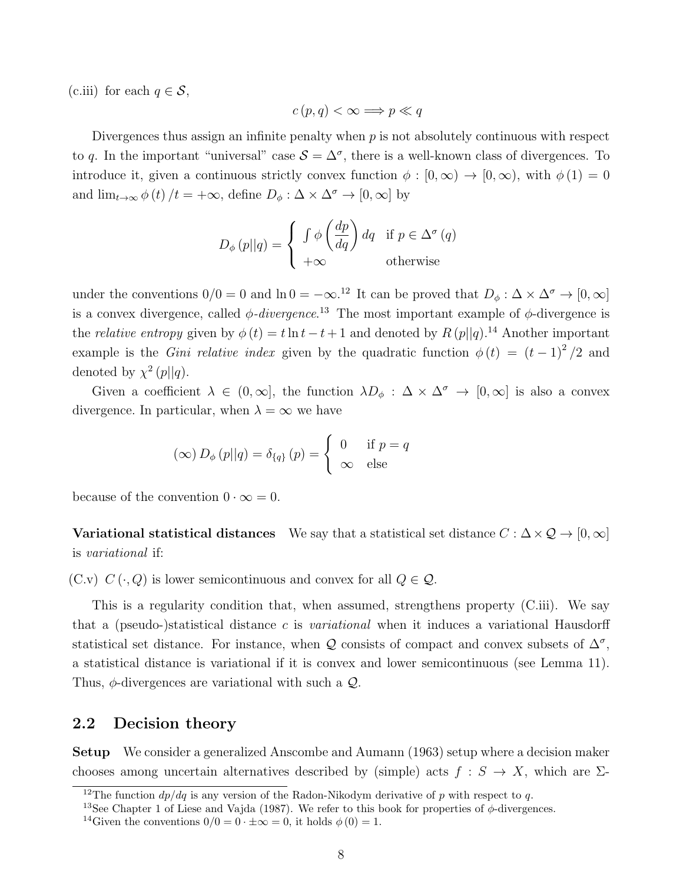(c.iii) for each  $q \in \mathcal{S}$ ,

$$
c(p,q) < \infty \Longrightarrow p \ll q
$$

Divergences thus assign an infinite penalty when  $p$  is not absolutely continuous with respect to q. In the important "universal" case  $S = \Delta^{\sigma}$ , there is a well-known class of divergences. To introduce it, given a continuous strictly convex function  $\phi : [0, \infty) \to [0, \infty)$ , with  $\phi(1) = 0$ and  $\lim_{t\to\infty}\phi(t)/t=+\infty$ , define  $D_\phi:\Delta\times\Delta^\sigma\to[0,\infty]$  by

$$
D_{\phi}(p||q) = \begin{cases} \int \phi\left(\frac{dp}{dq}\right) dq & \text{if } p \in \Delta^{\sigma}(q) \\ +\infty & \text{otherwise} \end{cases}
$$

under the conventions  $0/0 = 0$  and  $\ln 0 = -\infty$ .<sup>12</sup> It can be proved that  $D_{\phi}: \Delta \times \Delta^{\sigma} \to [0, \infty]$ is a convex divergence, called  $\phi$ -divergence.<sup>13</sup> The most important example of  $\phi$ -divergence is the *relative entropy* given by  $\phi(t) = t \ln t - t + 1$  and denoted by  $R(p||q)$ .<sup>14</sup> Another important example is the *Gini relative index* given by the quadratic function  $\phi(t) = (t-1)^2/2$  and denoted by  $\chi^2(p||q)$ .

Given a coefficient  $\lambda \in (0,\infty]$ , the function  $\lambda D_{\phi}: \Delta \times \Delta^{\sigma} \to [0,\infty]$  is also a convex divergence. In particular, when  $\lambda = \infty$  we have

$$
(\infty) D_{\phi}(p||q) = \delta_{\{q\}}(p) = \begin{cases} 0 & \text{if } p = q \\ \infty & \text{else} \end{cases}
$$

because of the convention  $0 \cdot \infty = 0$ .

Variational statistical distances We say that a statistical set distance  $C : \Delta \times \mathcal{Q} \to [0, \infty]$ is variational if:

(C.v)  $C(\cdot, Q)$  is lower semicontinuous and convex for all  $Q \in \mathcal{Q}$ .

This is a regularity condition that, when assumed, strengthens property (C.iii). We say that a (pseudo-)statistical distance  $c$  is *variational* when it induces a variational Hausdorff statistical set distance. For instance, when Q consists of compact and convex subsets of  $\Delta^{\sigma}$ , a statistical distance is variational if it is convex and lower semicontinuous (see Lemma 11). Thus,  $\phi$ -divergences are variational with such a  $\mathcal{Q}$ .

### 2.2 Decision theory

Setup We consider a generalized Anscombe and Aumann (1963) setup where a decision maker chooses among uncertain alternatives described by (simple) acts  $f : S \to X$ , which are  $\Sigma$ -

<sup>&</sup>lt;sup>12</sup>The function  $dp/dq$  is any version of the Radon-Nikodym derivative of p with respect to q.

<sup>&</sup>lt;sup>13</sup>See Chapter 1 of Liese and Vajda (1987). We refer to this book for properties of  $\phi$ -divergences.

<sup>&</sup>lt;sup>14</sup>Given the conventions  $0/0 = 0 \cdot \pm \infty = 0$ , it holds  $\phi(0) = 1$ .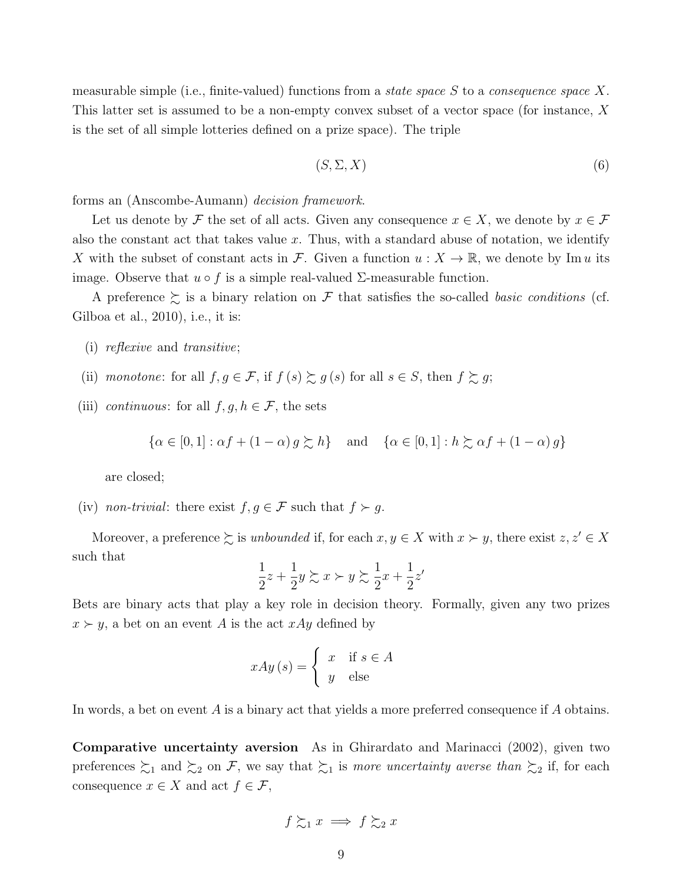measurable simple (i.e., finite-valued) functions from a *state space*  $S$  to a *consequence space*  $X$ . This latter set is assumed to be a non-empty convex subset of a vector space (for instance, X is the set of all simple lotteries defined on a prize space). The triple

$$
(S, \Sigma, X) \tag{6}
$$

forms an (Anscombe-Aumann) decision framework.

Let us denote by F the set of all acts. Given any consequence  $x \in X$ , we denote by  $x \in \mathcal{F}$ also the constant act that takes value x. Thus, with a standard abuse of notation, we identify X with the subset of constant acts in F. Given a function  $u: X \to \mathbb{R}$ , we denote by Im u its image. Observe that  $u \circ f$  is a simple real-valued  $\Sigma$ -measurable function.

A preference  $\succeq$  is a binary relation on F that satisfies the so-called *basic conditions* (cf. Gilboa et al., 2010), i.e., it is:

- (i) reflexive and transitive;
- (ii) monotone: for all  $f, g \in \mathcal{F}$ , if  $f(s) \gtrsim g(s)$  for all  $s \in S$ , then  $f \gtrsim g$ ;
- (iii) continuous: for all  $f, g, h \in \mathcal{F}$ , the sets

$$
\{\alpha \in [0,1] : \alpha f + (1-\alpha) g \succsim h\} \quad \text{and} \quad \{\alpha \in [0,1] : h \succsim \alpha f + (1-\alpha) g\}
$$

are closed;

(iv) non-trivial: there exist  $f, g \in \mathcal{F}$  such that  $f \succ g$ .

Moreover, a preference  $\succeq$  is unbounded if, for each  $x, y \in X$  with  $x \succ y$ , there exist  $z, z' \in X$ such that

$$
\frac{1}{2}z + \frac{1}{2}y \succsim x \succ y \succsim \frac{1}{2}x + \frac{1}{2}z'
$$

Bets are binary acts that play a key role in decision theory. Formally, given any two prizes  $x \succ y$ , a bet on an event A is the act  $xAy$  defined by

$$
xAy(s) = \begin{cases} x & \text{if } s \in A \\ y & \text{else} \end{cases}
$$

In words, a bet on event A is a binary act that yields a more preferred consequence if A obtains.

Comparative uncertainty aversion As in Ghirardato and Marinacci (2002), given two preferences  $\succsim_1$  and  $\succsim_2$  on F, we say that  $\succsim_1$  is more uncertainty averse than  $\succsim_2$  if, for each consequence  $x \in X$  and act  $f \in \mathcal{F}$ ,

$$
f \succsim_1 x \implies f \succsim_2 x
$$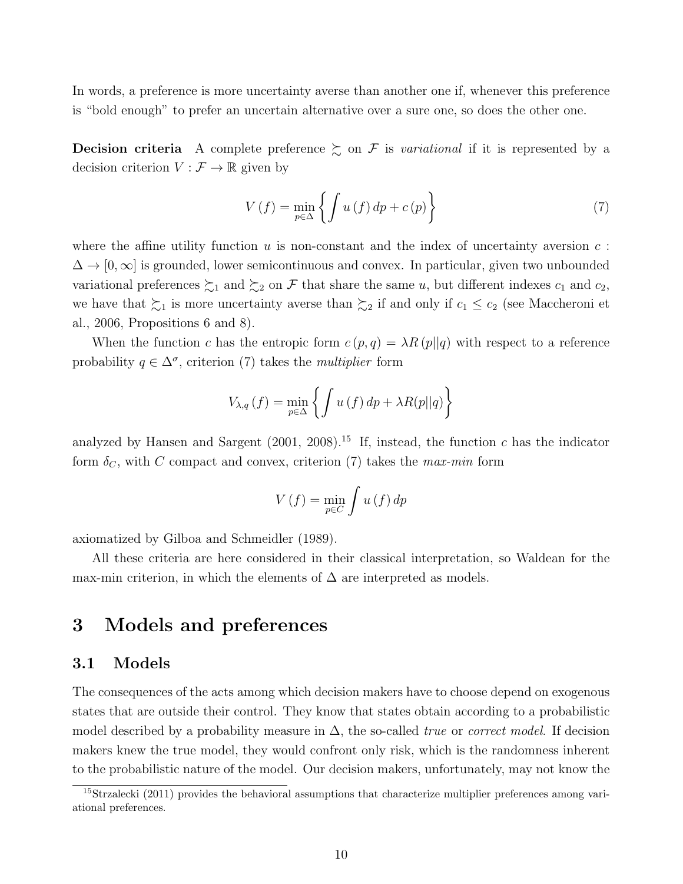In words, a preference is more uncertainty averse than another one if, whenever this preference is "bold enough" to prefer an uncertain alternative over a sure one, so does the other one.

**Decision criteria** A complete preference  $\geq$  on F is variational if it is represented by a decision criterion  $V : \mathcal{F} \to \mathbb{R}$  given by

$$
V(f) = \min_{p \in \Delta} \left\{ \int u(f) \, dp + c(p) \right\} \tag{7}
$$

where the affine utility function  $u$  is non-constant and the index of uncertainty aversion  $c$ :  $\Delta \to [0,\infty]$  is grounded, lower semicontinuous and convex. In particular, given two unbounded variational preferences  $\succsim_1$  and  $\succsim_2$  on F that share the same u, but different indexes  $c_1$  and  $c_2$ , we have that  $\sum_1$  is more uncertainty averse than  $\sum_2$  if and only if  $c_1 \le c_2$  (see Maccheroni et al., 2006, Propositions 6 and 8).

When the function c has the entropic form  $c(p,q) = \lambda R(p||q)$  with respect to a reference probability  $q \in \Delta^{\sigma}$ , criterion (7) takes the *multiplier* form

$$
V_{\lambda,q}(f) = \min_{p \in \Delta} \left\{ \int u(f) dp + \lambda R(p||q) \right\}
$$

analyzed by Hansen and Sargent (2001, 2008).<sup>15</sup> If, instead, the function c has the indicator form  $\delta_C$ , with C compact and convex, criterion (7) takes the max-min form

$$
V(f) = \min_{p \in C} \int u(f) \, dp
$$

axiomatized by Gilboa and Schmeidler (1989).

All these criteria are here considered in their classical interpretation, so Waldean for the max-min criterion, in which the elements of  $\Delta$  are interpreted as models.

# 3 Models and preferences

### 3.1 Models

The consequences of the acts among which decision makers have to choose depend on exogenous states that are outside their control. They know that states obtain according to a probabilistic model described by a probability measure in  $\Delta$ , the so-called *true* or *correct model*. If decision makers knew the true model, they would confront only risk, which is the randomness inherent to the probabilistic nature of the model. Our decision makers, unfortunately, may not know the

<sup>&</sup>lt;sup>15</sup>Strzalecki (2011) provides the behavioral assumptions that characterize multiplier preferences among variational preferences.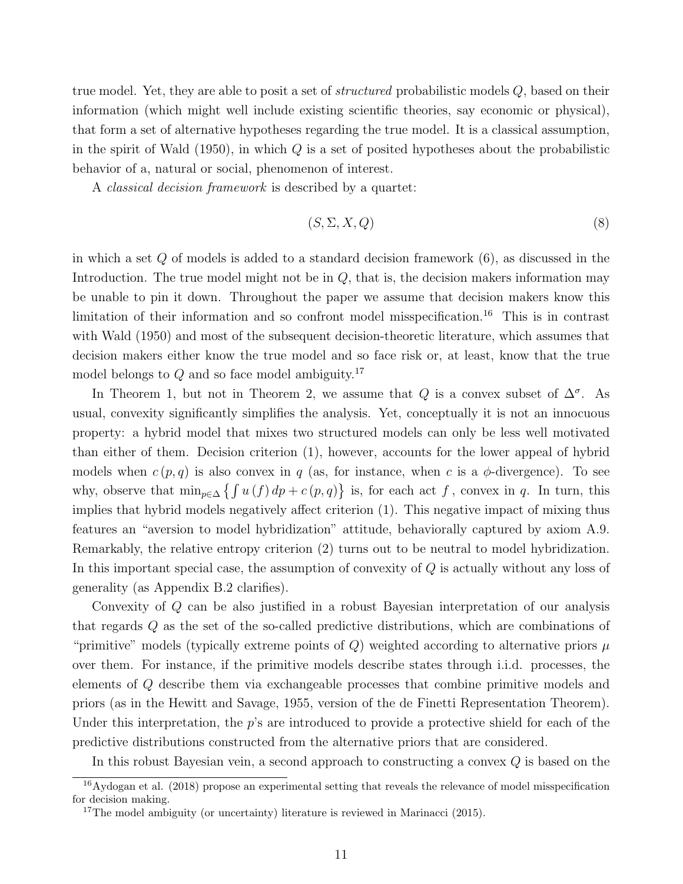true model. Yet, they are able to posit a set of *structured* probabilistic models Q, based on their information (which might well include existing scientific theories, say economic or physical), that form a set of alternative hypotheses regarding the true model. It is a classical assumption, in the spirit of Wald  $(1950)$ , in which Q is a set of posited hypotheses about the probabilistic behavior of a, natural or social, phenomenon of interest.

A classical decision framework is described by a quartet:

$$
(S, \Sigma, X, Q) \tag{8}
$$

in which a set  $Q$  of models is added to a standard decision framework  $(6)$ , as discussed in the Introduction. The true model might not be in  $Q$ , that is, the decision makers information may be unable to pin it down. Throughout the paper we assume that decision makers know this limitation of their information and so confront model misspecification.<sup>16</sup> This is in contrast with Wald (1950) and most of the subsequent decision-theoretic literature, which assumes that decision makers either know the true model and so face risk or, at least, know that the true model belongs to  $Q$  and so face model ambiguity.<sup>17</sup>

In Theorem 1, but not in Theorem 2, we assume that Q is a convex subset of  $\Delta^{\sigma}$ . As usual, convexity significantly simplifies the analysis. Yet, conceptually it is not an innocuous property: a hybrid model that mixes two structured models can only be less well motivated than either of them. Decision criterion (1), however, accounts for the lower appeal of hybrid models when  $c(p, q)$  is also convex in q (as, for instance, when c is a  $\phi$ -divergence). To see why, observe that  $\min_{p \in \Delta} \{ \int u(f) dp + c(p, q) \}$  is, for each act f, convex in q. In turn, this implies that hybrid models negatively affect criterion (1). This negative impact of mixing thus features an "aversion to model hybridization" attitude, behaviorally captured by axiom A.9. Remarkably, the relative entropy criterion (2) turns out to be neutral to model hybridization. In this important special case, the assumption of convexity of Q is actually without any loss of generality (as Appendix B.2 clarifies).

Convexity of Q can be also justified in a robust Bayesian interpretation of our analysis that regards Q as the set of the so-called predictive distributions, which are combinations of "primitive" models (typically extreme points of Q) weighted according to alternative priors  $\mu$ over them. For instance, if the primitive models describe states through i.i.d. processes, the elements of Q describe them via exchangeable processes that combine primitive models and priors (as in the Hewitt and Savage, 1955, version of the de Finetti Representation Theorem). Under this interpretation, the  $p$ 's are introduced to provide a protective shield for each of the predictive distributions constructed from the alternative priors that are considered.

In this robust Bayesian vein, a second approach to constructing a convex Q is based on the

<sup>16</sup>Aydogan et al. (2018) propose an experimental setting that reveals the relevance of model misspecification for decision making.

<sup>&</sup>lt;sup>17</sup>The model ambiguity (or uncertainty) literature is reviewed in Marinacci  $(2015)$ .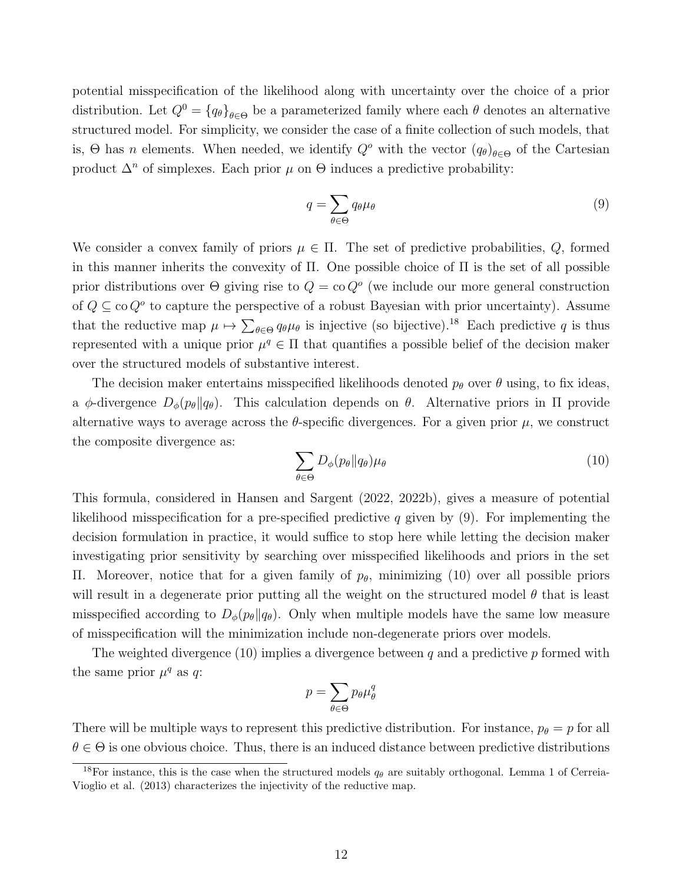potential misspecification of the likelihood along with uncertainty over the choice of a prior distribution. Let  $Q^0 = \{q_\theta\}_{\theta \in \Theta}$  be a parameterized family where each  $\theta$  denotes an alternative structured model. For simplicity, we consider the case of a finite collection of such models, that is,  $\Theta$  has *n* elements. When needed, we identify  $Q^o$  with the vector  $(q_\theta)_{\theta \in \Theta}$  of the Cartesian product  $\Delta^n$  of simplexes. Each prior  $\mu$  on  $\Theta$  induces a predictive probability:

$$
q = \sum_{\theta \in \Theta} q_{\theta} \mu_{\theta} \tag{9}
$$

We consider a convex family of priors  $\mu \in \Pi$ . The set of predictive probabilities, Q, formed in this manner inherits the convexity of  $\Pi$ . One possible choice of  $\Pi$  is the set of all possible prior distributions over  $\Theta$  giving rise to  $Q = \text{co } Q^o$  (we include our more general construction of  $Q \subseteq \text{co } Q^o$  to capture the perspective of a robust Bayesian with prior uncertainty). Assume that the reductive map  $\mu \mapsto \sum_{\theta \in \Theta} q_{\theta} \mu_{\theta}$  is injective (so bijective).<sup>18</sup> Each predictive q is thus represented with a unique prior  $\mu^q \in \Pi$  that quantifies a possible belief of the decision maker over the structured models of substantive interest.

The decision maker entertains misspecified likelihoods denoted  $p_{\theta}$  over  $\theta$  using, to fix ideas, a  $\phi$ -divergence  $D_{\phi}(p_{\theta}||q_{\theta})$ . This calculation depends on  $\theta$ . Alternative priors in  $\Pi$  provide alternative ways to average across the  $\theta$ -specific divergences. For a given prior  $\mu$ , we construct the composite divergence as:

$$
\sum_{\theta \in \Theta} D_{\phi}(p_{\theta} \| q_{\theta}) \mu_{\theta} \tag{10}
$$

This formula, considered in Hansen and Sargent (2022, 2022b), gives a measure of potential likelihood misspecification for a pre-specified predictive q given by  $(9)$ . For implementing the decision formulation in practice, it would suffice to stop here while letting the decision maker investigating prior sensitivity by searching over misspecified likelihoods and priors in the set Π. Moreover, notice that for a given family of  $p<sub>θ</sub>$ , minimizing (10) over all possible priors will result in a degenerate prior putting all the weight on the structured model  $\theta$  that is least misspecified according to  $D_{\phi}(p_{\theta}||q_{\theta})$ . Only when multiple models have the same low measure of misspecification will the minimization include non-degenerate priors over models.

The weighted divergence (10) implies a divergence between  $q$  and a predictive  $p$  formed with the same prior  $\mu^q$  as q:

$$
p = \sum_{\theta \in \Theta} p_{\theta} \mu_{\theta}^q
$$

There will be multiple ways to represent this predictive distribution. For instance,  $p_{\theta} = p$  for all  $\theta \in \Theta$  is one obvious choice. Thus, there is an induced distance between predictive distributions

<sup>&</sup>lt;sup>18</sup>For instance, this is the case when the structured models  $q_{\theta}$  are suitably orthogonal. Lemma 1 of Cerreia-Vioglio et al. (2013) characterizes the injectivity of the reductive map.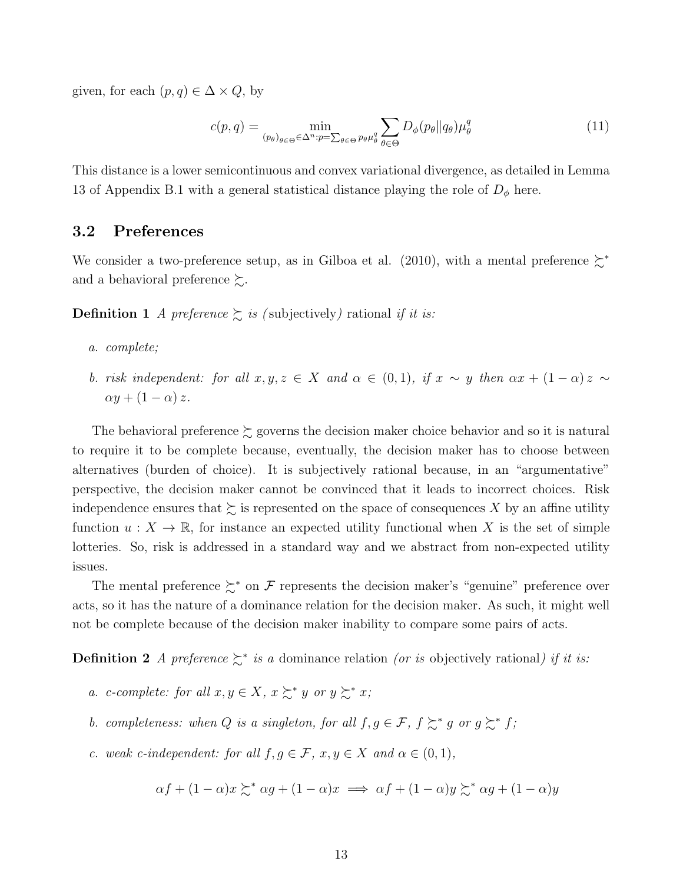given, for each  $(p, q) \in \Delta \times Q$ , by

$$
c(p,q) = \min_{(p_{\theta})_{\theta \in \Theta} \in \Delta^{n}: p = \sum_{\theta \in \Theta} p_{\theta} \mu_{\theta}^{q}} \sum_{\theta \in \Theta} D_{\phi}(p_{\theta} || q_{\theta}) \mu_{\theta}^{q}
$$
(11)

This distance is a lower semicontinuous and convex variational divergence, as detailed in Lemma 13 of Appendix B.1 with a general statistical distance playing the role of  $D_{\phi}$  here.

### 3.2 Preferences

We consider a two-preference setup, as in Gilboa et al. (2010), with a mental preference ≿<sup>∗</sup> and a behavioral preference  $\succsim$ .

**Definition 1** A preference  $\sum$  is (subjectively) rational if it is:

- a. complete;
- b. risk independent: for all  $x, y, z \in X$  and  $\alpha \in (0,1)$ , if  $x \sim y$  then  $\alpha x + (1 \alpha) z \sim$  $\alpha y + (1 - \alpha) z$ .

The behavioral preference  $\succsim$  governs the decision maker choice behavior and so it is natural to require it to be complete because, eventually, the decision maker has to choose between alternatives (burden of choice). It is subjectively rational because, in an "argumentative" perspective, the decision maker cannot be convinced that it leads to incorrect choices. Risk independence ensures that  $\succsim$  is represented on the space of consequences X by an affine utility function  $u: X \to \mathbb{R}$ , for instance an expected utility functional when X is the set of simple lotteries. So, risk is addressed in a standard way and we abstract from non-expected utility issues.

The mental preference  $\sum^*$  on F represents the decision maker's "genuine" preference over acts, so it has the nature of a dominance relation for the decision maker. As such, it might well not be complete because of the decision maker inability to compare some pairs of acts.

**Definition 2** A preference  $\succeq^*$  is a dominance relation (or is objectively rational) if it is:

- a. c-complete: for all  $x, y \in X$ ,  $x \succsim^* y$  or  $y \succsim^* x$ ;
- b. completeness: when Q is a singleton, for all  $f, g \in \mathcal{F}, f \succsim^* g$  or  $g \succsim^* f$ ;
- c. weak c-independent: for all  $f, g \in \mathcal{F}$ ,  $x, y \in X$  and  $\alpha \in (0, 1)$ ,

$$
\alpha f + (1 - \alpha)x \succsim^* \alpha g + (1 - \alpha)x \implies \alpha f + (1 - \alpha)y \succsim^* \alpha g + (1 - \alpha)y
$$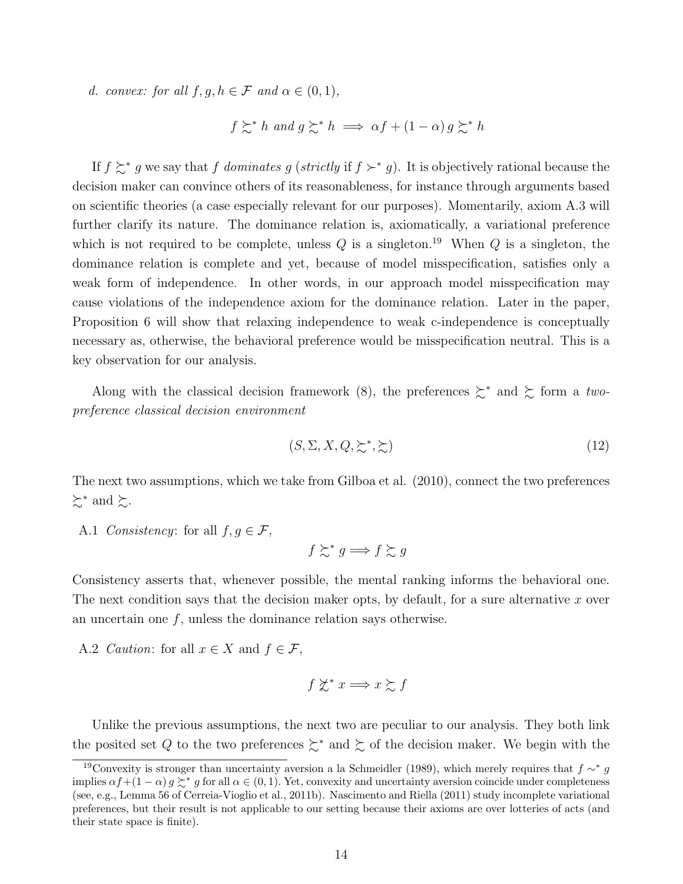d. convex: for all  $f, g, h \in \mathcal{F}$  and  $\alpha \in (0, 1)$ ,

$$
f \succsim^* h
$$
 and  $g \succsim^* h \implies \alpha f + (1 - \alpha) g \succsim^* h$ 

If  $f \succeq^* g$  we say that f dominates g (strictly if  $f \succ^* g$ ). It is objectively rational because the decision maker can convince others of its reasonableness, for instance through arguments based on scientific theories (a case especially relevant for our purposes). Momentarily, axiom A.3 will further clarify its nature. The dominance relation is, axiomatically, a variational preference which is not required to be complete, unless  $Q$  is a singleton.<sup>19</sup> When  $Q$  is a singleton, the dominance relation is complete and yet, because of model misspecification, satisfies only a weak form of independence. In other words, in our approach model misspecification may cause violations of the independence axiom for the dominance relation. Later in the paper, Proposition 6 will show that relaxing independence to weak c-independence is conceptually necessary as, otherwise, the behavioral preference would be misspecification neutral. This is a key observation for our analysis.

Along with the classical decision framework (8), the preferences  $\succeq^*$  and  $\succeq$  form a twopreference classical decision environment

$$
(S, \Sigma, X, Q, \succsim^*, \succsim) \tag{12}
$$

The next two assumptions, which we take from Gilboa et al. (2010), connect the two preferences  $\succsim^*$  and  $\succsim$ .

A.1 Consistency: for all  $f, g \in \mathcal{F}$ ,

$$
f \succsim^* g \Longrightarrow f \succsim g
$$

Consistency asserts that, whenever possible, the mental ranking informs the behavioral one. The next condition says that the decision maker opts, by default, for a sure alternative x over an uncertain one  $f$ , unless the dominance relation says otherwise.

A.2 *Caution*: for all  $x \in X$  and  $f \in \mathcal{F}$ ,

$$
f \not\succsim^* x \Longrightarrow x \succsim f
$$

Unlike the previous assumptions, the next two are peculiar to our analysis. They both link the posited set Q to the two preferences  $\succsim^*$  and  $\succsim$  of the decision maker. We begin with the

<sup>&</sup>lt;sup>19</sup>Convexity is stronger than uncertainty aversion a la Schmeidler (1989), which merely requires that  $f \sim^* g$ implies  $\alpha f + (1 - \alpha) g \succsim^* g$  for all  $\alpha \in (0, 1)$ . Yet, convexity and uncertainty aversion coincide under completeness (see, e.g., Lemma 56 of Cerreia-Vioglio et al., 2011b). Nascimento and Riella (2011) study incomplete variational preferences, but their result is not applicable to our setting because their axioms are over lotteries of acts (and their state space is finite).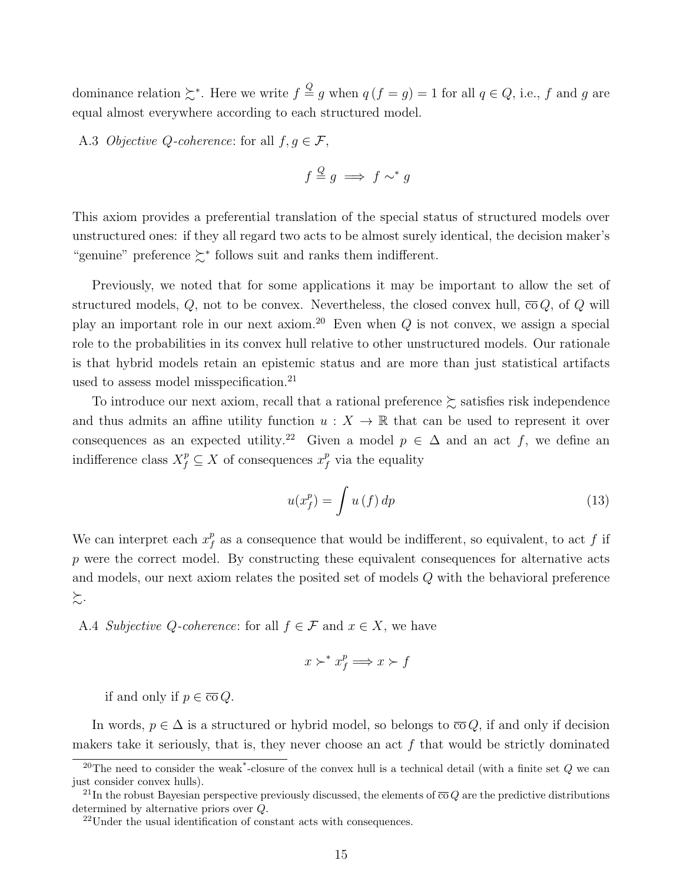dominance relation  $\succsim^*$ . Here we write  $f \stackrel{Q}{=} g$  when  $q(f = g) = 1$  for all  $q \in Q$ , i.e., f and g are equal almost everywhere according to each structured model.

A.3 Objective Q-coherence: for all  $f, g \in \mathcal{F}$ ,

$$
f \stackrel{Q}{=} g \implies f \sim^* g
$$

This axiom provides a preferential translation of the special status of structured models over unstructured ones: if they all regard two acts to be almost surely identical, the decision maker's "genuine" preference ≿<sup>∗</sup> follows suit and ranks them indifferent.

Previously, we noted that for some applications it may be important to allow the set of structured models, Q, not to be convex. Nevertheless, the closed convex hull,  $\overline{co} Q$ , of Q will play an important role in our next axiom.<sup>20</sup> Even when  $Q$  is not convex, we assign a special role to the probabilities in its convex hull relative to other unstructured models. Our rationale is that hybrid models retain an epistemic status and are more than just statistical artifacts used to assess model misspecification.<sup>21</sup>

To introduce our next axiom, recall that a rational preference  $\succsim$  satisfies risk independence and thus admits an affine utility function  $u : X \to \mathbb{R}$  that can be used to represent it over consequences as an expected utility.<sup>22</sup> Given a model  $p \in \Delta$  and an act f, we define an indifference class  $X_f^p \subseteq X$  of consequences  $x_f^p$  $\int_f^p$  via the equality

$$
u(x_f^p) = \int u(f) \, dp \tag{13}
$$

We can interpret each  $x_f^p$  $\frac{p}{f}$  as a consequence that would be indifferent, so equivalent, to act f if  $p$  were the correct model. By constructing these equivalent consequences for alternative acts and models, our next axiom relates the posited set of models Q with the behavioral preference ≿.

A.4 Subjective Q-coherence: for all  $f \in \mathcal{F}$  and  $x \in X$ , we have

$$
x \succ^* x_f^p \Longrightarrow x \succ f
$$

if and only if  $p \in \overline{co} Q$ .

In words,  $p \in \Delta$  is a structured or hybrid model, so belongs to  $\overline{co} Q$ , if and only if decision makers take it seriously, that is, they never choose an act  $f$  that would be strictly dominated

<sup>&</sup>lt;sup>20</sup>The need to consider the weak<sup>\*</sup>-closure of the convex hull is a technical detail (with a finite set  $Q$  we can just consider convex hulls).

<sup>&</sup>lt;sup>21</sup>In the robust Bayesian perspective previously discussed, the elements of  $\overline{c}O$  are the predictive distributions determined by alternative priors over Q.

<sup>22</sup>Under the usual identification of constant acts with consequences.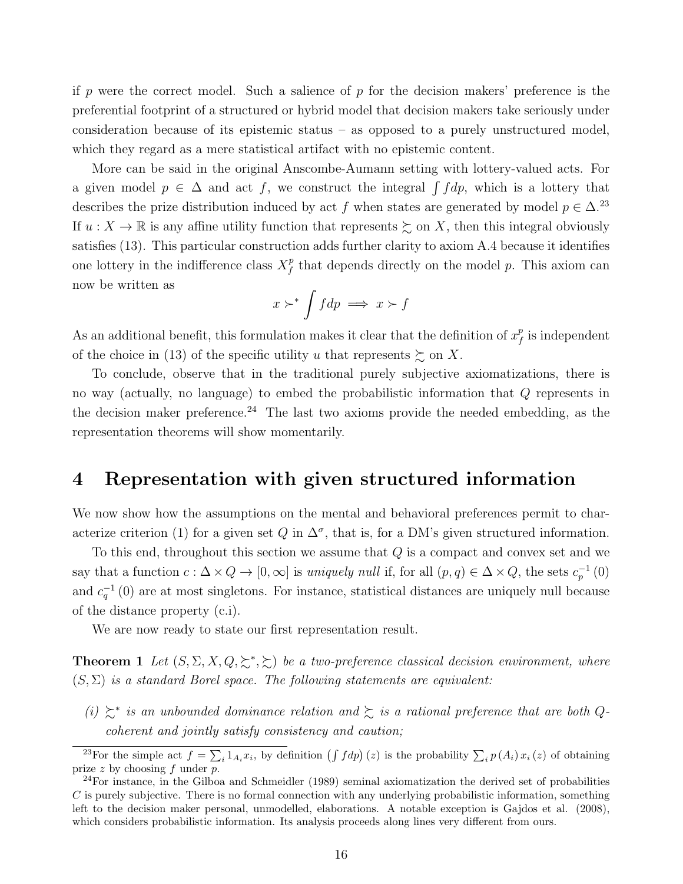if p were the correct model. Such a salience of p for the decision makers' preference is the preferential footprint of a structured or hybrid model that decision makers take seriously under consideration because of its epistemic status – as opposed to a purely unstructured model, which they regard as a mere statistical artifact with no epistemic content.

More can be said in the original Anscombe-Aumann setting with lottery-valued acts. For a given model  $p \in \Delta$  and act f, we construct the integral  $\int f dp$ , which is a lottery that describes the prize distribution induced by act f when states are generated by model  $p \in \Delta$ .<sup>23</sup> If  $u: X \to \mathbb{R}$  is any affine utility function that represents  $\succsim$  on X, then this integral obviously satisfies (13). This particular construction adds further clarity to axiom A.4 because it identifies one lottery in the indifference class  $X_f^p$  $\frac{p}{f}$  that depends directly on the model p. This axiom can now be written as

$$
x \succ^* \int f dp \implies x \succ f
$$

As an additional benefit, this formulation makes it clear that the definition of  $x_f^p$  $_{f}^{p}$  is independent of the choice in (13) of the specific utility u that represents  $\succeq$  on X.

To conclude, observe that in the traditional purely subjective axiomatizations, there is no way (actually, no language) to embed the probabilistic information that Q represents in the decision maker preference.<sup>24</sup> The last two axioms provide the needed embedding, as the representation theorems will show momentarily.

### 4 Representation with given structured information

We now show how the assumptions on the mental and behavioral preferences permit to characterize criterion (1) for a given set Q in  $\Delta^{\sigma}$ , that is, for a DM's given structured information.

To this end, throughout this section we assume that  $Q$  is a compact and convex set and we say that a function  $c: \Delta \times Q \to [0, \infty]$  is uniquely null if, for all  $(p, q) \in \Delta \times Q$ , the sets  $c_p^{-1}(0)$ and  $c_q^{-1}(0)$  are at most singletons. For instance, statistical distances are uniquely null because of the distance property (c.i).

We are now ready to state our first representation result.

**Theorem 1** Let  $(S, \Sigma, X, Q, \succsim^*, \succsim)$  be a two-preference classical decision environment, where  $(S, \Sigma)$  is a standard Borel space. The following statements are equivalent:

(i)  $\succeq^*$  is an unbounded dominance relation and  $\succeq$  is a rational preference that are both Qcoherent and jointly satisfy consistency and caution;

<sup>&</sup>lt;sup>23</sup>For the simple act  $f = \sum_i 1_{A_i} x_i$ , by definition  $(\int f dp)(z)$  is the probability  $\sum_i p(A_i) x_i(z)$  of obtaining prize  $z$  by choosing  $f$  under  $p$ .

<sup>&</sup>lt;sup>24</sup>For instance, in the Gilboa and Schmeidler (1989) seminal axiomatization the derived set of probabilities  $C$  is purely subjective. There is no formal connection with any underlying probabilistic information, something left to the decision maker personal, unmodelled, elaborations. A notable exception is Gajdos et al. (2008), which considers probabilistic information. Its analysis proceeds along lines very different from ours.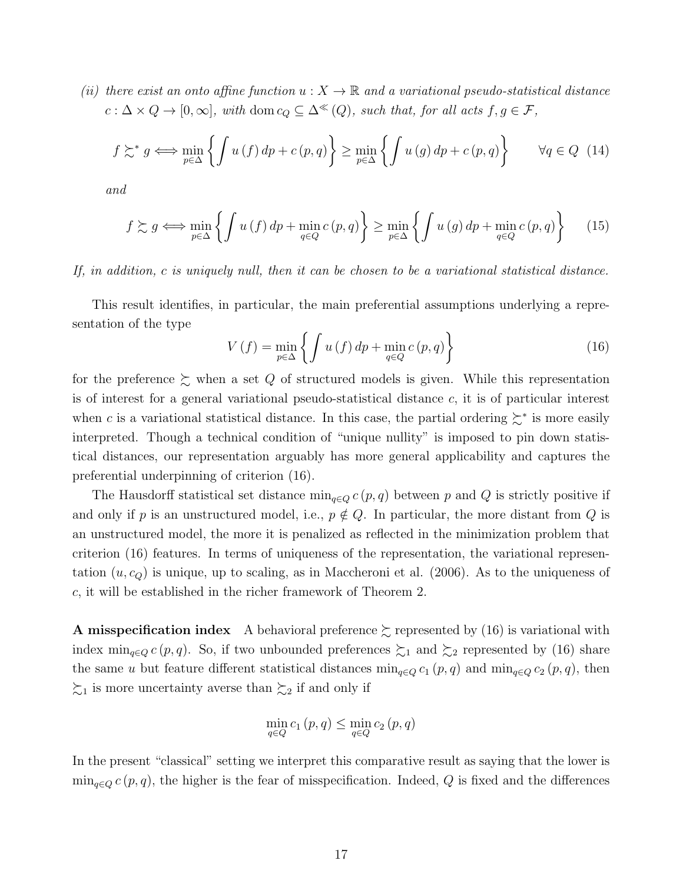(ii) there exist an onto affine function  $u: X \to \mathbb{R}$  and a variational pseudo-statistical distance  $c : \Delta \times Q \to [0, \infty],$  with dom  $c_Q \subseteq \Delta^{\ll}(Q)$ , such that, for all acts  $f, g \in \mathcal{F}$ ,

$$
f \succsim^* g \iff \min_{p \in \Delta} \left\{ \int u(f) \, dp + c(p, q) \right\} \ge \min_{p \in \Delta} \left\{ \int u(g) \, dp + c(p, q) \right\} \qquad \forall q \in Q \tag{14}
$$

and

$$
f \succsim g \iff \min_{p \in \Delta} \left\{ \int u(f) \, dp + \min_{q \in Q} c(p, q) \right\} \ge \min_{p \in \Delta} \left\{ \int u(g) \, dp + \min_{q \in Q} c(p, q) \right\} \tag{15}
$$

If, in addition, c is uniquely null, then it can be chosen to be a variational statistical distance.

This result identifies, in particular, the main preferential assumptions underlying a representation of the type

$$
V(f) = \min_{p \in \Delta} \left\{ \int u(f) \, dp + \min_{q \in Q} c(p, q) \right\} \tag{16}
$$

for the preference  $\succsim$  when a set Q of structured models is given. While this representation is of interest for a general variational pseudo-statistical distance  $c$ , it is of particular interest when c is a variational statistical distance. In this case, the partial ordering  $\geq^*$  is more easily interpreted. Though a technical condition of "unique nullity" is imposed to pin down statistical distances, our representation arguably has more general applicability and captures the preferential underpinning of criterion (16).

The Hausdorff statistical set distance  $\min_{q \in Q} c(p,q)$  between p and Q is strictly positive if and only if p is an unstructured model, i.e.,  $p \notin Q$ . In particular, the more distant from Q is an unstructured model, the more it is penalized as reflected in the minimization problem that criterion (16) features. In terms of uniqueness of the representation, the variational representation  $(u, c_{Q})$  is unique, up to scaling, as in Maccheroni et al. (2006). As to the uniqueness of c, it will be established in the richer framework of Theorem 2.

**A misspecification index** A behavioral preference  $\succsim$  represented by (16) is variational with index  $\min_{q \in Q} c(p,q)$ . So, if two unbounded preferences  $\succsim_1$  and  $\succsim_2$  represented by (16) share the same u but feature different statistical distances  $\min_{q\in Q} c_1(p,q)$  and  $\min_{q\in Q} c_2(p,q)$ , then  $\zeta_1$  is more uncertainty averse than  $\zeta_2$  if and only if

$$
\min_{q \in Q} c_1(p,q) \le \min_{q \in Q} c_2(p,q)
$$

In the present "classical" setting we interpret this comparative result as saying that the lower is  $\min_{q\in Q} c(p,q)$ , the higher is the fear of misspecification. Indeed, Q is fixed and the differences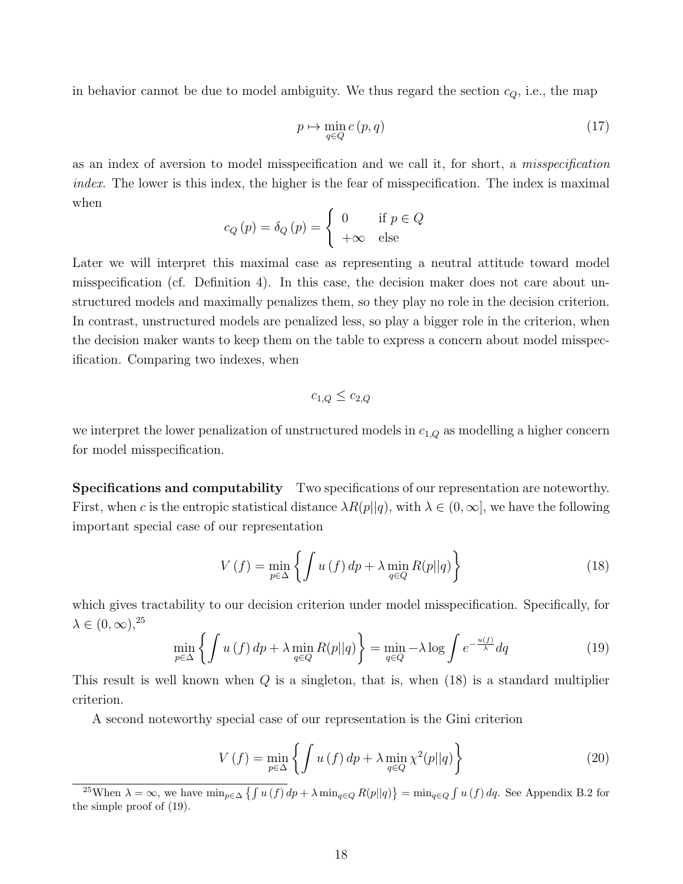in behavior cannot be due to model ambiguity. We thus regard the section  $c_Q$ , i.e., the map

$$
p \mapsto \min_{q \in Q} c(p, q) \tag{17}
$$

as an index of aversion to model misspecification and we call it, for short, a misspecification index. The lower is this index, the higher is the fear of misspecification. The index is maximal when

$$
c_Q(p) = \delta_Q(p) = \begin{cases} 0 & \text{if } p \in Q \\ +\infty & \text{else} \end{cases}
$$

Later we will interpret this maximal case as representing a neutral attitude toward model misspecification (cf. Definition 4). In this case, the decision maker does not care about unstructured models and maximally penalizes them, so they play no role in the decision criterion. In contrast, unstructured models are penalized less, so play a bigger role in the criterion, when the decision maker wants to keep them on the table to express a concern about model misspecification. Comparing two indexes, when

$$
c_{1,Q} \le c_{2,Q}
$$

we interpret the lower penalization of unstructured models in  $c_{1,Q}$  as modelling a higher concern for model misspecification.

Specifications and computability Two specifications of our representation are noteworthy. First, when c is the entropic statistical distance  $\lambda R(p||q)$ , with  $\lambda \in (0,\infty]$ , we have the following important special case of our representation

$$
V(f) = \min_{p \in \Delta} \left\{ \int u(f) \, dp + \lambda \min_{q \in Q} R(p||q) \right\} \tag{18}
$$

which gives tractability to our decision criterion under model misspecification. Specifically, for  $\lambda \in (0,\infty),^{25}$ 

$$
\min_{p \in \Delta} \left\{ \int u(f) \, dp + \lambda \min_{q \in Q} R(p||q) \right\} = \min_{q \in Q} -\lambda \log \int e^{-\frac{u(f)}{\lambda}} dq \tag{19}
$$

This result is well known when  $Q$  is a singleton, that is, when  $(18)$  is a standard multiplier criterion.

A second noteworthy special case of our representation is the Gini criterion

$$
V(f) = \min_{p \in \Delta} \left\{ \int u(f) \, dp + \lambda \min_{q \in Q} \chi^2(p||q) \right\} \tag{20}
$$

<sup>&</sup>lt;sup>25</sup>When  $\lambda = \infty$ , we have  $\min_{p \in \Delta} \{ \int u(f) dp + \lambda \min_{q \in Q} R(p||q) \} = \min_{q \in Q} \int u(f) dq$ . See Appendix B.2 for the simple proof of (19).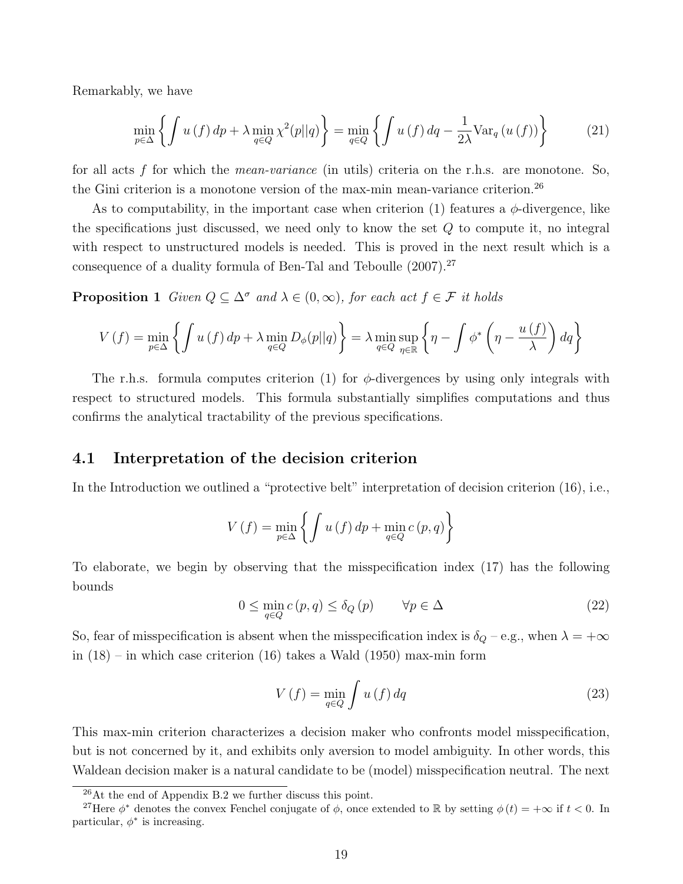Remarkably, we have

$$
\min_{p \in \Delta} \left\{ \int u(f) \, dp + \lambda \min_{q \in Q} \chi^2(p||q) \right\} = \min_{q \in Q} \left\{ \int u(f) \, dq - \frac{1}{2\lambda} \text{Var}_q(u(f)) \right\} \tag{21}
$$

for all acts f for which the *mean-variance* (in utils) criteria on the r.h.s. are monotone. So, the Gini criterion is a monotone version of the max-min mean-variance criterion.<sup>26</sup>

As to computability, in the important case when criterion (1) features a  $\phi$ -divergence, like the specifications just discussed, we need only to know the set Q to compute it, no integral with respect to unstructured models is needed. This is proved in the next result which is a consequence of a duality formula of Ben-Tal and Teboulle (2007).<sup>27</sup>

**Proposition 1** Given  $Q \subseteq \Delta^{\sigma}$  and  $\lambda \in (0, \infty)$ , for each act  $f \in \mathcal{F}$  it holds

$$
V(f) = \min_{p \in \Delta} \left\{ \int u(f) \, dp + \lambda \min_{q \in Q} D_{\phi}(p||q) \right\} = \lambda \min_{q \in Q} \sup_{\eta \in \mathbb{R}} \left\{ \eta - \int \phi^* \left( \eta - \frac{u(f)}{\lambda} \right) dq \right\}
$$

The r.h.s. formula computes criterion (1) for  $\phi$ -divergences by using only integrals with respect to structured models. This formula substantially simplifies computations and thus confirms the analytical tractability of the previous specifications.

### 4.1 Interpretation of the decision criterion

In the Introduction we outlined a "protective belt" interpretation of decision criterion (16), i.e.,

$$
V(f) = \min_{p \in \Delta} \left\{ \int u(f) \, dp + \min_{q \in Q} c(p, q) \right\}
$$

To elaborate, we begin by observing that the misspecification index (17) has the following bounds

$$
0 \le \min_{q \in Q} c(p, q) \le \delta_Q(p) \qquad \forall p \in \Delta \tag{22}
$$

So, fear of misspecification is absent when the misspecification index is  $\delta_Q$  – e.g., when  $\lambda = +\infty$ in (18) – in which case criterion (16) takes a Wald (1950) max-min form

$$
V\left(f\right) = \min_{q \in Q} \int u\left(f\right) dq \tag{23}
$$

This max-min criterion characterizes a decision maker who confronts model misspecification, but is not concerned by it, and exhibits only aversion to model ambiguity. In other words, this Waldean decision maker is a natural candidate to be (model) misspecification neutral. The next

<sup>26</sup>At the end of Appendix B.2 we further discuss this point.

<sup>&</sup>lt;sup>27</sup>Here  $\phi^*$  denotes the convex Fenchel conjugate of  $\phi$ , once extended to R by setting  $\phi(t) = +\infty$  if  $t < 0$ . In particular,  $\phi^*$  is increasing.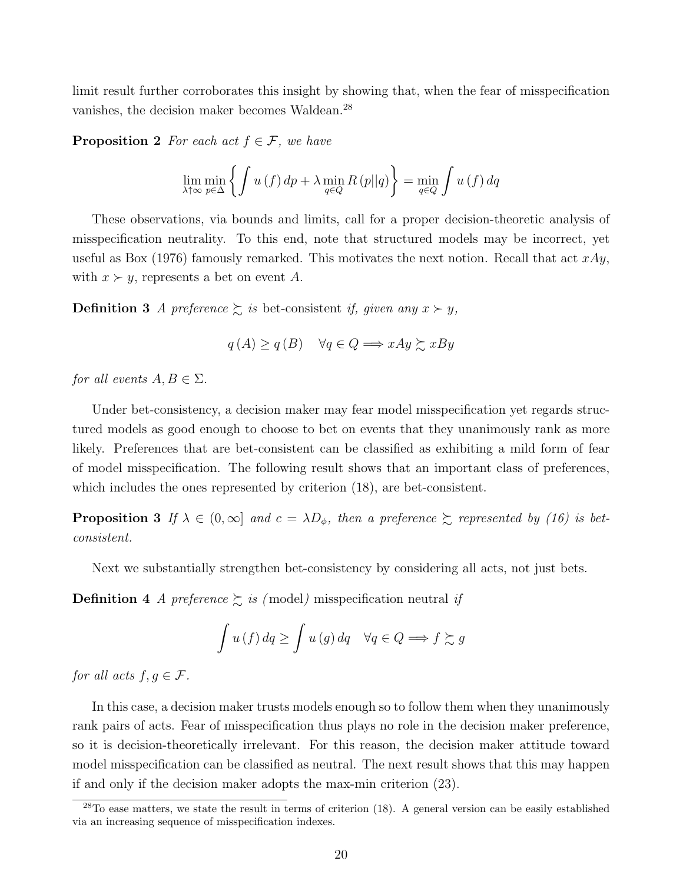limit result further corroborates this insight by showing that, when the fear of misspecification vanishes, the decision maker becomes Waldean.<sup>28</sup>

**Proposition 2** For each act  $f \in \mathcal{F}$ , we have

$$
\lim_{\lambda \uparrow \infty} \min_{p \in \Delta} \left\{ \int u(f) \, dp + \lambda \min_{q \in Q} R(p||q) \right\} = \min_{q \in Q} \int u(f) \, dq
$$

These observations, via bounds and limits, call for a proper decision-theoretic analysis of misspecification neutrality. To this end, note that structured models may be incorrect, yet useful as Box (1976) famously remarked. This motivates the next notion. Recall that act  $xAy$ , with  $x \succ y$ , represents a bet on event A.

**Definition 3** A preference  $\succsim$  is bet-consistent if, given any  $x \succ y$ ,

$$
q(A) \ge q(B) \quad \forall q \in Q \Longrightarrow xAy \succsim xBy
$$

for all events  $A, B \in \Sigma$ .

Under bet-consistency, a decision maker may fear model misspecification yet regards structured models as good enough to choose to bet on events that they unanimously rank as more likely. Preferences that are bet-consistent can be classified as exhibiting a mild form of fear of model misspecification. The following result shows that an important class of preferences, which includes the ones represented by criterion (18), are bet-consistent.

**Proposition 3** If  $\lambda \in (0,\infty]$  and  $c = \lambda D_{\phi}$ , then a preference  $\succeq$  represented by (16) is betconsistent.

Next we substantially strengthen bet-consistency by considering all acts, not just bets.

**Definition 4** A preference  $\sum$  is (model) misspecification neutral if

$$
\int u(f) \, dq \ge \int u(g) \, dq \quad \forall q \in Q \Longrightarrow f \succsim g
$$

for all acts  $f, g \in \mathcal{F}$ .

In this case, a decision maker trusts models enough so to follow them when they unanimously rank pairs of acts. Fear of misspecification thus plays no role in the decision maker preference, so it is decision-theoretically irrelevant. For this reason, the decision maker attitude toward model misspecification can be classified as neutral. The next result shows that this may happen if and only if the decision maker adopts the max-min criterion (23).

<sup>&</sup>lt;sup>28</sup>To ease matters, we state the result in terms of criterion (18). A general version can be easily established via an increasing sequence of misspecification indexes.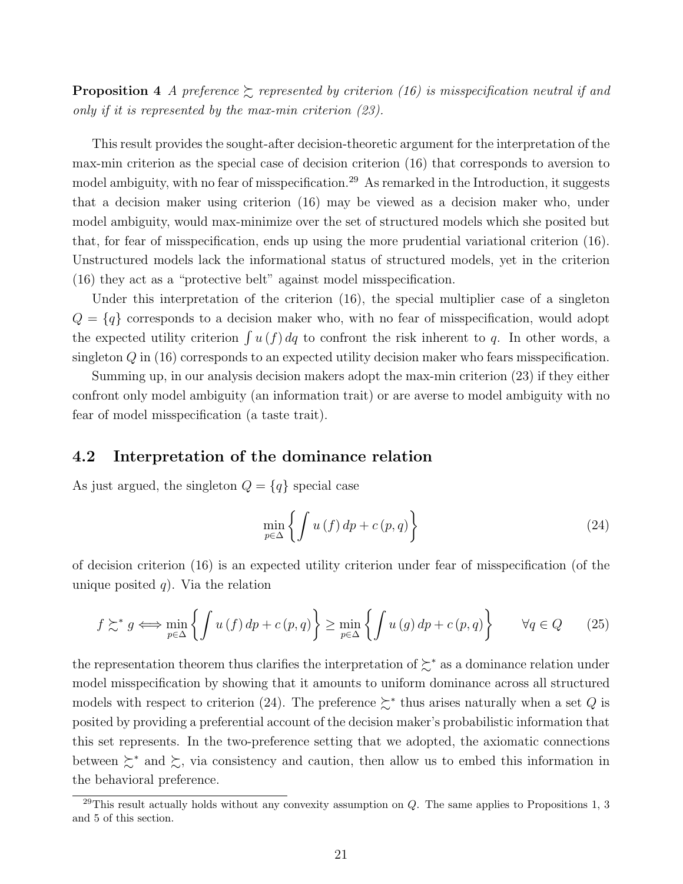**Proposition 4** A preference  $\succeq$  represented by criterion (16) is misspecification neutral if and only if it is represented by the max-min criterion (23).

This result provides the sought-after decision-theoretic argument for the interpretation of the max-min criterion as the special case of decision criterion (16) that corresponds to aversion to model ambiguity, with no fear of misspecification.<sup>29</sup> As remarked in the Introduction, it suggests that a decision maker using criterion (16) may be viewed as a decision maker who, under model ambiguity, would max-minimize over the set of structured models which she posited but that, for fear of misspecification, ends up using the more prudential variational criterion (16). Unstructured models lack the informational status of structured models, yet in the criterion (16) they act as a "protective belt" against model misspecification.

Under this interpretation of the criterion  $(16)$ , the special multiplier case of a singleton  $Q = \{q\}$  corresponds to a decision maker who, with no fear of misspecification, would adopt the expected utility criterion  $\int u(f) dq$  to confront the risk inherent to q. In other words, a singleton Q in (16) corresponds to an expected utility decision maker who fears misspecification.

Summing up, in our analysis decision makers adopt the max-min criterion (23) if they either confront only model ambiguity (an information trait) or are averse to model ambiguity with no fear of model misspecification (a taste trait).

### 4.2 Interpretation of the dominance relation

As just argued, the singleton  $Q = \{q\}$  special case

$$
\min_{p \in \Delta} \left\{ \int u(f) \, dp + c(p, q) \right\} \tag{24}
$$

of decision criterion (16) is an expected utility criterion under fear of misspecification (of the unique posited q). Via the relation

$$
f \succsim^* g \iff \min_{p \in \Delta} \left\{ \int u(f) \, dp + c(p, q) \right\} \ge \min_{p \in \Delta} \left\{ \int u(g) \, dp + c(p, q) \right\} \qquad \forall q \in Q \tag{25}
$$

the representation theorem thus clarifies the interpretation of ≿<sup>∗</sup> as a dominance relation under model misspecification by showing that it amounts to uniform dominance across all structured models with respect to criterion (24). The preference  $\succeq^*$  thus arises naturally when a set Q is posited by providing a preferential account of the decision maker's probabilistic information that this set represents. In the two-preference setting that we adopted, the axiomatic connections between  $\sum^*$  and  $\sum$ , via consistency and caution, then allow us to embed this information in the behavioral preference.

 $^{29}$ This result actually holds without any convexity assumption on Q. The same applies to Propositions 1, 3 and 5 of this section.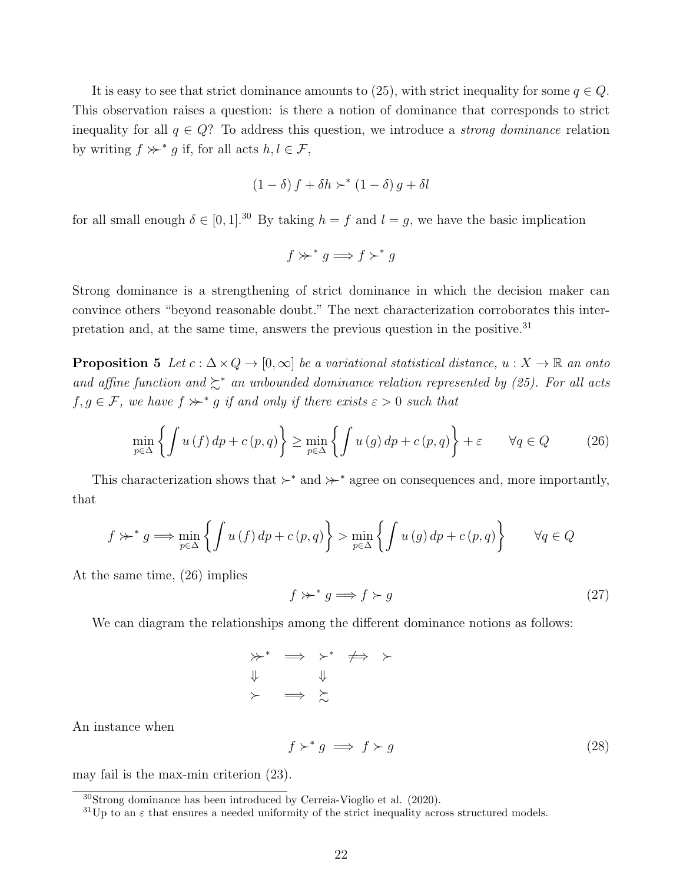It is easy to see that strict dominance amounts to (25), with strict inequality for some  $q \in Q$ . This observation raises a question: is there a notion of dominance that corresponds to strict inequality for all  $q \in Q$ ? To address this question, we introduce a *strong dominance* relation by writing  $f \succ r^* g$  if, for all acts  $h, l \in \mathcal{F}$ ,

$$
(1 - \delta) f + \delta h \succ^* (1 - \delta) g + \delta l
$$

for all small enough  $\delta \in [0, 1]$ .<sup>30</sup> By taking  $h = f$  and  $l = g$ , we have the basic implication

$$
f \succ\!\!\succ^* g \Longrightarrow f \succ^* g
$$

Strong dominance is a strengthening of strict dominance in which the decision maker can convince others "beyond reasonable doubt." The next characterization corroborates this interpretation and, at the same time, answers the previous question in the positive.<sup>31</sup>

**Proposition 5** Let  $c : \Delta \times Q \to [0, \infty]$  be a variational statistical distance,  $u : X \to \mathbb{R}$  an onto and affine function and  $\succsim^*$  an unbounded dominance relation represented by (25). For all acts  $f, g \in \mathcal{F}$ , we have  $f \nsucc^* g$  if and only if there exists  $\varepsilon > 0$  such that

$$
\min_{p \in \Delta} \left\{ \int u(f) \, dp + c(p, q) \right\} \ge \min_{p \in \Delta} \left\{ \int u(g) \, dp + c(p, q) \right\} + \varepsilon \qquad \forall q \in Q \tag{26}
$$

This characterization shows that  $\succ^*$  and  $\succ^*$  agree on consequences and, more importantly, that

$$
f \gg^* g \Longrightarrow \min_{p \in \Delta} \left\{ \int u(f) \, dp + c(p, q) \right\} > \min_{p \in \Delta} \left\{ \int u(g) \, dp + c(p, q) \right\} \quad \forall q \in Q
$$

At the same time, (26) implies

$$
f \gg^* g \Longrightarrow f \succ g \tag{27}
$$

We can diagram the relationships among the different dominance notions as follows:

$$
\begin{array}{ccc}\n\ast & \Rightarrow & \ast & \leftrightarrow & \ast \\
\Downarrow & & \Downarrow & & \downarrow \\
\star & & \Rightarrow & \searrow & & \end{array}
$$

An instance when

$$
f \succ^* g \implies f \succ g \tag{28}
$$

may fail is the max-min criterion (23).

<sup>30</sup>Strong dominance has been introduced by Cerreia-Vioglio et al. (2020).

 ${}^{31}$ Up to an  $\varepsilon$  that ensures a needed uniformity of the strict inequality across structured models.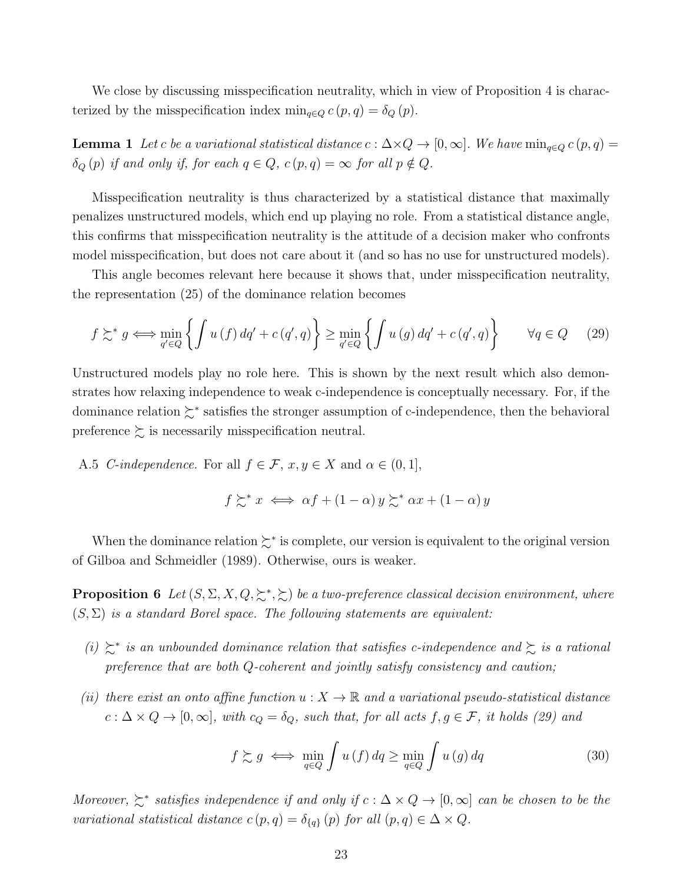We close by discussing misspecification neutrality, which in view of Proposition 4 is characterized by the misspecification index  $\min_{q \in Q} c(p,q) = \delta_Q(p)$ .

**Lemma 1** Let c be a variational statistical distance  $c : \Delta \times Q \rightarrow [0, \infty]$ . We have  $\min_{q \in Q} c(p, q) =$  $\delta_Q(p)$  if and only if, for each  $q \in Q$ ,  $c(p,q) = \infty$  for all  $p \notin Q$ .

Misspecification neutrality is thus characterized by a statistical distance that maximally penalizes unstructured models, which end up playing no role. From a statistical distance angle, this confirms that misspecification neutrality is the attitude of a decision maker who confronts model misspecification, but does not care about it (and so has no use for unstructured models).

This angle becomes relevant here because it shows that, under misspecification neutrality, the representation (25) of the dominance relation becomes

$$
f \succsim^* g \iff \min_{q' \in Q} \left\{ \int u(f) \, dq' + c \left( q', q \right) \right\} \ge \min_{q' \in Q} \left\{ \int u(g) \, dq' + c \left( q', q \right) \right\} \qquad \forall q \in Q \tag{29}
$$

Unstructured models play no role here. This is shown by the next result which also demonstrates how relaxing independence to weak c-independence is conceptually necessary. For, if the dominance relation ≿<sup>∗</sup> satisfies the stronger assumption of c-independence, then the behavioral preference  $\succsim$  is necessarily misspecification neutral.

A.5 *C-independence*. For all  $f \in \mathcal{F}$ ,  $x, y \in X$  and  $\alpha \in (0, 1]$ ,

$$
f \succsim^* x \iff \alpha f + (1 - \alpha) y \succsim^* \alpha x + (1 - \alpha) y
$$

When the dominance relation ≿<sup>∗</sup> is complete, our version is equivalent to the original version of Gilboa and Schmeidler (1989). Otherwise, ours is weaker.

**Proposition 6** Let  $(S, \Sigma, X, Q, \succsim^*, \succsim)$  be a two-preference classical decision environment, where  $(S, \Sigma)$  is a standard Borel space. The following statements are equivalent:

- (i)  $\succeq^*$  is an unbounded dominance relation that satisfies c-independence and  $\succeq$  is a rational preference that are both Q-coherent and jointly satisfy consistency and caution;
- (ii) there exist an onto affine function  $u: X \to \mathbb{R}$  and a variational pseudo-statistical distance  $c : \Delta \times Q \to [0, \infty],$  with  $c_Q = \delta_Q$ , such that, for all acts  $f, g \in \mathcal{F}$ , it holds (29) and

$$
f \gtrsim g \iff \min_{q \in Q} \int u(f) \, dq \ge \min_{q \in Q} \int u(g) \, dq \tag{30}
$$

Moreover,  $\geq^*$  satisfies independence if and only if  $c : \Delta \times Q \to [0, \infty]$  can be chosen to be the variational statistical distance  $c(p,q) = \delta_{\{q\}}(p)$  for all  $(p,q) \in \Delta \times Q$ .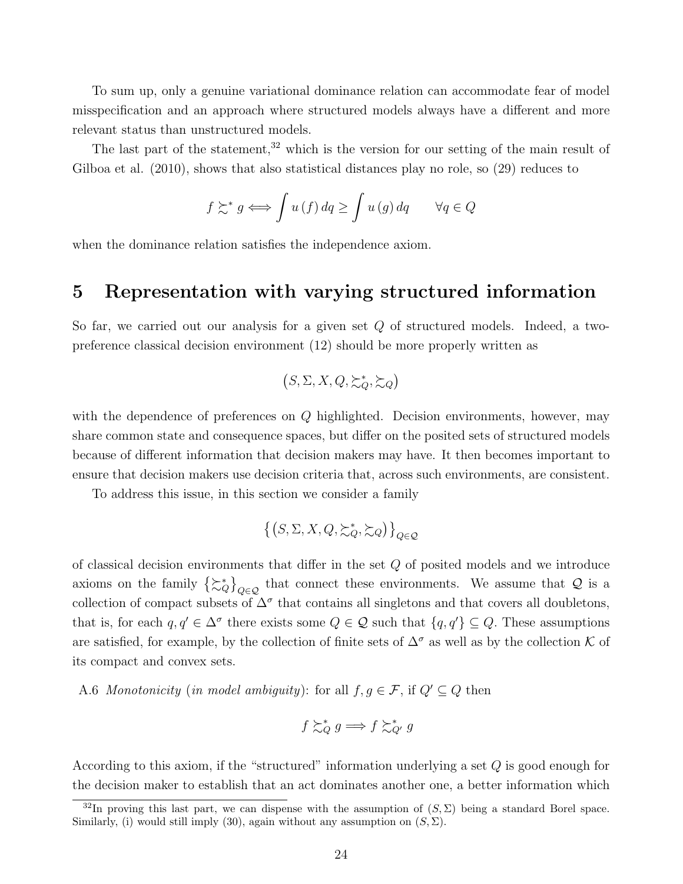To sum up, only a genuine variational dominance relation can accommodate fear of model misspecification and an approach where structured models always have a different and more relevant status than unstructured models.

The last part of the statement,  $32$  which is the version for our setting of the main result of Gilboa et al. (2010), shows that also statistical distances play no role, so (29) reduces to

$$
f \gtrsim^* g \Longleftrightarrow \int u(f) \, dq \ge \int u(g) \, dq \qquad \forall q \in Q
$$

when the dominance relation satisfies the independence axiom.

### 5 Representation with varying structured information

So far, we carried out our analysis for a given set Q of structured models. Indeed, a twopreference classical decision environment (12) should be more properly written as

$$
(S, \Sigma, X, Q, \succsim_Q^* \succsim_Q)
$$

with the dependence of preferences on Q highlighted. Decision environments, however, may share common state and consequence spaces, but differ on the posited sets of structured models because of different information that decision makers may have. It then becomes important to ensure that decision makers use decision criteria that, across such environments, are consistent.

To address this issue, in this section we consider a family

$$
\left\{\left(S,\Sigma,X,Q,\succsim^*_Q,\succsim_Q\right)\right\}_{Q\in\mathcal{Q}}
$$

of classical decision environments that differ in the set  $Q$  of posited models and we introduce axioms on the family  $\{\gtrsim_{Q}^*\}_{Q\in\mathcal{Q}}$  that connect these environments. We assume that  $\mathcal Q$  is a collection of compact subsets of  $\Delta^{\sigma}$  that contains all singletons and that covers all doubletons, that is, for each  $q, q' \in \Delta^{\sigma}$  there exists some  $Q \in \mathcal{Q}$  such that  $\{q, q'\} \subseteq Q$ . These assumptions are satisfied, for example, by the collection of finite sets of  $\Delta^{\sigma}$  as well as by the collection K of its compact and convex sets.

A.6 Monotonicity (in model ambiguity): for all  $f, g \in \mathcal{F}$ , if  $Q' \subseteq Q$  then

$$
f \succsim_Q^* g \Longrightarrow f \succsim_{Q'}^* g
$$

According to this axiom, if the "structured" information underlying a set Q is good enough for the decision maker to establish that an act dominates another one, a better information which

<sup>&</sup>lt;sup>32</sup>In proving this last part, we can dispense with the assumption of  $(S, \Sigma)$  being a standard Borel space. Similarly, (i) would still imply (30), again without any assumption on  $(S, \Sigma)$ .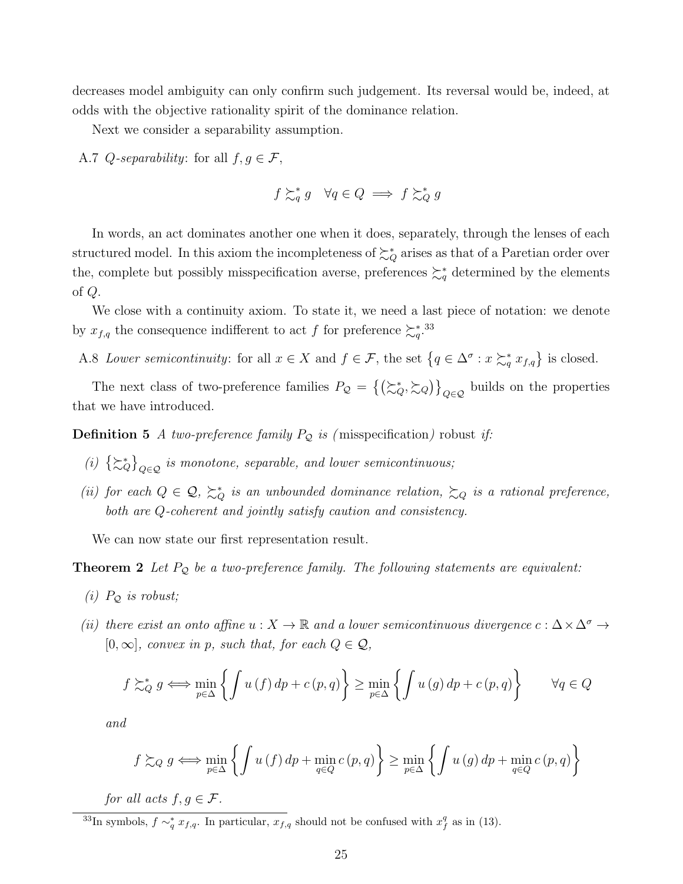decreases model ambiguity can only confirm such judgement. Its reversal would be, indeed, at odds with the objective rationality spirit of the dominance relation.

Next we consider a separability assumption.

A.7 Q-separability: for all  $f, g \in \mathcal{F}$ ,

$$
f \succsim_q^* g \quad \forall q \in Q \implies f \succsim_Q^* g
$$

In words, an act dominates another one when it does, separately, through the lenses of each structured model. In this axiom the incompleteness of  $\succsim_Q^*$  arises as that of a Paretian order over the, complete but possibly misspecification averse, preferences  $\succcurlyeq_q^*$  determined by the elements of Q.

We close with a continuity axiom. To state it, we need a last piece of notation: we denote by  $x_{f,q}$  the consequence indifferent to act f for preference  $\succcurlyeq_q^{*}$ .<sup>33</sup>

A.8 Lower semicontinuity: for all  $x \in X$  and  $f \in \mathcal{F}$ , the set  $\{q \in \Delta^{\sigma} : x \succsim_q^* x_{f,q}\}$  is closed.

The next class of two-preference families  $P_Q = \{(\succsim_Q^*, \succsim_Q)\}_{Q \in \mathcal{Q}}$  builds on the properties that we have introduced.

**Definition 5** A two-preference family  $P_{\mathcal{Q}}$  is (misspecification) robust if:

- (i)  $\{\succsim_Q^*\}_{Q \in \mathcal{Q}}$  is monotone, separable, and lower semicontinuous;
- (ii) for each  $Q \in \mathcal{Q}$ ,  $\succsim_Q^*$  is an unbounded dominance relation,  $\succsim_Q$  is a rational preference, both are Q-coherent and jointly satisfy caution and consistency.

We can now state our first representation result.

**Theorem 2** Let  $P_{\mathcal{Q}}$  be a two-preference family. The following statements are equivalent:

- (i)  $P_{\mathcal{Q}}$  is robust;
- (ii) there exist an onto affine  $u: X \to \mathbb{R}$  and a lower semicontinuous divergence  $c: \Delta \times \Delta^{\sigma} \to$  $[0,\infty]$ , convex in p, such that, for each  $Q \in \mathcal{Q}$ ,

$$
f \succsim_{Q}^{*} g \iff \min_{p \in \Delta} \left\{ \int u(f) \, dp + c(p, q) \right\} \ge \min_{p \in \Delta} \left\{ \int u(g) \, dp + c(p, q) \right\} \quad \forall q \in Q
$$

and

$$
f \gtrsim_Q g \iff \min_{p \in \Delta} \left\{ \int u(f) dp + \min_{q \in Q} c(p, q) \right\} \ge \min_{p \in \Delta} \left\{ \int u(g) dp + \min_{q \in Q} c(p, q) \right\}
$$

for all acts  $f, g \in \mathcal{F}$ .

<sup>33</sup>In symbols,  $f \sim_q^* x_{f,q}$ . In particular,  $x_{f,q}$  should not be confused with  $x_f^q$  as in (13).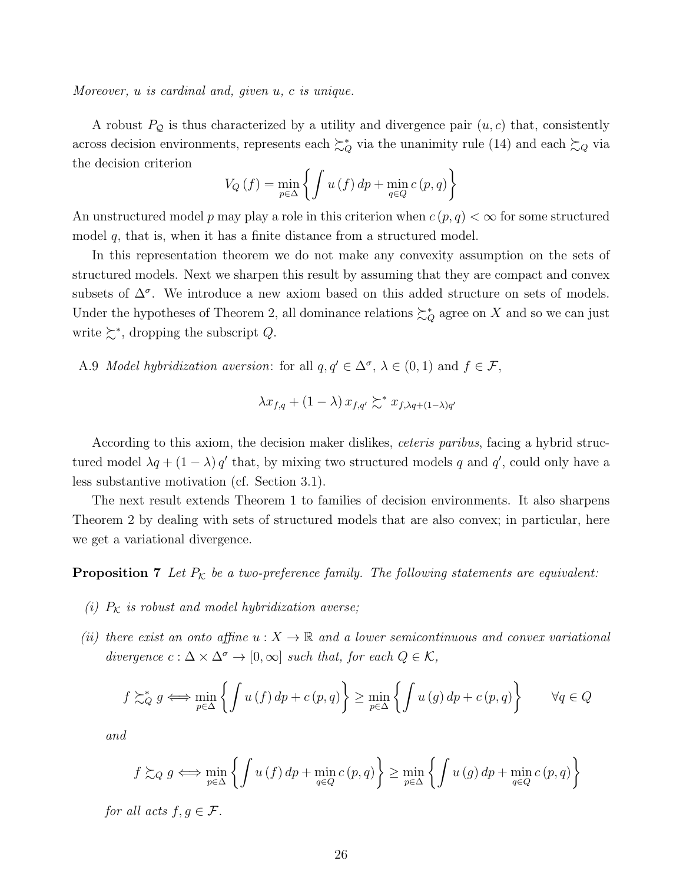Moreover, u is cardinal and, given u, c is unique.

A robust  $P_{\mathcal{Q}}$  is thus characterized by a utility and divergence pair  $(u, c)$  that, consistently across decision environments, represents each  $\succsim_Q^*$  via the unanimity rule (14) and each  $\succsim_Q$  via the decision criterion

$$
V_Q(f) = \min_{p \in \Delta} \left\{ \int u(f) \, dp + \min_{q \in Q} c(p, q) \right\}
$$

An unstructured model p may play a role in this criterion when  $c(p, q) < \infty$  for some structured model  $q$ , that is, when it has a finite distance from a structured model.

In this representation theorem we do not make any convexity assumption on the sets of structured models. Next we sharpen this result by assuming that they are compact and convex subsets of  $\Delta^{\sigma}$ . We introduce a new axiom based on this added structure on sets of models. Under the hypotheses of Theorem 2, all dominance relations  $\succsim_Q^*$  agree on X and so we can just write  $\succsim^*$ , dropping the subscript Q.

A.9 *Model hybridization aversion*: for all  $q, q' \in \Delta^{\sigma}, \lambda \in (0, 1)$  and  $f \in \mathcal{F}$ ,

$$
\lambda x_{f,q} + (1 - \lambda) x_{f,q'} \succsim^* x_{f,\lambda q + (1 - \lambda)q'}
$$

According to this axiom, the decision maker dislikes, ceteris paribus, facing a hybrid structured model  $\lambda q + (1 - \lambda) q'$  that, by mixing two structured models q and q', could only have a less substantive motivation (cf. Section 3.1).

The next result extends Theorem 1 to families of decision environments. It also sharpens Theorem 2 by dealing with sets of structured models that are also convex; in particular, here we get a variational divergence.

**Proposition 7** Let  $P_K$  be a two-preference family. The following statements are equivalent:

- (i)  $P_K$  is robust and model hybridization averse;
- (ii) there exist an onto affine  $u: X \to \mathbb{R}$  and a lower semicontinuous and convex variational divergence  $c : \Delta \times \Delta^{\sigma} \to [0, \infty]$  such that, for each  $Q \in \mathcal{K}$ ,

$$
f \gtrsim_{Q}^{*} g \iff \min_{p \in \Delta} \left\{ \int u(f) \, dp + c(p, q) \right\} \ge \min_{p \in \Delta} \left\{ \int u(g) \, dp + c(p, q) \right\} \quad \forall q \in Q
$$

and

$$
f \gtrsim_Q g \iff \min_{p \in \Delta} \left\{ \int u(f) dp + \min_{q \in Q} c(p, q) \right\} \ge \min_{p \in \Delta} \left\{ \int u(g) dp + \min_{q \in Q} c(p, q) \right\}
$$

for all acts  $f, g \in \mathcal{F}$ .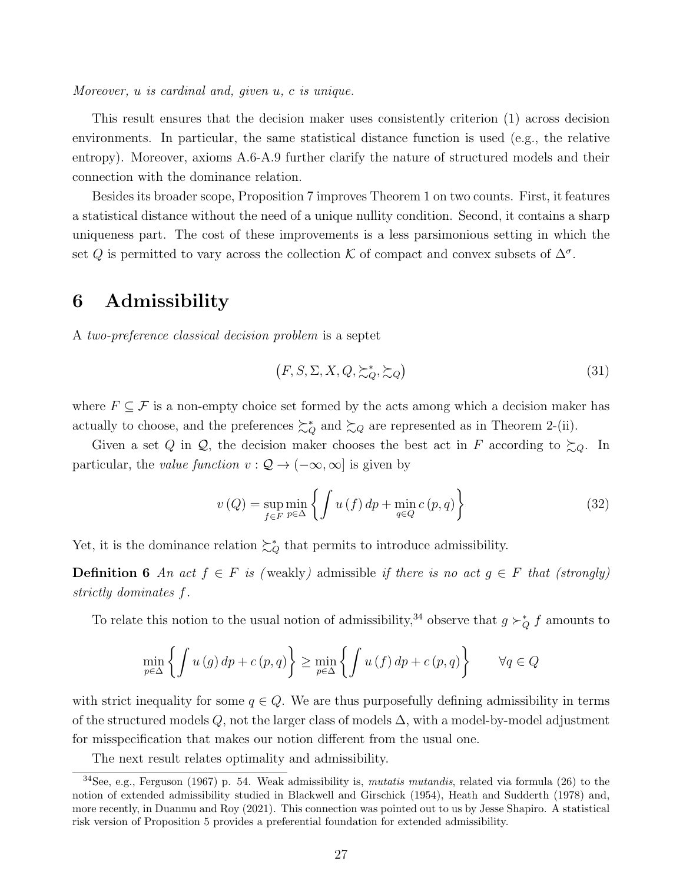Moreover, u is cardinal and, given u, c is unique.

This result ensures that the decision maker uses consistently criterion (1) across decision environments. In particular, the same statistical distance function is used (e.g., the relative entropy). Moreover, axioms A.6-A.9 further clarify the nature of structured models and their connection with the dominance relation.

Besides its broader scope, Proposition 7 improves Theorem 1 on two counts. First, it features a statistical distance without the need of a unique nullity condition. Second, it contains a sharp uniqueness part. The cost of these improvements is a less parsimonious setting in which the set Q is permitted to vary across the collection K of compact and convex subsets of  $\Delta^{\sigma}$ .

# 6 Admissibility

A two-preference classical decision problem is a septet

$$
(F, S, \Sigma, X, Q, \succsim_Q^*, \succsim_Q)
$$
\n
$$
(31)
$$

where  $F \subseteq \mathcal{F}$  is a non-empty choice set formed by the acts among which a decision maker has actually to choose, and the preferences  $\succsim_Q^*$  and  $\succsim_Q$  are represented as in Theorem 2-(ii).

Given a set Q in Q, the decision maker chooses the best act in F according to  $\succsim_{Q}$ . In particular, the value function  $v : \mathcal{Q} \to (-\infty, \infty]$  is given by

$$
v(Q) = \sup_{f \in F} \min_{p \in \Delta} \left\{ \int u(f) dp + \min_{q \in Q} c(p, q) \right\}
$$
 (32)

Yet, it is the dominance relation  $\succcurlyeq_Q^*$  that permits to introduce admissibility.

**Definition 6** An act  $f \in F$  is (weakly) admissible if there is no act  $g \in F$  that (strongly) strictly dominates f.

To relate this notion to the usual notion of admissibility,<sup>34</sup> observe that  $g \succ_Q^* f$  amounts to

$$
\min_{p \in \Delta} \left\{ \int u(g) \, dp + c(p, q) \right\} \ge \min_{p \in \Delta} \left\{ \int u(f) \, dp + c(p, q) \right\} \quad \forall q \in Q
$$

with strict inequality for some  $q \in Q$ . We are thus purposefully defining admissibility in terms of the structured models  $Q$ , not the larger class of models  $\Delta$ , with a model-by-model adjustment for misspecification that makes our notion different from the usual one.

The next result relates optimality and admissibility.

 $34$ See, e.g., Ferguson (1967) p. 54. Weak admissibility is, mutatis mutandis, related via formula (26) to the notion of extended admissibility studied in Blackwell and Girschick (1954), Heath and Sudderth (1978) and, more recently, in Duanmu and Roy (2021). This connection was pointed out to us by Jesse Shapiro. A statistical risk version of Proposition 5 provides a preferential foundation for extended admissibility.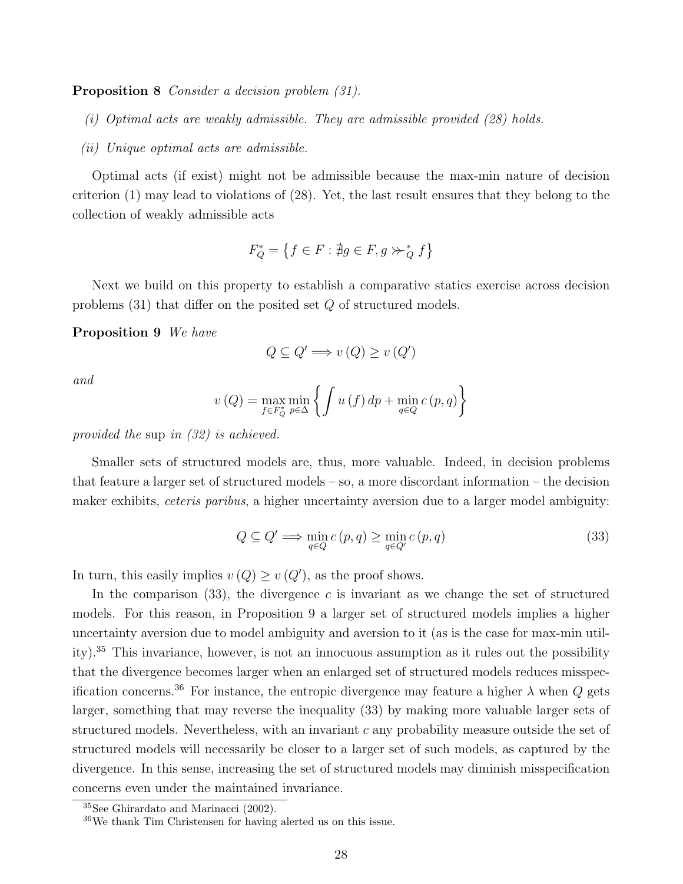Proposition 8 Consider a decision problem (31).

- (i) Optimal acts are weakly admissible. They are admissible provided (28) holds.
- (ii) Unique optimal acts are admissible.

Optimal acts (if exist) might not be admissible because the max-min nature of decision criterion (1) may lead to violations of (28). Yet, the last result ensures that they belong to the collection of weakly admissible acts

$$
F_Q^* = \left\{ f \in F : \nexists g \in F, g \succ\!\succ_Q^* f \right\}
$$

Next we build on this property to establish a comparative statics exercise across decision problems  $(31)$  that differ on the posited set Q of structured models.

Proposition 9 We have

$$
Q \subseteq Q' \Longrightarrow v(Q) \ge v(Q')
$$

and

$$
v(Q) = \max_{f \in F_Q^*} \min_{p \in \Delta} \left\{ \int u(f) \, dp + \min_{q \in Q} c(p, q) \right\}
$$

provided the sup in (32) is achieved.

Smaller sets of structured models are, thus, more valuable. Indeed, in decision problems that feature a larger set of structured models – so, a more discordant information – the decision maker exhibits, *ceteris paribus*, a higher uncertainty aversion due to a larger model ambiguity:

$$
Q \subseteq Q' \Longrightarrow \min_{q \in Q} c(p, q) \ge \min_{q \in Q'} c(p, q) \tag{33}
$$

In turn, this easily implies  $v(Q) \geq v(Q')$ , as the proof shows.

In the comparison  $(33)$ , the divergence c is invariant as we change the set of structured models. For this reason, in Proposition 9 a larger set of structured models implies a higher uncertainty aversion due to model ambiguity and aversion to it (as is the case for max-min utility).<sup>35</sup> This invariance, however, is not an innocuous assumption as it rules out the possibility that the divergence becomes larger when an enlarged set of structured models reduces misspecification concerns.<sup>36</sup> For instance, the entropic divergence may feature a higher  $\lambda$  when  $Q$  gets larger, something that may reverse the inequality (33) by making more valuable larger sets of structured models. Nevertheless, with an invariant  $c$  any probability measure outside the set of structured models will necessarily be closer to a larger set of such models, as captured by the divergence. In this sense, increasing the set of structured models may diminish misspecification concerns even under the maintained invariance.

<sup>35</sup>See Ghirardato and Marinacci (2002).

<sup>36</sup>We thank Tim Christensen for having alerted us on this issue.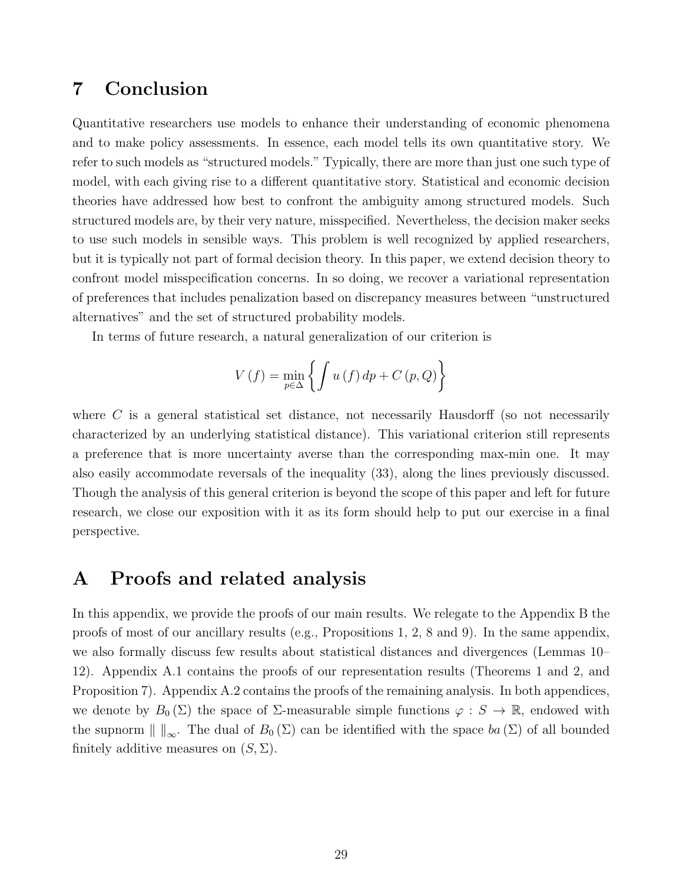# 7 Conclusion

Quantitative researchers use models to enhance their understanding of economic phenomena and to make policy assessments. In essence, each model tells its own quantitative story. We refer to such models as "structured models." Typically, there are more than just one such type of model, with each giving rise to a different quantitative story. Statistical and economic decision theories have addressed how best to confront the ambiguity among structured models. Such structured models are, by their very nature, misspecified. Nevertheless, the decision maker seeks to use such models in sensible ways. This problem is well recognized by applied researchers, but it is typically not part of formal decision theory. In this paper, we extend decision theory to confront model misspecification concerns. In so doing, we recover a variational representation of preferences that includes penalization based on discrepancy measures between "unstructured alternatives" and the set of structured probability models.

In terms of future research, a natural generalization of our criterion is

$$
V(f) = \min_{p \in \Delta} \left\{ \int u(f) \, dp + C(p, Q) \right\}
$$

where  $C$  is a general statistical set distance, not necessarily Hausdorff (so not necessarily characterized by an underlying statistical distance). This variational criterion still represents a preference that is more uncertainty averse than the corresponding max-min one. It may also easily accommodate reversals of the inequality (33), along the lines previously discussed. Though the analysis of this general criterion is beyond the scope of this paper and left for future research, we close our exposition with it as its form should help to put our exercise in a final perspective.

### A Proofs and related analysis

In this appendix, we provide the proofs of our main results. We relegate to the Appendix B the proofs of most of our ancillary results (e.g., Propositions 1, 2, 8 and 9). In the same appendix, we also formally discuss few results about statistical distances and divergences (Lemmas 10– 12). Appendix A.1 contains the proofs of our representation results (Theorems 1 and 2, and Proposition 7). Appendix A.2 contains the proofs of the remaining analysis. In both appendices, we denote by  $B_0(\Sigma)$  the space of  $\Sigma$ -measurable simple functions  $\varphi : S \to \mathbb{R}$ , endowed with the supnorm  $\| \cdot \|_{\infty}$ . The dual of  $B_0(\Sigma)$  can be identified with the space  $ba(\Sigma)$  of all bounded finitely additive measures on  $(S, \Sigma)$ .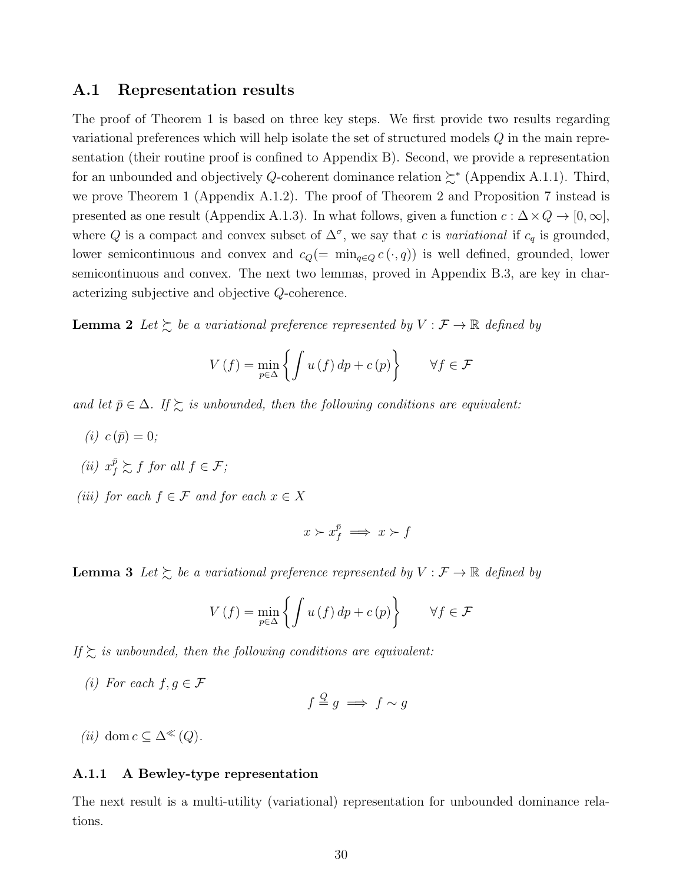#### A.1 Representation results

The proof of Theorem 1 is based on three key steps. We first provide two results regarding variational preferences which will help isolate the set of structured models Q in the main representation (their routine proof is confined to Appendix B). Second, we provide a representation for an unbounded and objectively Q-coherent dominance relation  $\succsim^*$  (Appendix A.1.1). Third, we prove Theorem 1 (Appendix A.1.2). The proof of Theorem 2 and Proposition 7 instead is presented as one result (Appendix A.1.3). In what follows, given a function  $c : \Delta \times Q \to [0, \infty],$ where Q is a compact and convex subset of  $\Delta^{\sigma}$ , we say that c is variational if  $c_q$  is grounded, lower semicontinuous and convex and  $c_Q(=\min_{q\in Q} c(\cdot,q))$  is well defined, grounded, lower semicontinuous and convex. The next two lemmas, proved in Appendix B.3, are key in characterizing subjective and objective Q-coherence.

**Lemma 2** Let  $\succsim$  be a variational preference represented by  $V : \mathcal{F} \to \mathbb{R}$  defined by

$$
V(f) = \min_{p \in \Delta} \left\{ \int u(f) \, dp + c(p) \right\} \qquad \forall f \in \mathcal{F}
$$

and let  $\bar{p} \in \Delta$ . If  $\succsim$  is unbounded, then the following conditions are equivalent:

- (*i*)  $c(\bar{p}) = 0$ ;
- (ii)  $x_f^{\bar{p}} \succsim f$  for all  $f \in \mathcal{F}$ ;
- (iii) for each  $f \in \mathcal{F}$  and for each  $x \in X$

$$
x \succ x_f^{\bar{p}} \implies x \succ f
$$

**Lemma 3** Let  $\succsim$  be a variational preference represented by  $V : \mathcal{F} \to \mathbb{R}$  defined by

$$
V(f) = \min_{p \in \Delta} \left\{ \int u(f) \, dp + c(p) \right\} \qquad \forall f \in \mathcal{F}
$$

If  $\gtrsim$  is unbounded, then the following conditions are equivalent:

(i) For each  $f, g \in \mathcal{F}$ 

$$
f \stackrel{Q}{=} g \implies f \sim g
$$

(ii) dom  $c \subseteq \Delta^{\ll}(Q)$ .

#### A.1.1 A Bewley-type representation

The next result is a multi-utility (variational) representation for unbounded dominance relations.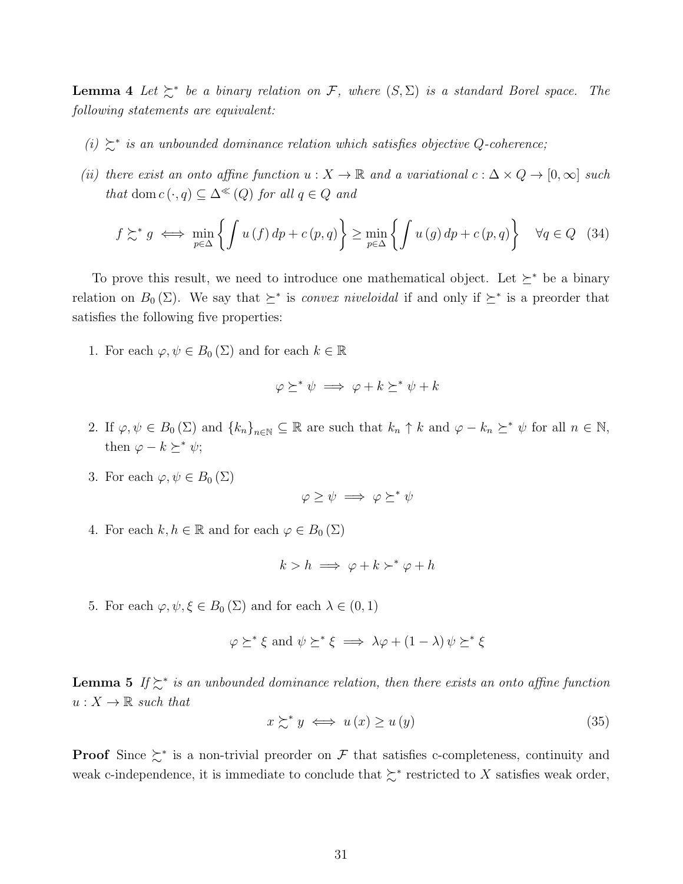**Lemma 4** Let  $\succeq^*$  be a binary relation on F, where  $(S, \Sigma)$  is a standard Borel space. The following statements are equivalent:

- (i)  $\succeq^*$  is an unbounded dominance relation which satisfies objective Q-coherence;
- (ii) there exist an onto affine function  $u : X \to \mathbb{R}$  and a variational  $c : \Delta \times Q \to [0, \infty]$  such that dom  $c(\cdot, q) \subseteq \Delta^{\ll}(Q)$  for all  $q \in Q$  and

$$
f \succsim^* g \iff \min_{p \in \Delta} \left\{ \int u(f) \, dp + c(p, q) \right\} \ge \min_{p \in \Delta} \left\{ \int u(g) \, dp + c(p, q) \right\} \quad \forall q \in Q \quad (34)
$$

To prove this result, we need to introduce one mathematical object. Let  $\succeq^*$  be a binary relation on  $B_0(\Sigma)$ . We say that  $\succeq^*$  is *convex niveloidal* if and only if  $\succeq^*$  is a preorder that satisfies the following five properties:

1. For each  $\varphi, \psi \in B_0(\Sigma)$  and for each  $k \in \mathbb{R}$ 

$$
\varphi \succeq^* \psi \implies \varphi + k \succeq^* \psi + k
$$

- 2. If  $\varphi, \psi \in B_0(\Sigma)$  and  $\{k_n\}_{n\in\mathbb{N}} \subseteq \mathbb{R}$  are such that  $k_n \uparrow k$  and  $\varphi k_n \succeq^* \psi$  for all  $n \in \mathbb{N}$ , then  $\varphi - k \succeq^* \psi$ ;
- 3. For each  $\varphi, \psi \in B_0(\Sigma)$

$$
\varphi \geq \psi \implies \varphi \succeq^* \psi
$$

4. For each  $k, h \in \mathbb{R}$  and for each  $\varphi \in B_0(\Sigma)$ 

$$
k > h \implies \varphi + k \succ^* \varphi + h
$$

5. For each  $\varphi, \psi, \xi \in B_0(\Sigma)$  and for each  $\lambda \in (0, 1)$ 

$$
\varphi \succeq^* \xi \text{ and } \psi \succeq^* \xi \implies \lambda \varphi + (1 - \lambda) \psi \succeq^* \xi
$$

**Lemma 5** If  $\geq^*$  is an unbounded dominance relation, then there exists an onto affine function  $u:X\to\mathbb{R}$  such that

$$
x \succsim^* y \iff u(x) \ge u(y) \tag{35}
$$

**Proof** Since  $\succsim^*$  is a non-trivial preorder on F that satisfies c-completeness, continuity and weak c-independence, it is immediate to conclude that  $\succsim^*$  restricted to X satisfies weak order,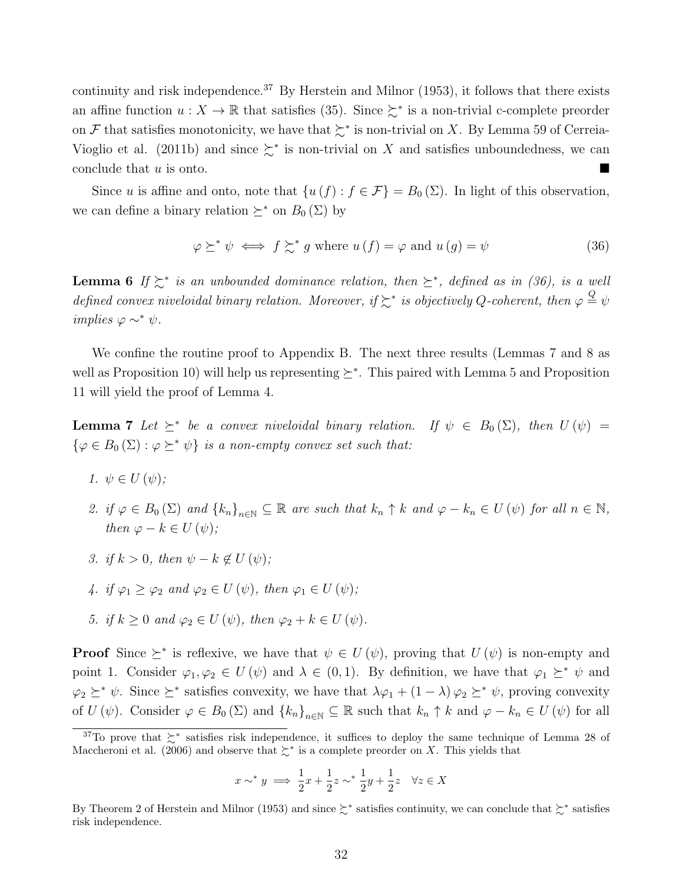continuity and risk independence.<sup>37</sup> By Herstein and Milnor  $(1953)$ , it follows that there exists an affine function  $u: X \to \mathbb{R}$  that satisfies (35). Since  $\succeq^*$  is a non-trivial c-complete preorder on F that satisfies monotonicity, we have that  $\succeq^*$  is non-trivial on X. By Lemma 59 of Cerreia-Vioglio et al. (2011b) and since  $\succeq^*$  is non-trivial on X and satisfies unboundedness, we can conclude that  $u$  is onto.

Since u is affine and onto, note that  $\{u(f) : f \in \mathcal{F}\}=B_0(\Sigma)$ . In light of this observation, we can define a binary relation  $\succeq^*$  on  $B_0(\Sigma)$  by

$$
\varphi \succeq^* \psi \iff f \succsim^* g \text{ where } u(f) = \varphi \text{ and } u(g) = \psi \tag{36}
$$

**Lemma 6** If  $\succeq^*$  is an unbounded dominance relation, then  $\succeq^*$ , defined as in (36), is a well defined convex niveloidal binary relation. Moreover, if  $\succsim^*$  is objectively Q-coherent, then  $\varphi \stackrel{Q}{=} \psi$ implies  $\varphi \sim^* \psi$ .

We confine the routine proof to Appendix B. The next three results (Lemmas 7 and 8 as well as Proposition 10) will help us representing  $\succeq^*$ . This paired with Lemma 5 and Proposition 11 will yield the proof of Lemma 4.

**Lemma 7** Let  $\succeq^*$  be a convex niveloidal binary relation. If  $\psi \in B_0(\Sigma)$ , then  $U(\psi) =$  $\{\varphi \in B_0(\Sigma) : \varphi \succeq^* \psi\}$  is a non-empty convex set such that:

- 1.  $\psi \in U(\psi);$
- 2. if  $\varphi \in B_0(\Sigma)$  and  $\{k_n\}_{n\in\mathbb{N}} \subseteq \mathbb{R}$  are such that  $k_n \uparrow k$  and  $\varphi k_n \in U(\psi)$  for all  $n \in \mathbb{N}$ , then  $\varphi - k \in U(\psi)$ ;
- 3. if  $k > 0$ , then  $\psi k \notin U(\psi)$ ;
- 4. if  $\varphi_1 \geq \varphi_2$  and  $\varphi_2 \in U(\psi)$ , then  $\varphi_1 \in U(\psi)$ ;
- 5. if  $k \geq 0$  and  $\varphi_2 \in U(\psi)$ , then  $\varphi_2 + k \in U(\psi)$ .

**Proof** Since  $\geq^*$  is reflexive, we have that  $\psi \in U(\psi)$ , proving that  $U(\psi)$  is non-empty and point 1. Consider  $\varphi_1, \varphi_2 \in U(\psi)$  and  $\lambda \in (0,1)$ . By definition, we have that  $\varphi_1 \succeq^* \psi$  and  $\varphi_2 \succeq^* \psi$ . Since  $\succeq^*$  satisfies convexity, we have that  $\lambda \varphi_1 + (1 - \lambda) \varphi_2 \succeq^* \psi$ , proving convexity of  $U(\psi)$ . Consider  $\varphi \in B_0(\Sigma)$  and  $\{k_n\}_{n\in\mathbb{N}} \subseteq \mathbb{R}$  such that  $k_n \uparrow k$  and  $\varphi - k_n \in U(\psi)$  for all

$$
x \sim^* y \implies \frac{1}{2}x + \frac{1}{2}z \sim^* \frac{1}{2}y + \frac{1}{2}z \quad \forall z \in X
$$

<sup>&</sup>lt;sup>37</sup>To prove that  $\succeq^*$  satisfies risk independence, it suffices to deploy the same technique of Lemma 28 of Maccheroni et al. (2006) and observe that  $\succeq^*$  is a complete preorder on X. This yields that

By Theorem 2 of Herstein and Milnor (1953) and since ≿<sup>∗</sup> satisfies continuity, we can conclude that ≿<sup>∗</sup> satisfies risk independence.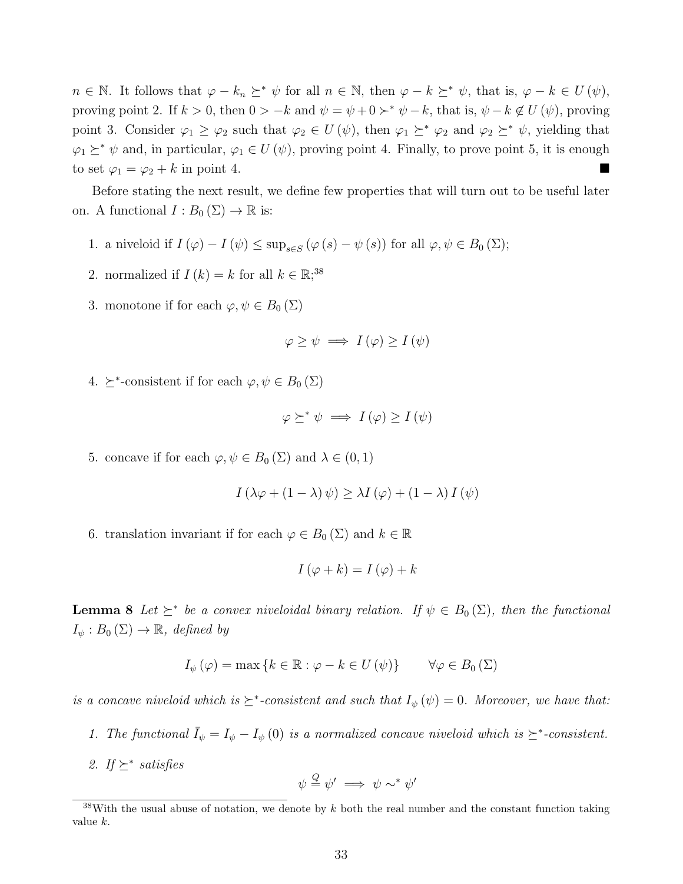$n \in \mathbb{N}$ . It follows that  $\varphi - k_n \succeq^* \psi$  for all  $n \in \mathbb{N}$ , then  $\varphi - k \succeq^* \psi$ , that is,  $\varphi - k \in U(\psi)$ , proving point 2. If  $k > 0$ , then  $0 > -k$  and  $\psi = \psi + 0 >^* \psi - k$ , that is,  $\psi - k \notin U(\psi)$ , proving point 3. Consider  $\varphi_1 \geq \varphi_2$  such that  $\varphi_2 \in U(\psi)$ , then  $\varphi_1 \succeq^* \varphi_2$  and  $\varphi_2 \succeq^* \psi$ , yielding that  $\varphi_1 \succeq^* \psi$  and, in particular,  $\varphi_1 \in U(\psi)$ , proving point 4. Finally, to prove point 5, it is enough to set  $\varphi_1 = \varphi_2 + k$  in point 4.

Before stating the next result, we define few properties that will turn out to be useful later on. A functional  $I : B_0(\Sigma) \to \mathbb{R}$  is:

- 1. a niveloid if  $I(\varphi) I(\psi) \le \sup_{s \in S} (\varphi(s) \psi(s))$  for all  $\varphi, \psi \in B_0(\Sigma)$ ;
- 2. normalized if  $I(k) = k$  for all  $k \in \mathbb{R}$ ;<sup>38</sup>
- 3. monotone if for each  $\varphi, \psi \in B_0(\Sigma)$

$$
\varphi \ge \psi \implies I(\varphi) \ge I(\psi)
$$

4.  $\geq^*$ -consistent if for each  $\varphi, \psi \in B_0(\Sigma)$ 

$$
\varphi \succeq^* \psi \implies I(\varphi) \ge I(\psi)
$$

5. concave if for each  $\varphi, \psi \in B_0(\Sigma)$  and  $\lambda \in (0,1)$ 

$$
I(\lambda \varphi + (1 - \lambda) \psi) \ge \lambda I(\varphi) + (1 - \lambda) I(\psi)
$$

6. translation invariant if for each  $\varphi \in B_0(\Sigma)$  and  $k \in \mathbb{R}$ 

$$
I(\varphi + k) = I(\varphi) + k
$$

**Lemma 8** Let  $\succeq^*$  be a convex niveloidal binary relation. If  $\psi \in B_0(\Sigma)$ , then the functional  $I_{\psi}: B_0(\Sigma) \to \mathbb{R}, \ defined \ by$ 

$$
I_{\psi}(\varphi) = \max\left\{k \in \mathbb{R} : \varphi - k \in U(\psi)\right\} \qquad \forall \varphi \in B_0(\Sigma)
$$

is a concave niveloid which is  $\geq^*$ -consistent and such that  $I_{\psi}(\psi) = 0$ . Moreover, we have that:

- 1. The functional  $\bar{I}_{\psi} = I_{\psi} I_{\psi}(0)$  is a normalized concave niveloid which is  $\succeq^*$ -consistent.
- 2. If  $\succeq^*$  satisfies

$$
\psi \overset{Q}{=} \psi' \implies \psi \sim^* \psi'
$$

 $38$ With the usual abuse of notation, we denote by k both the real number and the constant function taking value k.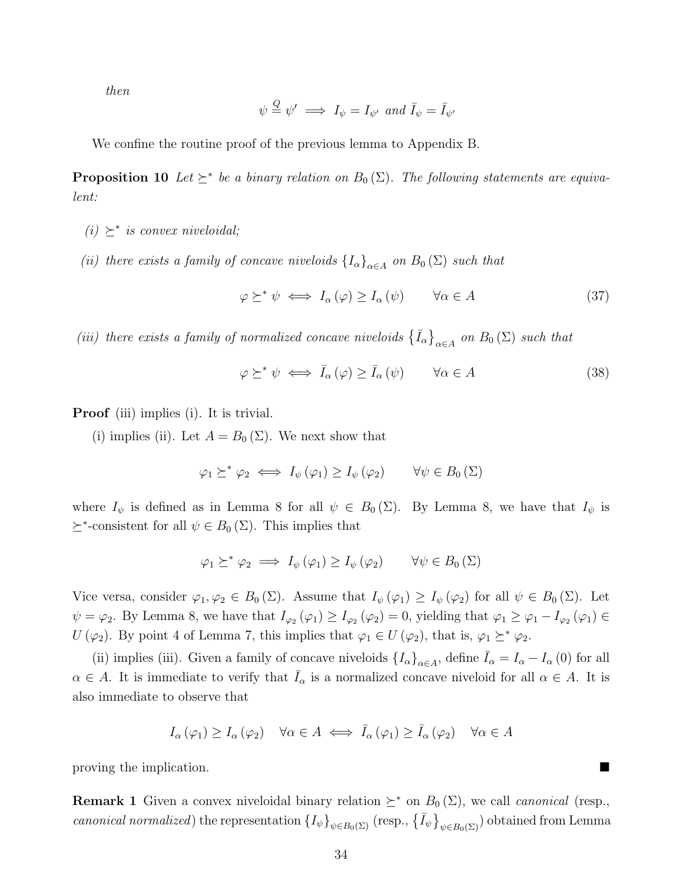then

$$
\psi \stackrel{Q}{=} \psi' \implies I_{\psi} = I_{\psi'}
$$
 and  $\bar{I}_{\psi} = \bar{I}_{\psi'}$ 

We confine the routine proof of the previous lemma to Appendix B.

**Proposition 10** Let  $\succeq^*$  be a binary relation on  $B_0(\Sigma)$ . The following statements are equivalent:

- (i)  $\succeq^*$  is convex niveloidal;
- (ii) there exists a family of concave niveloids  ${I_{\alpha}}_{\alpha \in A}$  on  $B_0(\Sigma)$  such that

$$
\varphi \succeq^* \psi \iff I_\alpha(\varphi) \ge I_\alpha(\psi) \qquad \forall \alpha \in A \tag{37}
$$

(iii) there exists a family of normalized concave niveloids  $\{I_{\alpha}\}_{{\alpha}\in A}$  on  $B_0(\Sigma)$  such that

$$
\varphi \succeq^* \psi \iff \bar{I}_{\alpha}(\varphi) \ge \bar{I}_{\alpha}(\psi) \qquad \forall \alpha \in A \tag{38}
$$

**Proof** (iii) implies (i). It is trivial.

(i) implies (ii). Let  $A = B_0(\Sigma)$ . We next show that

$$
\varphi_1 \succeq^* \varphi_2 \iff I_{\psi}(\varphi_1) \ge I_{\psi}(\varphi_2) \qquad \forall \psi \in B_0(\Sigma)
$$

where  $I_{\psi}$  is defined as in Lemma 8 for all  $\psi \in B_0(\Sigma)$ . By Lemma 8, we have that  $I_{\psi}$  is  $\succeq^*$ -consistent for all  $\psi \in B_0(\Sigma)$ . This implies that

$$
\varphi_1 \succeq^* \varphi_2 \implies I_{\psi}(\varphi_1) \geq I_{\psi}(\varphi_2) \qquad \forall \psi \in B_0(\Sigma)
$$

Vice versa, consider  $\varphi_1, \varphi_2 \in B_0(\Sigma)$ . Assume that  $I_{\psi}(\varphi_1) \geq I_{\psi}(\varphi_2)$  for all  $\psi \in B_0(\Sigma)$ . Let  $\psi = \varphi_2$ . By Lemma 8, we have that  $I_{\varphi_2}(\varphi_1) \geq I_{\varphi_2}(\varphi_2) = 0$ , yielding that  $\varphi_1 \geq \varphi_1 - I_{\varphi_2}(\varphi_1) \in$  $U(\varphi_2)$ . By point 4 of Lemma 7, this implies that  $\varphi_1 \in U(\varphi_2)$ , that is,  $\varphi_1 \succeq^* \varphi_2$ .

(ii) implies (iii). Given a family of concave niveloids  $\{I_{\alpha}\}_{{\alpha}\in A}$ , define  $\bar{I}_{\alpha} = I_{\alpha} - I_{\alpha}$  (0) for all  $\alpha \in A$ . It is immediate to verify that  $\bar{I}_{\alpha}$  is a normalized concave niveloid for all  $\alpha \in A$ . It is also immediate to observe that

$$
I_{\alpha}(\varphi_1) \ge I_{\alpha}(\varphi_2) \quad \forall \alpha \in A \iff \bar{I}_{\alpha}(\varphi_1) \ge \bar{I}_{\alpha}(\varphi_2) \quad \forall \alpha \in A
$$

proving the implication.

**Remark 1** Given a convex niveloidal binary relation  $\geq^*$  on  $B_0(\Sigma)$ , we call *canonical* (resp., canonical normalized) the representation  ${I_\psi\}_{\psi \in B_0(\Sigma)}$  (resp.,  $\{\bar{I}_\psi\}_{\psi \in B_0(\Sigma)}$ ) obtained from Lemma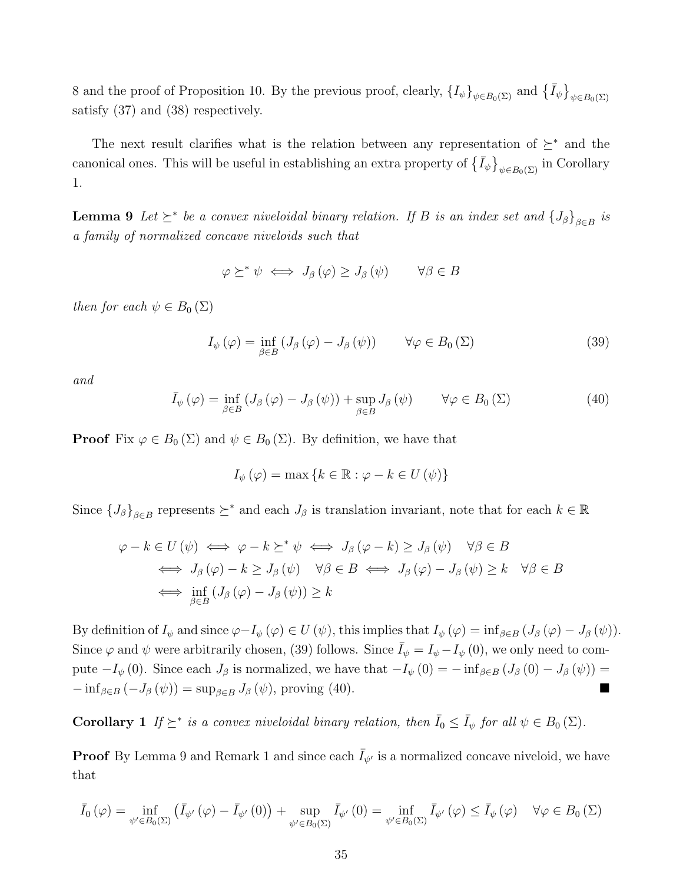8 and the proof of Proposition 10. By the previous proof, clearly,  $\{I_{\psi}\}_{\psi \in B_0(\Sigma)}$  and  $\{\bar{I}_{\psi}\}_{\psi \in B_0(\Sigma)}$ satisfy (37) and (38) respectively.

The next result clarifies what is the relation between any representation of  $\succeq^*$  and the canonical ones. This will be useful in establishing an extra property of  $\{I_{\psi}\}_{\psi \in B_0(\Sigma)}$  in Corollary 1.

**Lemma 9** Let  $\succeq^*$  be a convex niveloidal binary relation. If B is an index set and  $\{J_\beta\}_{\beta \in B}$  is a family of normalized concave niveloids such that

$$
\varphi \succeq^* \psi \iff J_{\beta}(\varphi) \ge J_{\beta}(\psi) \qquad \forall \beta \in B
$$

then for each  $\psi \in B_0(\Sigma)$ 

$$
I_{\psi}(\varphi) = \inf_{\beta \in B} \left( J_{\beta}(\varphi) - J_{\beta}(\psi) \right) \qquad \forall \varphi \in B_0(\Sigma)
$$
\n(39)

and

$$
\bar{I}_{\psi}(\varphi) = \inf_{\beta \in B} \left( J_{\beta}(\varphi) - J_{\beta}(\psi) \right) + \sup_{\beta \in B} J_{\beta}(\psi) \qquad \forall \varphi \in B_0(\Sigma)
$$
\n
$$
(40)
$$

**Proof** Fix  $\varphi \in B_0(\Sigma)$  and  $\psi \in B_0(\Sigma)$ . By definition, we have that

$$
I_{\psi}(\varphi) = \max\left\{k \in \mathbb{R} : \varphi - k \in U(\psi)\right\}
$$

Since  $\{J_\beta\}_{\beta \in B}$  represents  $\succeq^*$  and each  $J_\beta$  is translation invariant, note that for each  $k \in \mathbb{R}$ 

$$
\varphi - k \in U(\psi) \iff \varphi - k \succeq^* \psi \iff J_{\beta}(\varphi - k) \ge J_{\beta}(\psi) \quad \forall \beta \in B
$$
  

$$
\iff J_{\beta}(\varphi) - k \ge J_{\beta}(\psi) \quad \forall \beta \in B \iff J_{\beta}(\varphi) - J_{\beta}(\psi) \ge k \quad \forall \beta \in B
$$
  

$$
\iff \inf_{\beta \in B} (J_{\beta}(\varphi) - J_{\beta}(\psi)) \ge k
$$

By definition of  $I_{\psi}$  and since  $\varphi-I_{\psi}(\varphi) \in U(\psi)$ , this implies that  $I_{\psi}(\varphi) = \inf_{\beta \in B} (J_{\beta}(\varphi) - J_{\beta}(\psi))$ . Since  $\varphi$  and  $\psi$  were arbitrarily chosen, (39) follows. Since  $\bar{I}_{\psi} = I_{\psi} - I_{\psi}$  (0), we only need to compute  $-I_{\psi}(0)$ . Since each  $J_{\beta}$  is normalized, we have that  $-I_{\psi}(0) = -\inf_{\beta \in B} (J_{\beta}(0) - J_{\beta}(\psi)) =$  $-\inf_{\beta \in B} (-J_{\beta} (\psi)) = \sup_{\beta \in B} J_{\beta} (\psi)$ , proving (40).

**Corollary** 1 If  $\succeq^*$  is a convex niveloidal binary relation, then  $\overline{I}_0 \leq \overline{I}_{\psi}$  for all  $\psi \in B_0(\Sigma)$ .

**Proof** By Lemma 9 and Remark 1 and since each  $\bar{I}_{\psi'}$  is a normalized concave niveloid, we have that

$$
\bar{I}_{0}\left(\varphi\right) = \inf_{\psi' \in B_{0}\left(\Sigma\right)} \left(\bar{I}_{\psi'}\left(\varphi\right) - \bar{I}_{\psi'}\left(0\right)\right) + \sup_{\psi' \in B_{0}\left(\Sigma\right)} \bar{I}_{\psi'}\left(0\right) = \inf_{\psi' \in B_{0}\left(\Sigma\right)} \bar{I}_{\psi'}\left(\varphi\right) \le \bar{I}_{\psi}\left(\varphi\right) \quad \forall \varphi \in B_{0}\left(\Sigma\right)
$$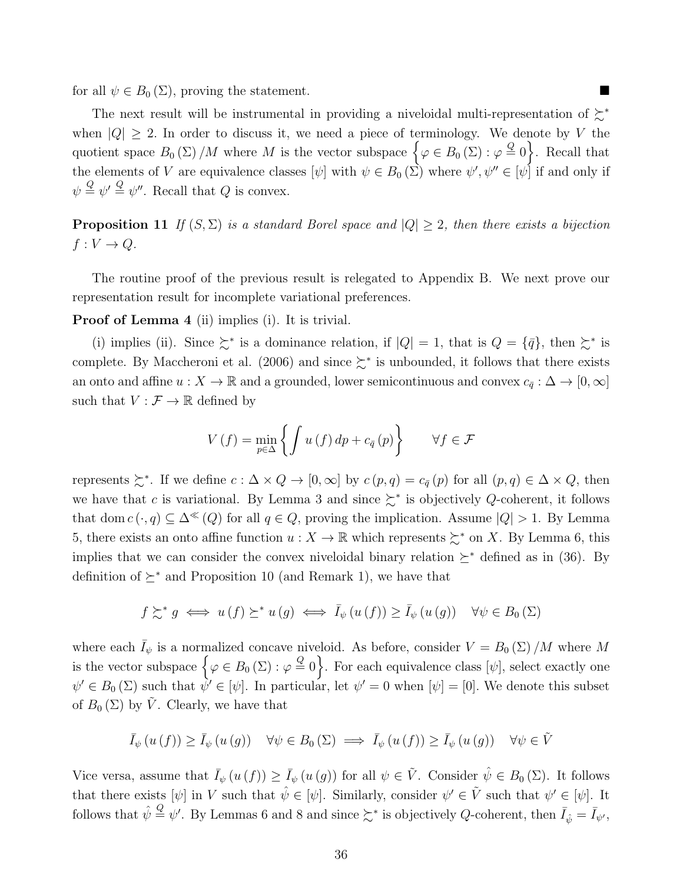for all  $\psi \in B_0(\Sigma)$ , proving the statement.

The next result will be instrumental in providing a niveloidal multi-representation of  $\succsim^*$ when  $|Q| \geq 2$ . In order to discuss it, we need a piece of terminology. We denote by V the quotient space  $B_0(\Sigma) / M$  where M is the vector subspace  $\{\varphi \in B_0(\Sigma) : \varphi \stackrel{Q}{=} 0\}$ . Recall that the elements of V are equivalence classes  $[\psi]$  with  $\psi \in B_0(\Sigma)$  where  $\psi', \psi'' \in [\psi]$  if and only if  $\psi \stackrel{Q}{=} \psi' \stackrel{Q}{=} \psi''$ . Recall that Q is convex.

**Proposition 11** If  $(S, \Sigma)$  is a standard Borel space and  $|Q| \geq 2$ , then there exists a bijection  $f: V \to Q$ .

The routine proof of the previous result is relegated to Appendix B. We next prove our representation result for incomplete variational preferences.

Proof of Lemma 4 (ii) implies (i). It is trivial.

(i) implies (ii). Since  $\succeq^*$  is a dominance relation, if  $|Q|=1$ , that is  $Q=\{\bar{q}\}\,$ , then  $\succeq^*$  is complete. By Maccheroni et al. (2006) and since  $\succsim^*$  is unbounded, it follows that there exists an onto and affine  $u : X \to \mathbb{R}$  and a grounded, lower semicontinuous and convex  $c_{\bar{q}} : \Delta \to [0, \infty]$ such that  $V : \mathcal{F} \to \mathbb{R}$  defined by

$$
V(f) = \min_{p \in \Delta} \left\{ \int u(f) \, dp + c_{\bar{q}}(p) \right\} \qquad \forall f \in \mathcal{F}
$$

represents  $\succsim^*$ . If we define  $c: \Delta \times Q \to [0, \infty]$  by  $c(p, q) = c_{\bar{q}}(p)$  for all  $(p, q) \in \Delta \times Q$ , then we have that c is variational. By Lemma 3 and since  $\geq^*$  is objectively Q-coherent, it follows that dom  $c(\cdot, q) \subseteq \Delta^{\ll}(Q)$  for all  $q \in Q$ , proving the implication. Assume  $|Q| > 1$ . By Lemma 5, there exists an onto affine function  $u : X \to \mathbb{R}$  which represents  $\succsim^*$  on X. By Lemma 6, this implies that we can consider the convex niveloidal binary relation  $\succeq^*$  defined as in (36). By definition of  $\succeq^*$  and Proposition 10 (and Remark 1), we have that

$$
f \succsim^* g \iff u(f) \succeq^* u(g) \iff \bar{I}_{\psi}(u(f)) \geq \bar{I}_{\psi}(u(g)) \quad \forall \psi \in B_0(\Sigma)
$$

where each  $\bar{I}_{\psi}$  is a normalized concave niveloid. As before, consider  $V = B_0(\Sigma)/M$  where M is the vector subspace  $\left\{\varphi \in B_0\left(\Sigma\right) : \varphi \stackrel{Q}{=} 0\right\}$ . For each equivalence class  $[\psi]$ , select exactly one  $\psi' \in B_0(\Sigma)$  such that  $\psi' \in [\psi]$ . In particular, let  $\psi' = 0$  when  $[\psi] = [0]$ . We denote this subset of  $B_0(\Sigma)$  by  $\tilde{V}$ . Clearly, we have that

$$
\bar{I}_{\psi}(u(f)) \geq \bar{I}_{\psi}(u(g)) \quad \forall \psi \in B_0(\Sigma) \implies \bar{I}_{\psi}(u(f)) \geq \bar{I}_{\psi}(u(g)) \quad \forall \psi \in \tilde{V}
$$

Vice versa, assume that  $\bar{I}_{\psi}(u(f)) \geq \bar{I}_{\psi}(u(g))$  for all  $\psi \in \tilde{V}$ . Consider  $\hat{\psi} \in B_0(\Sigma)$ . It follows that there exists  $[\psi]$  in V such that  $\hat{\psi} \in [\psi]$ . Similarly, consider  $\psi' \in \tilde{V}$  such that  $\psi' \in [\psi]$ . It follows that  $\hat{\psi} \stackrel{Q}{=} \psi'$ . By Lemmas 6 and 8 and since  $\succsim^*$  is objectively Q-coherent, then  $\bar{I}_{\hat{\psi}} = \bar{I}_{\psi'}$ ,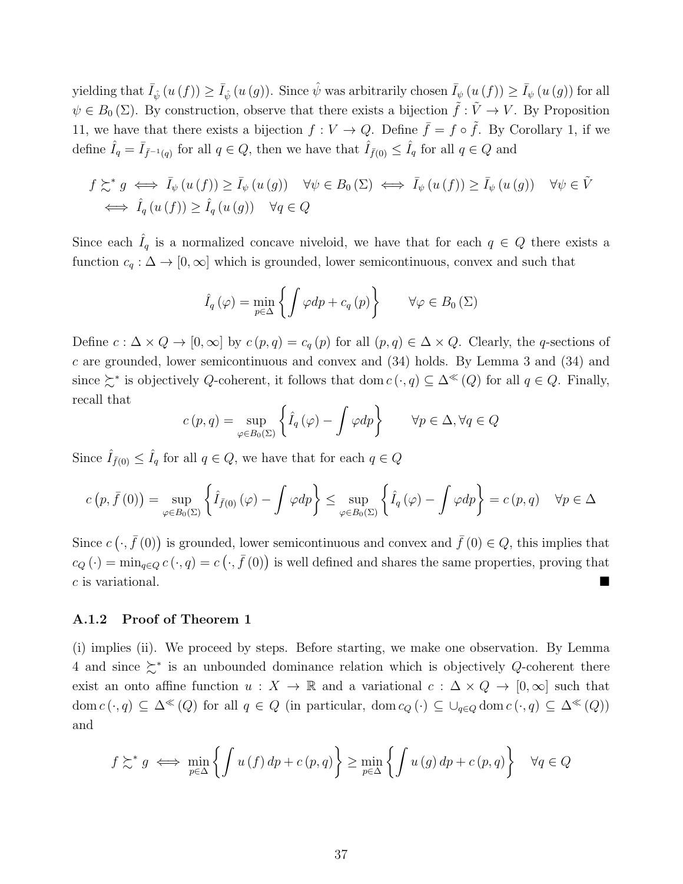yielding that  $\bar{I}_{\hat{\psi}}(u(f)) \ge \bar{I}_{\hat{\psi}}(u(g))$ . Since  $\hat{\psi}$  was arbitrarily chosen  $\bar{I}_{\psi}(u(f)) \ge \bar{I}_{\psi}(u(g))$  for all  $\psi \in B_0(\Sigma)$ . By construction, observe that there exists a bijection  $\tilde{f}: V \to V$ . By Proposition 11, we have that there exists a bijection  $f: V \to Q$ . Define  $\bar{f} = f \circ \tilde{f}$ . By Corollary 1, if we define  $\hat{I}_q = \bar{I}_{\bar{f}^{-1}(q)}$  for all  $q \in Q$ , then we have that  $\hat{I}_{\bar{f}(0)} \leq \hat{I}_q$  for all  $q \in Q$  and

$$
f \succeq^* g \iff \bar{I}_{\psi}(u(f)) \ge \bar{I}_{\psi}(u(g)) \quad \forall \psi \in B_0(\Sigma) \iff \bar{I}_{\psi}(u(f)) \ge \bar{I}_{\psi}(u(g)) \quad \forall \psi \in \tilde{V}
$$
  

$$
\iff \hat{I}_{q}(u(f)) \ge \hat{I}_{q}(u(g)) \quad \forall q \in Q
$$

Since each  $I_q$  is a normalized concave niveloid, we have that for each  $q \in Q$  there exists a function  $c_q : \Delta \to [0, \infty]$  which is grounded, lower semicontinuous, convex and such that

$$
\hat{I}_q(\varphi) = \min_{p \in \Delta} \left\{ \int \varphi dp + c_q(p) \right\} \quad \forall \varphi \in B_0(\Sigma)
$$

Define  $c : \Delta \times Q \to [0, \infty]$  by  $c(p, q) = c_q(p)$  for all  $(p, q) \in \Delta \times Q$ . Clearly, the q-sections of c are grounded, lower semicontinuous and convex and (34) holds. By Lemma 3 and (34) and since  $\succsim^*$  is objectively Q-coherent, it follows that dom  $c(\cdot, q) \subseteq \Delta^{\ll}(Q)$  for all  $q \in Q$ . Finally, recall that

$$
c(p,q) = \sup_{\varphi \in B_0(\Sigma)} \left\{ \hat{I}_q(\varphi) - \int \varphi dp \right\} \qquad \forall p \in \Delta, \forall q \in Q
$$

Since  $\hat{I}_{\bar{f}(0)} \leq \hat{I}_q$  for all  $q \in Q$ , we have that for each  $q \in Q$ 

$$
c(p,\bar{f}(0)) = \sup_{\varphi \in B_0(\Sigma)} \left\{ \hat{I}_{\bar{f}(0)}(\varphi) - \int \varphi dp \right\} \le \sup_{\varphi \in B_0(\Sigma)} \left\{ \hat{I}_q(\varphi) - \int \varphi dp \right\} = c(p,q) \quad \forall p \in \Delta
$$

Since  $c(\cdot, \bar{f}(0))$  is grounded, lower semicontinuous and convex and  $\bar{f}(0) \in Q$ , this implies that  $c_Q(\cdot) = \min_{q \in Q} c(\cdot, q) = c(\cdot, \bar{f}(0))$  is well defined and shares the same properties, proving that  $c$  is variational.

#### A.1.2 Proof of Theorem 1

(i) implies (ii). We proceed by steps. Before starting, we make one observation. By Lemma 4 and since  $\geq^*$  is an unbounded dominance relation which is objectively Q-coherent there exist an onto affine function  $u : X \to \mathbb{R}$  and a variational  $c : \Delta \times Q \to [0,\infty]$  such that dom  $c(\cdot, q) \subseteq \Delta^{\ll}(Q)$  for all  $q \in Q$  (in particular, dom  $c_Q(\cdot) \subseteq \bigcup_{q \in Q} \text{dom } c(\cdot, q) \subseteq \Delta^{\ll}(Q)$ ) and

$$
f \gtrsim^* g \iff \min_{p \in \Delta} \left\{ \int u(f) \, dp + c(p, q) \right\} \ge \min_{p \in \Delta} \left\{ \int u(g) \, dp + c(p, q) \right\} \quad \forall q \in Q
$$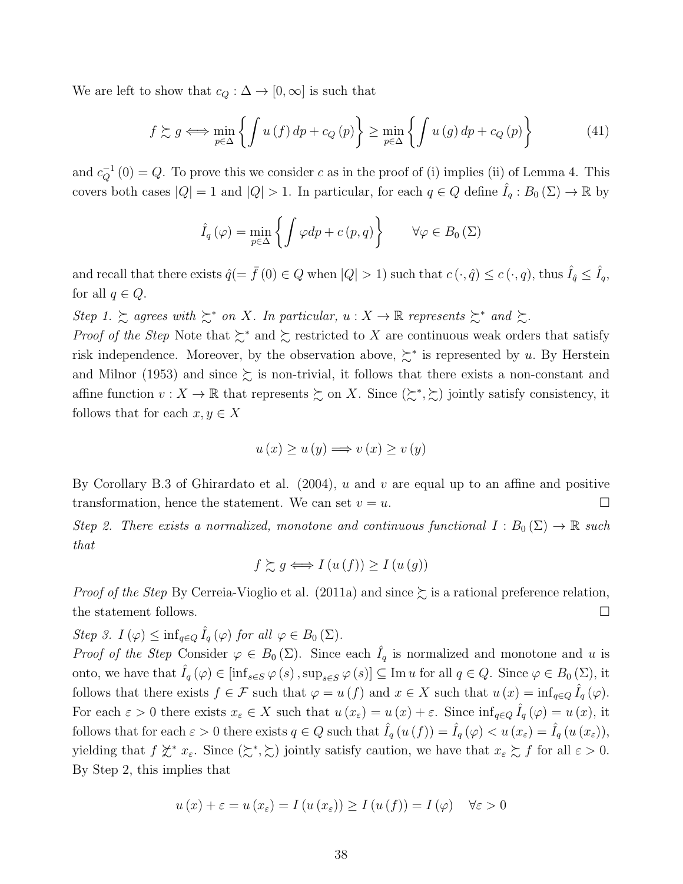We are left to show that  $c_Q : \Delta \to [0, \infty]$  is such that

$$
f \succsim g \iff \min_{p \in \Delta} \left\{ \int u(f) \, dp + c_Q \, (p) \right\} \ge \min_{p \in \Delta} \left\{ \int u(g) \, dp + c_Q \, (p) \right\} \tag{41}
$$

and  $c_Q^{-1}(0) = Q$ . To prove this we consider c as in the proof of (i) implies (ii) of Lemma 4. This covers both cases  $|Q| = 1$  and  $|Q| > 1$ . In particular, for each  $q \in Q$  define  $\hat{I}_q : B_0(\Sigma) \to \mathbb{R}$  by

$$
\hat{I}_q(\varphi) = \min_{p \in \Delta} \left\{ \int \varphi dp + c(p, q) \right\} \qquad \forall \varphi \in B_0(\Sigma)
$$

and recall that there exists  $\hat{q} (= \bar{f}(0) \in Q$  when  $|Q| > 1$ ) such that  $c(\cdot, \hat{q}) \leq c(\cdot, q)$ , thus  $\hat{I}_{\hat{q}} \leq \hat{I}_{q}$ , for all  $q \in Q$ .

Step 1.  $\succsim$  agrees with  $\succsim^*$  on X. In particular,  $u : X \to \mathbb{R}$  represents  $\succsim^*$  and  $\succsim$ .

*Proof of the Step* Note that  $\succsim^*$  and  $\succsim$  restricted to X are continuous weak orders that satisfy risk independence. Moreover, by the observation above,  $\succeq^*$  is represented by u. By Herstein and Milnor (1953) and since  $\succeq$  is non-trivial, it follows that there exists a non-constant and affine function  $v: X \to \mathbb{R}$  that represents  $\succeq$  on X. Since  $(\succsim^*, \succsim)$  jointly satisfy consistency, it follows that for each  $x, y \in X$ 

$$
u(x) \ge u(y) \Longrightarrow v(x) \ge v(y)
$$

By Corollary B.3 of Ghirardato et al.  $(2004)$ , u and v are equal up to an affine and positive transformation, hence the statement. We can set  $v = u$ .

Step 2. There exists a normalized, monotone and continuous functional  $I : B_0(\Sigma) \to \mathbb{R}$  such that

$$
f \succsim g \iff I(u(f)) \ge I(u(g))
$$

*Proof of the Step By Cerreia-Vioglio et al.* (2011a) and since  $\succeq$  is a rational preference relation, the statement follows. □

Step 3.  $I(\varphi) \leq \inf_{q \in Q} \hat{I}_q(\varphi)$  for all  $\varphi \in B_0(\Sigma)$ .

Proof of the Step Consider  $\varphi \in B_0(\Sigma)$ . Since each  $\hat{I}_q$  is normalized and monotone and u is onto, we have that  $\hat{I}_q(\varphi) \in [\inf_{s \in S} \varphi(s), \sup_{s \in S} \varphi(s)] \subseteq \text{Im } u$  for all  $q \in Q$ . Since  $\varphi \in B_0(\Sigma)$ , it follows that there exists  $f \in \mathcal{F}$  such that  $\varphi = u(f)$  and  $x \in X$  such that  $u(x) = \inf_{q \in Q} \hat{I}_q(\varphi)$ . For each  $\varepsilon > 0$  there exists  $x_{\varepsilon} \in X$  such that  $u(x_{\varepsilon}) = u(x) + \varepsilon$ . Since  $\inf_{q \in Q} \hat{I}_q(\varphi) = u(x)$ , it follows that for each  $\varepsilon > 0$  there exists  $q \in Q$  such that  $\tilde{I}_q(u(f)) = \tilde{I}_q(\varphi) < u(x_{\varepsilon}) = \tilde{I}_q(u(x_{\varepsilon}))$ , yielding that  $f \nless^* x_\varepsilon$ . Since  $(\succsim^*, \succsim)$  jointly satisfy caution, we have that  $x_\varepsilon \succsim f$  for all  $\varepsilon > 0$ . By Step 2, this implies that

$$
u(x) + \varepsilon = u(x_{\varepsilon}) = I(u(x_{\varepsilon})) \ge I(u(f)) = I(\varphi) \quad \forall \varepsilon > 0
$$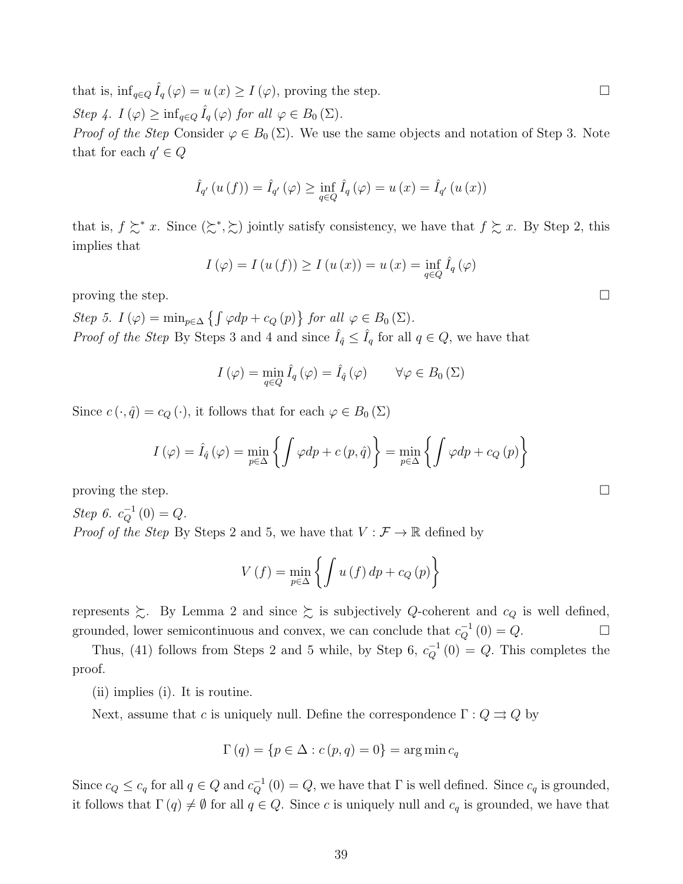that is,  $\inf_{q \in Q} \hat{I}_q(\varphi) = u(x) \geq I(\varphi)$ , proving the step.  $\Box$ 

Step 4.  $I(\varphi) \geq \inf_{q \in Q} \hat{I}_q(\varphi)$  for all  $\varphi \in B_0(\Sigma)$ .

*Proof of the Step* Consider  $\varphi \in B_0(\Sigma)$ . We use the same objects and notation of Step 3. Note that for each  $q' \in Q$ 

$$
\hat{I}_{q'}(u(f)) = \hat{I}_{q'}(\varphi) \ge \inf_{q \in Q} \hat{I}_q(\varphi) = u(x) = \hat{I}_{q'}(u(x))
$$

that is,  $f \succsim^* x$ . Since  $(\succsim^*, \succsim)$  jointly satisfy consistency, we have that  $f \succsim x$ . By Step 2, this implies that

$$
I(\varphi) = I(u(f)) \ge I(u(x)) = u(x) = \inf_{q \in Q} \hat{I}_q(\varphi)
$$

proving the step.  $\Box$ 

Step 5.  $I(\varphi) = \min_{p \in \Delta} \{ \int \varphi dp + c_Q(p) \}$  for all  $\varphi \in B_0(\Sigma)$ . *Proof of the Step* By Steps 3 and 4 and since  $\hat{I}_q \leq \hat{I}_q$  for all  $q \in Q$ , we have that

$$
I(\varphi) = \min_{q \in Q} \hat{I}_q(\varphi) = \hat{I}_{\hat{q}}(\varphi) \qquad \forall \varphi \in B_0(\Sigma)
$$

Since  $c(\cdot, \hat{q}) = c_Q(\cdot)$ , it follows that for each  $\varphi \in B_0(\Sigma)$ 

$$
I(\varphi) = \hat{I}_{\hat{q}}(\varphi) = \min_{p \in \Delta} \left\{ \int \varphi dp + c(p, \hat{q}) \right\} = \min_{p \in \Delta} \left\{ \int \varphi dp + c_Q(p) \right\}
$$

proving the step.

Step 6.  $c_Q^{-1}(0) = Q$ . *Proof of the Step* By Steps 2 and 5, we have that  $V : \mathcal{F} \to \mathbb{R}$  defined by

$$
V(f) = \min_{p \in \Delta} \left\{ \int u(f) \, dp + c_Q(p) \right\}
$$

represents  $\succeq$ . By Lemma 2 and since  $\succeq$  is subjectively Q-coherent and  $c_Q$  is well defined, grounded, lower semicontinuous and convex, we can conclude that  $c_Q^{-1}(0) = Q$ .  $\Box$ 

Thus, (41) follows from Steps 2 and 5 while, by Step 6,  $c_Q^{-1}(0) = Q$ . This completes the proof.

(ii) implies (i). It is routine.

Next, assume that c is uniquely null. Define the correspondence  $\Gamma: Q \rightrightarrows Q$  by

$$
\Gamma(q) = \{ p \in \Delta : c(p, q) = 0 \} = \arg \min c_q
$$

Since  $c_Q \leq c_q$  for all  $q \in Q$  and  $c_Q^{-1}(0) = Q$ , we have that  $\Gamma$  is well defined. Since  $c_q$  is grounded, it follows that  $\Gamma(q) \neq \emptyset$  for all  $q \in Q$ . Since c is uniquely null and  $c_q$  is grounded, we have that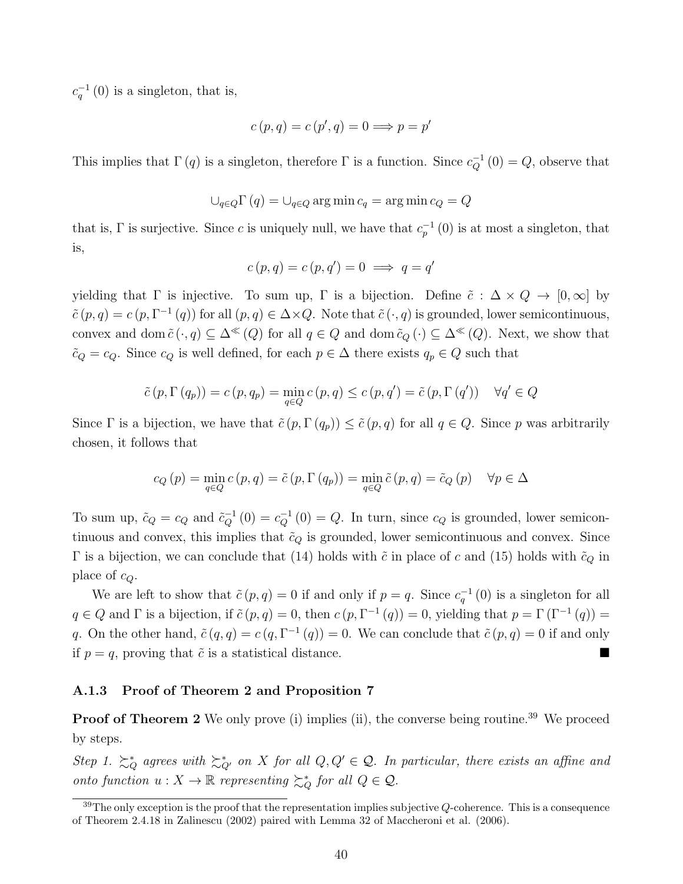$c_q^{-1}(0)$  is a singleton, that is,

$$
c(p,q) = c(p',q) = 0 \Longrightarrow p = p'
$$

This implies that  $\Gamma(q)$  is a singleton, therefore  $\Gamma$  is a function. Since  $c_Q^{-1}(0) = Q$ , observe that

$$
\bigcup_{q \in Q} \Gamma(q) = \bigcup_{q \in Q} \arg \min c_q = \arg \min c_Q = Q
$$

that is,  $\Gamma$  is surjective. Since c is uniquely null, we have that  $c_p^{-1}(0)$  is at most a singleton, that is,

$$
c(p,q) = c(p,q') = 0 \implies q = q'
$$

yielding that  $\Gamma$  is injective. To sum up,  $\Gamma$  is a bijection. Define  $\tilde{c} : \Delta \times Q \to [0, \infty]$  by  $\tilde{c}(p,q) = c(p,\Gamma^{-1}(q))$  for all  $(p,q) \in \Delta \times Q$ . Note that  $\tilde{c}(\cdot,q)$  is grounded, lower semicontinuous, convex and dom  $\tilde{c}(\cdot, q) \subseteq \Delta^{\ll}(Q)$  for all  $q \in Q$  and dom  $\tilde{c}_Q(\cdot) \subseteq \Delta^{\ll}(Q)$ . Next, we show that  $\tilde{c}_Q = c_Q$ . Since  $c_Q$  is well defined, for each  $p \in \Delta$  there exists  $q_p \in Q$  such that

$$
\tilde{c}(p, \Gamma(q_p)) = c(p, q_p) = \min_{q \in Q} c(p, q) \leq c(p, q') = \tilde{c}(p, \Gamma(q')) \quad \forall q' \in Q
$$

Since Γ is a bijection, we have that  $\tilde{c}(p, \Gamma(q_p)) \leq \tilde{c}(p, q)$  for all  $q \in Q$ . Since p was arbitrarily chosen, it follows that

$$
c_Q(p) = \min_{q \in Q} c(p, q) = \tilde{c}(p, \Gamma(q_p)) = \min_{q \in Q} \tilde{c}(p, q) = \tilde{c}_Q(p) \quad \forall p \in \Delta
$$

To sum up,  $\tilde{c}_Q = c_Q$  and  $\tilde{c}_Q^{-1}(0) = c_Q^{-1}(0) = Q$ . In turn, since  $c_Q$  is grounded, lower semicontinuous and convex, this implies that  $\tilde{c}_Q$  is grounded, lower semicontinuous and convex. Since Γ is a bijection, we can conclude that (14) holds with  $\tilde{c}$  in place of c and (15) holds with  $\tilde{c}_Q$  in place of  $c_Q$ .

We are left to show that  $\tilde{c}(p,q) = 0$  if and only if  $p = q$ . Since  $c_q^{-1}(0)$  is a singleton for all  $q \in Q$  and  $\Gamma$  is a bijection, if  $\tilde{c}(p,q) = 0$ , then  $c(p, \Gamma^{-1}(q)) = 0$ , yielding that  $p = \Gamma(\Gamma^{-1}(q)) = 0$ q. On the other hand,  $\tilde{c}(q, q) = c(q, \Gamma^{-1}(q)) = 0$ . We can conclude that  $\tilde{c}(p, q) = 0$  if and only if  $p = q$ , proving that  $\tilde{c}$  is a statistical distance.

#### A.1.3 Proof of Theorem 2 and Proposition 7

Proof of Theorem 2 We only prove (i) implies (ii), the converse being routine.<sup>39</sup> We proceed by steps.

Step 1.  $\succsim_Q^*$  agrees with  $\succsim_{Q'}^*$  on X for all  $Q, Q' \in \mathcal{Q}$ . In particular, there exists an affine and onto function  $u: X \to \mathbb{R}$  representing  $\succeq_Q^*$  for all  $Q \in \mathcal{Q}$ .

 $39$ The only exception is the proof that the representation implies subjective Q-coherence. This is a consequence of Theorem 2.4.18 in Zalinescu (2002) paired with Lemma 32 of Maccheroni et al. (2006).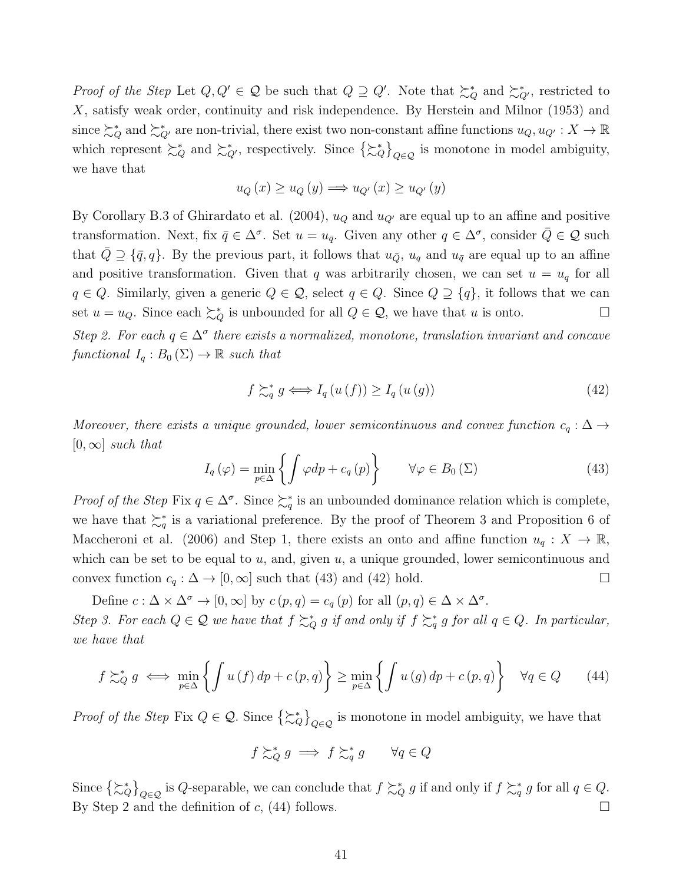Proof of the Step Let  $Q, Q' \in \mathcal{Q}$  be such that  $Q \supseteq Q'$ . Note that  $\succsim_Q^*$  and  $\succsim_{Q'}^*$ , restricted to X, satisfy weak order, continuity and risk independence. By Herstein and Milnor (1953) and since  $\succsim_Q$  and  $\succsim_Q$  are non-trivial, there exist two non-constant affine functions  $u_Q, u_{Q'}: X \to \mathbb{R}$ which represent  $\succsim_Q^*$  and  $\succsim_{Q'}^*$ , respectively. Since  $\{\succsim_Q^*\}_{Q\in\mathcal{Q}}$  is monotone in model ambiguity, we have that

$$
u_Q(x) \ge u_Q(y) \Longrightarrow u_{Q'}(x) \ge u_{Q'}(y)
$$

By Corollary B.3 of Ghirardato et al. (2004),  $u<sub>Q</sub>$  and  $u<sub>Q'</sub>$  are equal up to an affine and positive transformation. Next, fix  $\bar{q} \in \Delta^{\sigma}$ . Set  $u = u_{\bar{q}}$ . Given any other  $q \in \Delta^{\sigma}$ , consider  $\bar{Q} \in \mathcal{Q}$  such that  $\overline{Q} \supseteq {\overline{q}, q}$ . By the previous part, it follows that  $u_{\overline{Q}}, u_q$  and  $u_{\overline{q}}$  are equal up to an affine and positive transformation. Given that q was arbitrarily chosen, we can set  $u = u_q$  for all  $q \in Q$ . Similarly, given a generic  $Q \in \mathcal{Q}$ , select  $q \in Q$ . Since  $Q \supseteq \{q\}$ , it follows that we can set  $u = u_Q$ . Since each  $\succeq_Q^*$  is unbounded for all  $Q \in \mathcal{Q}$ , we have that u is onto.  $\Box$ 

Step 2. For each  $q \in \Delta^{\sigma}$  there exists a normalized, monotone, translation invariant and concave functional  $I_q : B_0(\Sigma) \to \mathbb{R}$  such that

$$
f \succsim_{q}^{*} g \iff I_{q}(u(f)) \ge I_{q}(u(g)) \tag{42}
$$

Moreover, there exists a unique grounded, lower semicontinuous and convex function  $c_q : \Delta \rightarrow$  $[0,\infty]$  such that

$$
I_{q}(\varphi) = \min_{p \in \Delta} \left\{ \int \varphi dp + c_{q}(p) \right\} \qquad \forall \varphi \in B_{0}(\Sigma)
$$
 (43)

Proof of the Step Fix  $q \in \Delta^{\sigma}$ . Since  $\succcurlyeq_q^*$  is an unbounded dominance relation which is complete, we have that  $\succeq_q^*$  is a variational preference. By the proof of Theorem 3 and Proposition 6 of Maccheroni et al. (2006) and Step 1, there exists an onto and affine function  $u_q: X \to \mathbb{R}$ , which can be set to be equal to  $u$ , and, given  $u$ , a unique grounded, lower semicontinuous and convex function  $c_q : \Delta \to [0, \infty]$  such that (43) and (42) hold.  $\Box$ 

Define  $c : \Delta \times \Delta^{\sigma} \to [0, \infty]$  by  $c(p, q) = c_q(p)$  for all  $(p, q) \in \Delta \times \Delta^{\sigma}$ . Step 3. For each  $Q \in \mathcal{Q}$  we have that  $f \succsim_Q^* g$  if and only if  $f \succsim_q^* g$  for all  $q \in Q$ . In particular, we have that

$$
f \succsim_{Q}^{*} g \iff \min_{p \in \Delta} \left\{ \int u(f) \, dp + c(p, q) \right\} \ge \min_{p \in \Delta} \left\{ \int u(g) \, dp + c(p, q) \right\} \quad \forall q \in Q \tag{44}
$$

*Proof of the Step* Fix  $Q \in \mathcal{Q}$ . Since  $\{\gtrsim^*\}\mathcal{Q}_{\in \mathcal{Q}}$  is monotone in model ambiguity, we have that

$$
f \succsim_{Q}^{*} g \implies f \succsim_{q}^{*} g \qquad \forall q \in Q
$$

Since  $\{\succsim_Q^*\}$  is Q-separable, we can conclude that  $f \succsim_Q^* g$  if and only if  $f \succsim_q^* g$  for all  $q \in Q$ . By Step 2 and the definition of c, (44) follows.  $\Box$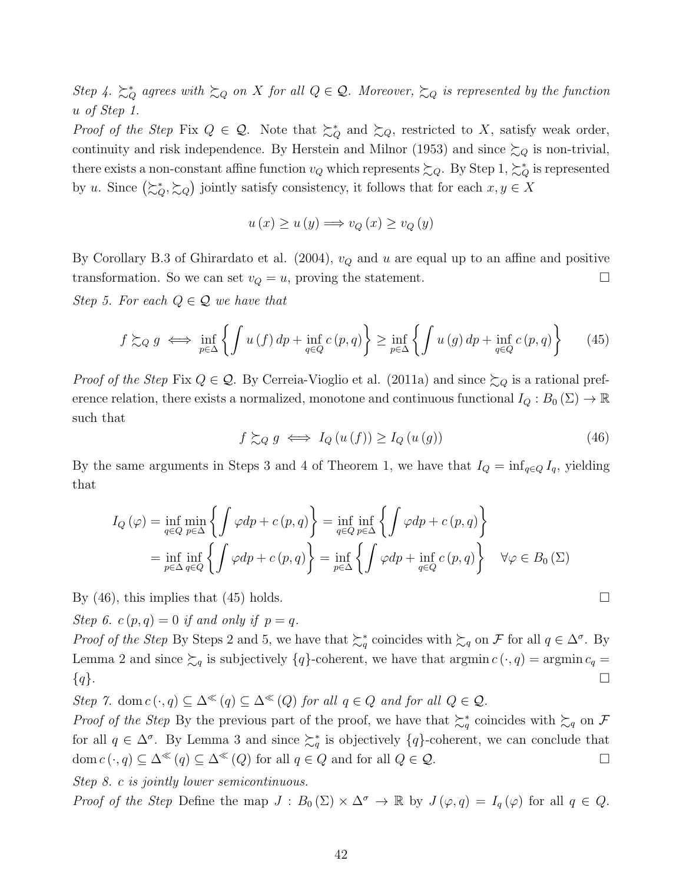Step 4.  $\sum_{Q}^{*}$  agrees with  $\sum_{Q}$  on X for all  $Q \in \mathcal{Q}$ . Moreover,  $\sum_{Q}$  is represented by the function u of Step 1.

Proof of the Step Fix  $Q \in \mathcal{Q}$ . Note that  $\succsim_Q^*$  and  $\succsim_Q$ , restricted to X, satisfy weak order, continuity and risk independence. By Herstein and Milnor (1953) and since  $\succsim_Q$  is non-trivial, there exists a non-constant affine function  $v_Q$  which represents  $\succsim_Q$ . By Step 1,  $\succsim_Q^*$  is represented by u. Since  $(\succsim_Q^*, \succsim_Q)$  jointly satisfy consistency, it follows that for each  $x, y \in X$ 

$$
u(x) \ge u(y) \Longrightarrow v_Q(x) \ge v_Q(y)
$$

By Corollary B.3 of Ghirardato et al. (2004),  $v_Q$  and u are equal up to an affine and positive transformation. So we can set  $v_Q = u$ , proving the statement.  $\Box$ 

Step 5. For each  $Q \in \mathcal{Q}$  we have that

$$
f \succsim_Q g \iff \inf_{p \in \Delta} \left\{ \int u(f) \, dp + \inf_{q \in Q} c(p, q) \right\} \ge \inf_{p \in \Delta} \left\{ \int u(g) \, dp + \inf_{q \in Q} c(p, q) \right\} \tag{45}
$$

*Proof of the Step Fix Q*  $\in \mathcal{Q}$ *.* By Cerreia-Vioglio et al. (2011a) and since  $\succsim_Q$  is a rational preference relation, there exists a normalized, monotone and continuous functional  $I_Q: B_0(\Sigma) \to \mathbb{R}$ such that

$$
f \succeq_{Q} g \iff I_{Q}(u(f)) \ge I_{Q}(u(g)) \tag{46}
$$

By the same arguments in Steps 3 and 4 of Theorem 1, we have that  $I_Q = \inf_{q \in Q} I_q$ , yielding that

$$
I_Q(\varphi) = \inf_{q \in Q} \min_{p \in \Delta} \left\{ \int \varphi dp + c(p, q) \right\} = \inf_{q \in Q} \inf_{p \in \Delta} \left\{ \int \varphi dp + c(p, q) \right\}
$$
  
= 
$$
\inf_{p \in \Delta} \inf_{q \in Q} \left\{ \int \varphi dp + c(p, q) \right\} = \inf_{p \in \Delta} \left\{ \int \varphi dp + \inf_{q \in Q} c(p, q) \right\} \quad \forall \varphi \in B_0(\Sigma)
$$

By (46), this implies that (45) holds.  $\Box$ 

Step 6.  $c(p,q) = 0$  if and only if  $p = q$ .

Proof of the Step By Steps 2 and 5, we have that  $\succsim_q^*$  coincides with  $\succsim_q$  on F for all  $q \in \Delta^{\sigma}$ . By Lemma 2 and since  $\succsim_q$  is subjectively  $\{q\}$ -coherent, we have that argmin  $c(\cdot, q) = \operatorname{argmin} c_q =$  $\{q\}.$ 

Step 7. dom  $c(\cdot, q) \subseteq \Delta^{\ll}(q) \subseteq \Delta^{\ll}(Q)$  for all  $q \in Q$  and for all  $Q \in \mathcal{Q}$ .

*Proof of the Step* By the previous part of the proof, we have that  $\succsim_q^*$  coincides with  $\succsim_q$  on F for all  $q \in \Delta^{\sigma}$ . By Lemma 3 and since  $\succsim_q^*$  is objectively  $\{q\}$ -coherent, we can conclude that dom  $c(\cdot, q) \subseteq \Delta^{\ll}(q) \subseteq \Delta^{\ll}(Q)$  for all  $q \in Q$  and for all  $Q \in \mathcal{Q}$ .

Step 8. c is jointly lower semicontinuous.

Proof of the Step Define the map  $J : B_0(\Sigma) \times \Delta^{\sigma} \to \mathbb{R}$  by  $J(\varphi, q) = I_q(\varphi)$  for all  $q \in Q$ .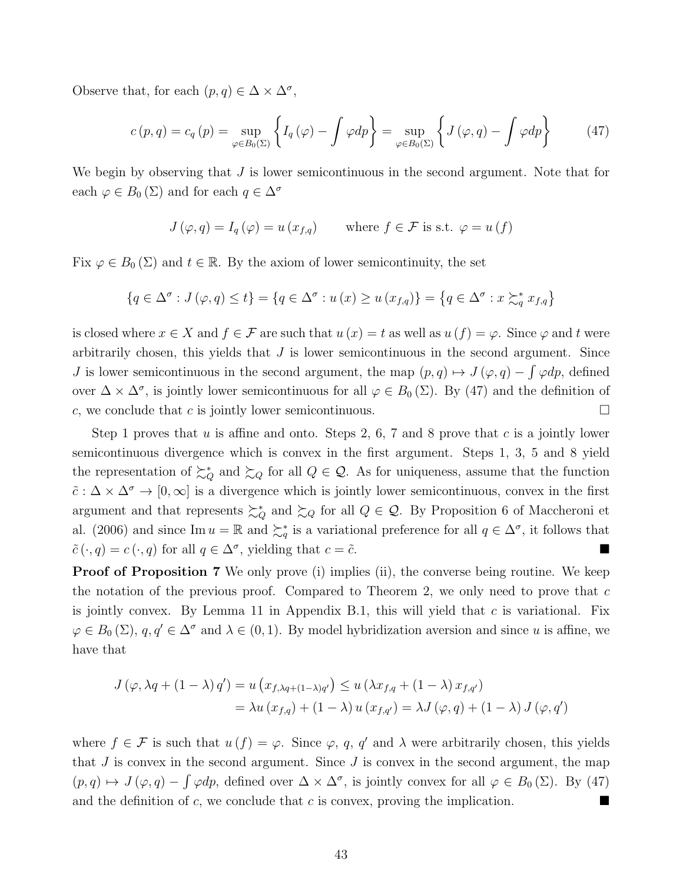Observe that, for each  $(p, q) \in \Delta \times \Delta^{\sigma}$ ,

$$
c(p,q) = c_q(p) = \sup_{\varphi \in B_0(\Sigma)} \left\{ I_q(\varphi) - \int \varphi dp \right\} = \sup_{\varphi \in B_0(\Sigma)} \left\{ J(\varphi, q) - \int \varphi dp \right\} \tag{47}
$$

We begin by observing that  $J$  is lower semicontinuous in the second argument. Note that for each  $\varphi \in B_0(\Sigma)$  and for each  $q \in \Delta^{\sigma}$ 

$$
J(\varphi, q) = I_q(\varphi) = u(x_{f,q}) \quad \text{where } f \in \mathcal{F} \text{ is s.t. } \varphi = u(f)
$$

Fix  $\varphi \in B_0(\Sigma)$  and  $t \in \mathbb{R}$ . By the axiom of lower semicontinuity, the set

$$
\{q \in \Delta^{\sigma} : J(\varphi, q) \le t\} = \{q \in \Delta^{\sigma} : u(x) \ge u(x_{f,q})\} = \{q \in \Delta^{\sigma} : x \succsim_q^* x_{f,q}\}
$$

is closed where  $x \in X$  and  $f \in \mathcal{F}$  are such that  $u(x) = t$  as well as  $u(f) = \varphi$ . Since  $\varphi$  and t were arbitrarily chosen, this yields that  $J$  is lower semicontinuous in the second argument. Since J is lower semicontinuous in the second argument, the map  $(p, q) \mapsto J(\varphi, q) - \int \varphi dp$ , defined over  $\Delta \times \Delta^{\sigma}$ , is jointly lower semicontinuous for all  $\varphi \in B_0(\Sigma)$ . By (47) and the definition of c, we conclude that c is jointly lower semicontinuous.  $\Box$ 

Step 1 proves that u is affine and onto. Steps 2, 6, 7 and 8 prove that c is a jointly lower semicontinuous divergence which is convex in the first argument. Steps 1, 3, 5 and 8 yield the representation of  $\succsim_Q^*$  and  $\succsim_Q$  for all  $Q \in \mathcal{Q}$ . As for uniqueness, assume that the function  $\tilde{c}: \Delta \times \Delta^{\sigma} \to [0, \infty]$  is a divergence which is jointly lower semicontinuous, convex in the first argument and that represents  $\succsim_Q^*$  and  $\succsim_Q$  for all  $Q \in \mathcal{Q}$ . By Proposition 6 of Maccheroni et al. (2006) and since Im  $u = \mathbb{R}$  and  $\succeq_q^*$  is a variational preference for all  $q \in \Delta^{\sigma}$ , it follows that  $\tilde{c}(\cdot, q) = c(\cdot, q)$  for all  $q \in \Delta^{\sigma}$ , yielding that  $c = \tilde{c}$ .

**Proof of Proposition 7** We only prove (i) implies (ii), the converse being routine. We keep the notation of the previous proof. Compared to Theorem 2, we only need to prove that  $c$ is jointly convex. By Lemma 11 in Appendix B.1, this will yield that  $c$  is variational. Fix  $\varphi \in B_0(\Sigma)$ ,  $q, q' \in \Delta^{\sigma}$  and  $\lambda \in (0, 1)$ . By model hybridization aversion and since u is affine, we have that

$$
J(\varphi, \lambda q + (1 - \lambda) q') = u(x_{f, \lambda q + (1 - \lambda)q'}) \le u(\lambda x_{f, q} + (1 - \lambda) x_{f, q'})
$$
  
=  $\lambda u(x_{f, q}) + (1 - \lambda) u(x_{f, q'}) = \lambda J(\varphi, q) + (1 - \lambda) J(\varphi, q')$ 

where  $f \in \mathcal{F}$  is such that  $u(f) = \varphi$ . Since  $\varphi$ , q, q' and  $\lambda$  were arbitrarily chosen, this yields that  $J$  is convex in the second argument. Since  $J$  is convex in the second argument, the map  $(p,q) \mapsto J(\varphi,q) - \int \varphi dp$ , defined over  $\Delta \times \Delta^{\sigma}$ , is jointly convex for all  $\varphi \in B_0(\Sigma)$ . By (47) and the definition of c, we conclude that c is convex, proving the implication.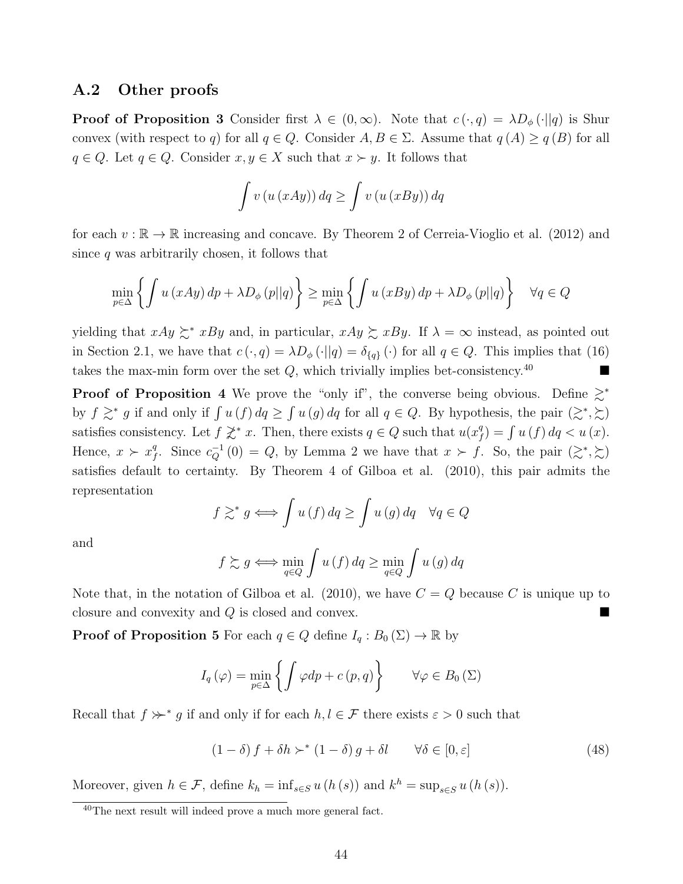### A.2 Other proofs

**Proof of Proposition 3** Consider first  $\lambda \in (0,\infty)$ . Note that  $c(\cdot,q) = \lambda D_{\phi}(\cdot||q)$  is Shur convex (with respect to q) for all  $q \in Q$ . Consider  $A, B \in \Sigma$ . Assume that  $q(A) \geq q(B)$  for all  $q \in Q$ . Let  $q \in Q$ . Consider  $x, y \in X$  such that  $x \succ y$ . It follows that

$$
\int v(u(xAy))\,dq \ge \int v(u(xBy))\,dq
$$

for each  $v : \mathbb{R} \to \mathbb{R}$  increasing and concave. By Theorem 2 of Cerreia-Vioglio et al. (2012) and since  $q$  was arbitrarily chosen, it follows that

$$
\min_{p \in \Delta} \left\{ \int u(xAy) \, dp + \lambda D_{\phi}(p||q) \right\} \ge \min_{p \in \Delta} \left\{ \int u(xBy) \, dp + \lambda D_{\phi}(p||q) \right\} \quad \forall q \in Q
$$

yielding that  $xAy \succeq^* xBy$  and, in particular,  $xAy \succeq xBy$ . If  $\lambda = \infty$  instead, as pointed out in Section 2.1, we have that  $c(\cdot, q) = \lambda D_{\phi}(\cdot || q) = \delta_{\{q\}}(\cdot)$  for all  $q \in Q$ . This implies that (16) takes the max-min form over the set  $Q$ , which trivially implies bet-consistency.<sup>40</sup>

**Proof of Proposition 4** We prove the "only if", the converse being obvious. Define  $\geq^*$ by  $f \geq^* g$  if and only if  $\int u(f) dq \geq \int u(g) dq$  for all  $q \in Q$ . By hypothesis, the pair  $(\geq^*, \geq)$ satisfies consistency. Let  $f \not\geq^* x$ . Then, there exists  $q \in Q$  such that  $u(x)$ <sup>4</sup>  $f_{f}^{q}$ ) =  $\int u(f) dq < u(x)$ . Hence,  $x \succ x_i^q$ <sup>q</sup>. Since  $c_Q^{-1}(0) = Q$ , by Lemma 2 we have that  $x \succ f$ . So, the pair  $(\gtrsim^*, \gtrsim)$ satisfies default to certainty. By Theorem 4 of Gilboa et al. (2010), this pair admits the representation

$$
f \gtrsim^* g \iff \int u(f) \, dq \ge \int u(g) \, dq \quad \forall q \in Q
$$

and

$$
f \gtrsim g \iff \min_{q \in Q} \int u(f) \, dq \ge \min_{q \in Q} \int u(g) \, dq
$$

Note that, in the notation of Gilboa et al. (2010), we have  $C = Q$  because C is unique up to closure and convexity and  $Q$  is closed and convex.

**Proof of Proposition 5** For each  $q \in Q$  define  $I_q : B_0(\Sigma) \to \mathbb{R}$  by

$$
I_q(\varphi) = \min_{p \in \Delta} \left\{ \int \varphi dp + c(p, q) \right\} \qquad \forall \varphi \in B_0(\Sigma)
$$

Recall that  $f \nsucc^* g$  if and only if for each  $h, l \in \mathcal{F}$  there exists  $\varepsilon > 0$  such that

$$
(1 - \delta) f + \delta h \succ^* (1 - \delta) g + \delta l \qquad \forall \delta \in [0, \varepsilon]
$$
\n
$$
(48)
$$

Moreover, given  $h \in \mathcal{F}$ , define  $k_h = \inf_{s \in S} u(h(s))$  and  $k^h = \sup_{s \in S} u(h(s))$ .

<sup>40</sup>The next result will indeed prove a much more general fact.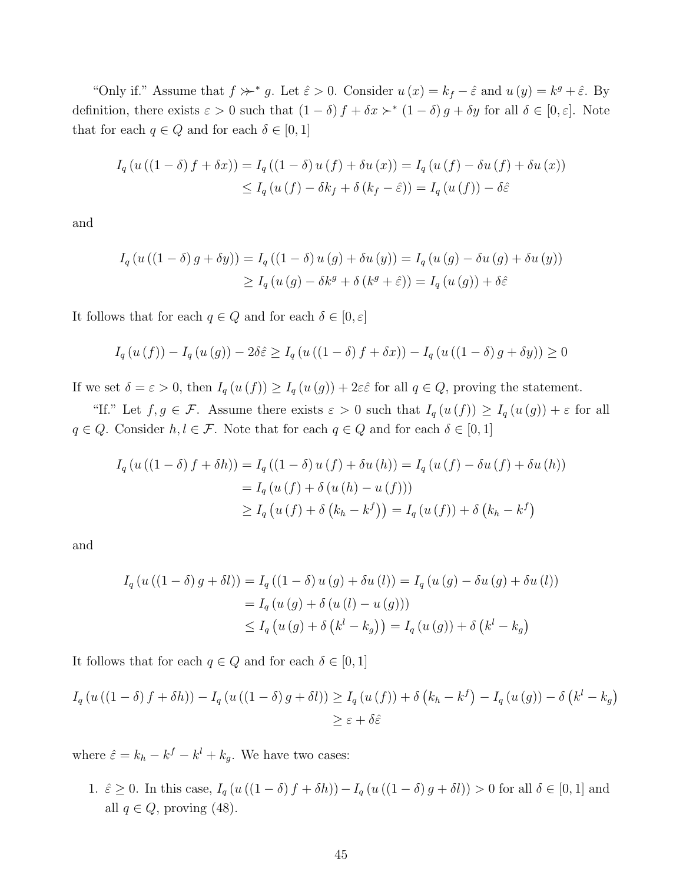"Only if." Assume that  $f \nsucc^* g$ . Let  $\hat{\varepsilon} > 0$ . Consider  $u(x) = k_f - \hat{\varepsilon}$  and  $u(y) = k^g + \hat{\varepsilon}$ . By definition, there exists  $\varepsilon > 0$  such that  $(1 - \delta) f + \delta x >^* (1 - \delta) g + \delta y$  for all  $\delta \in [0, \varepsilon]$ . Note that for each  $q \in Q$  and for each  $\delta \in [0, 1]$ 

$$
I_q(u((1 - \delta) f + \delta x)) = I_q((1 - \delta) u(f) + \delta u(x)) = I_q(u(f) - \delta u(f) + \delta u(x))
$$
  

$$
\leq I_q(u(f) - \delta k_f + \delta (k_f - \hat{\varepsilon})) = I_q(u(f)) - \delta \hat{\varepsilon}
$$

and

$$
I_q(u((1 - \delta) g + \delta y)) = I_q((1 - \delta) u(g) + \delta u(y)) = I_q(u(g) - \delta u(g) + \delta u(y))
$$
  
\n
$$
\geq I_q(u(g) - \delta k^g + \delta (k^g + \hat{\varepsilon})) = I_q(u(g)) + \delta \hat{\varepsilon}
$$

It follows that for each  $q \in Q$  and for each  $\delta \in [0, \varepsilon]$ 

$$
I_{q}(u(f)) - I_{q}(u(g)) - 2\delta \hat{\varepsilon} \geq I_{q}(u((1 - \delta) f + \delta x)) - I_{q}(u((1 - \delta) g + \delta y)) \geq 0
$$

If we set  $\delta = \varepsilon > 0$ , then  $I_q(u(f)) \geq I_q(u(g)) + 2\varepsilon \hat{\varepsilon}$  for all  $q \in Q$ , proving the statement.

"If." Let  $f, g \in \mathcal{F}$ . Assume there exists  $\varepsilon > 0$  such that  $I_q(u(f)) \geq I_q(u(g)) + \varepsilon$  for all  $q \in Q$ . Consider  $h, l \in \mathcal{F}$ . Note that for each  $q \in Q$  and for each  $\delta \in [0, 1]$ 

$$
I_{q}(u((1 - \delta) f + \delta h)) = I_{q}((1 - \delta) u(f) + \delta u(h)) = I_{q}(u(f) - \delta u(f) + \delta u(h))
$$
  
=  $I_{q}(u(f) + \delta (u(h) - u(f)))$   

$$
\geq I_{q}(u(f) + \delta (k_{h} - k^{f})) = I_{q}(u(f)) + \delta (k_{h} - k^{f})
$$

and

$$
I_q(u((1 - \delta) g + \delta l)) = I_q((1 - \delta) u(g) + \delta u(l)) = I_q(u(g) - \delta u(g) + \delta u(l))
$$
  
= 
$$
I_q(u(g) + \delta (u(l) - u(g)))
$$
  

$$
\leq I_q(u(g) + \delta (k^l - k_g)) = I_q(u(g)) + \delta (k^l - k_g)
$$

It follows that for each  $q \in Q$  and for each  $\delta \in [0,1]$ 

$$
I_q(u((1-\delta) f + \delta h)) - I_q(u((1-\delta) g + \delta l)) \ge I_q(u(f)) + \delta (k_h - k^f) - I_q(u(g)) - \delta (k^l - k_g)
$$
  

$$
\ge \varepsilon + \delta \hat{\varepsilon}
$$

where  $\hat{\varepsilon} = k_h - k^f - k^l + k_g$ . We have two cases:

1.  $\hat{\varepsilon} \geq 0$ . In this case,  $I_q(u((1-\delta)f + \delta h)) - I_q(u((1-\delta)g + \delta l)) > 0$  for all  $\delta \in [0,1]$  and all  $q \in Q$ , proving (48).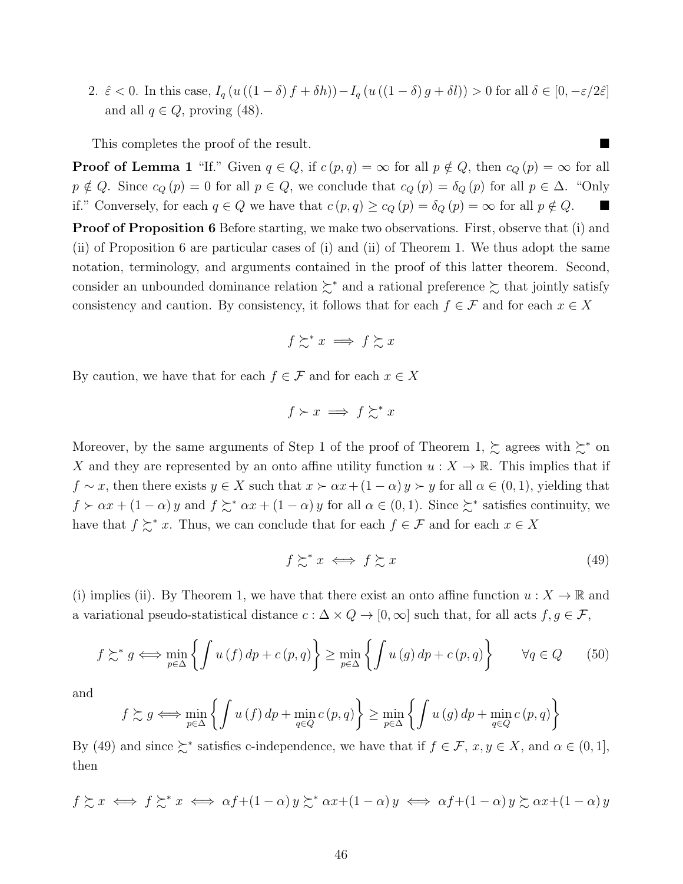2.  $\hat{\varepsilon}$  < 0. In this case,  $I_q(u((1 - \delta) f + \delta h)) - I_q(u((1 - \delta) g + \delta l)) > 0$  for all  $\delta \in [0, -\varepsilon/2\hat{\varepsilon}]$ and all  $q \in Q$ , proving (48).

This completes the proof of the result.

**Proof of Lemma 1** "If." Given  $q \in Q$ , if  $c(p, q) = \infty$  for all  $p \notin Q$ , then  $c_Q(p) = \infty$  for all  $p \notin Q$ . Since  $c_Q(p) = 0$  for all  $p \in Q$ , we conclude that  $c_Q(p) = \delta_Q(p)$  for all  $p \in \Delta$ . "Only if." Conversely, for each  $q \in Q$  we have that  $c(p, q) \ge c_Q(p) = \delta_Q(p) = \infty$  for all  $p \notin Q$ .

Proof of Proposition 6 Before starting, we make two observations. First, observe that (i) and (ii) of Proposition 6 are particular cases of (i) and (ii) of Theorem 1. We thus adopt the same notation, terminology, and arguments contained in the proof of this latter theorem. Second, consider an unbounded dominance relation  $\succsim^*$  and a rational preference  $\succsim$  that jointly satisfy consistency and caution. By consistency, it follows that for each  $f \in \mathcal{F}$  and for each  $x \in X$ 

$$
f \succsim^* x \implies f \succsim x
$$

By caution, we have that for each  $f \in \mathcal{F}$  and for each  $x \in X$ 

$$
f \succ x \implies f \succsim^* x
$$

Moreover, by the same arguments of Step 1 of the proof of Theorem 1,  $\succsim$  agrees with  $\succsim^*$  on X and they are represented by an onto affine utility function  $u : X \to \mathbb{R}$ . This implies that if  $f \sim x$ , then there exists  $y \in X$  such that  $x \succ \alpha x + (1 - \alpha) y \succ y$  for all  $\alpha \in (0, 1)$ , yielding that  $f \succ \alpha x + (1 - \alpha) y$  and  $f \succsim^* \alpha x + (1 - \alpha) y$  for all  $\alpha \in (0, 1)$ . Since  $\succsim^*$  satisfies continuity, we have that  $f \succsim^* x$ . Thus, we can conclude that for each  $f \in \mathcal{F}$  and for each  $x \in X$ 

$$
f \succsim^* x \iff f \succsim x \tag{49}
$$

(i) implies (ii). By Theorem 1, we have that there exist an onto affine function  $u: X \to \mathbb{R}$  and a variational pseudo-statistical distance  $c : \Delta \times Q \to [0, \infty]$  such that, for all acts  $f, g \in \mathcal{F}$ ,

$$
f \succsim^* g \iff \min_{p \in \Delta} \left\{ \int u(f) \, dp + c(p, q) \right\} \ge \min_{p \in \Delta} \left\{ \int u(g) \, dp + c(p, q) \right\} \qquad \forall q \in Q \tag{50}
$$

and

$$
f \succsim g \iff \min_{p \in \Delta} \left\{ \int u(f) \, dp + \min_{q \in Q} c(p, q) \right\} \ge \min_{p \in \Delta} \left\{ \int u(g) \, dp + \min_{q \in Q} c(p, q) \right\}
$$

By (49) and since  $\succeq^*$  satisfies c-independence, we have that if  $f \in \mathcal{F}$ ,  $x, y \in X$ , and  $\alpha \in (0, 1]$ , then

$$
f \gtrsim x \iff f \gtrsim^* x \iff \alpha f + (1 - \alpha) y \gtrsim^* \alpha x + (1 - \alpha) y \iff \alpha f + (1 - \alpha) y \gtrsim \alpha x + (1 - \alpha) y
$$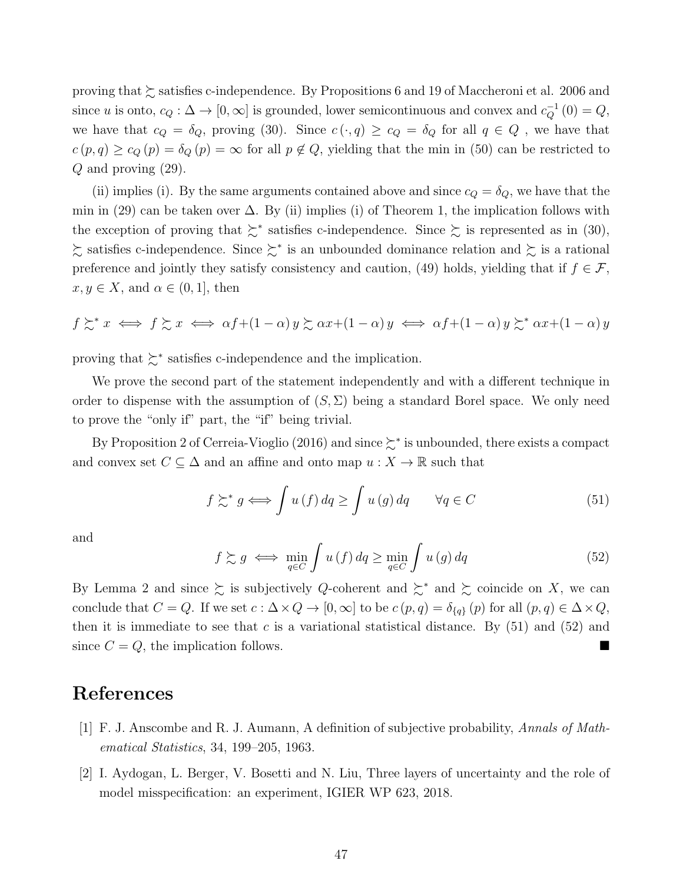proving that ≿ satisfies c-independence. By Propositions 6 and 19 of Maccheroni et al. 2006 and since u is onto,  $c_Q : \Delta \to [0, \infty]$  is grounded, lower semicontinuous and convex and  $c_Q^{-1}(0) = Q$ , we have that  $c_Q = \delta_Q$ , proving (30). Since  $c(\cdot, q) \geq c_Q = \delta_Q$  for all  $q \in Q$ , we have that  $c(p,q) \geq c_Q(p) = \delta_Q(p) = \infty$  for all  $p \notin Q$ , yielding that the min in (50) can be restricted to Q and proving (29).

(ii) implies (i). By the same arguments contained above and since  $c_Q = \delta_Q$ , we have that the min in (29) can be taken over  $\Delta$ . By (ii) implies (i) of Theorem 1, the implication follows with the exception of proving that  $\succeq^*$  satisfies c-independence. Since  $\succeq$  is represented as in (30), ≿ satisfies c-independence. Since ≿<sup>∗</sup> is an unbounded dominance relation and ≿ is a rational preference and jointly they satisfy consistency and caution, (49) holds, yielding that if  $f \in \mathcal{F}$ ,  $x, y \in X$ , and  $\alpha \in (0, 1]$ , then

$$
f \succsim^* x \iff f \succsim x \iff \alpha f + (1 - \alpha) y \succsim \alpha x + (1 - \alpha) y \iff \alpha f + (1 - \alpha) y \succsim^* \alpha x + (1 - \alpha) y
$$

proving that  $\succsim^*$  satisfies c-independence and the implication.

We prove the second part of the statement independently and with a different technique in order to dispense with the assumption of  $(S, \Sigma)$  being a standard Borel space. We only need to prove the "only if" part, the "if" being trivial.

By Proposition 2 of Cerreia-Vioglio (2016) and since  $\succeq^*$  is unbounded, there exists a compact and convex set  $C \subseteq \Delta$  and an affine and onto map  $u : X \to \mathbb{R}$  such that

$$
f \succsim^* g \iff \int u(f) \, dq \ge \int u(g) \, dq \qquad \forall q \in C \tag{51}
$$

and

$$
f \succsim g \iff \min_{q \in C} \int u(f) \, dq \ge \min_{q \in C} \int u(g) \, dq \tag{52}
$$

By Lemma 2 and since  $\succsim$  is subjectively Q-coherent and  $\succsim^*$  and  $\succsim$  coincide on X, we can conclude that  $C = Q$ . If we set  $c : \Delta \times Q \to [0, \infty]$  to be  $c(p, q) = \delta_{\{q\}}(p)$  for all  $(p, q) \in \Delta \times Q$ , then it is immediate to see that c is a variational statistical distance. By  $(51)$  and  $(52)$  and since  $C = Q$ , the implication follows.

### References

- [1] F. J. Anscombe and R. J. Aumann, A definition of subjective probability, Annals of Mathematical Statistics, 34, 199–205, 1963.
- [2] I. Aydogan, L. Berger, V. Bosetti and N. Liu, Three layers of uncertainty and the role of model misspecification: an experiment, IGIER WP 623, 2018.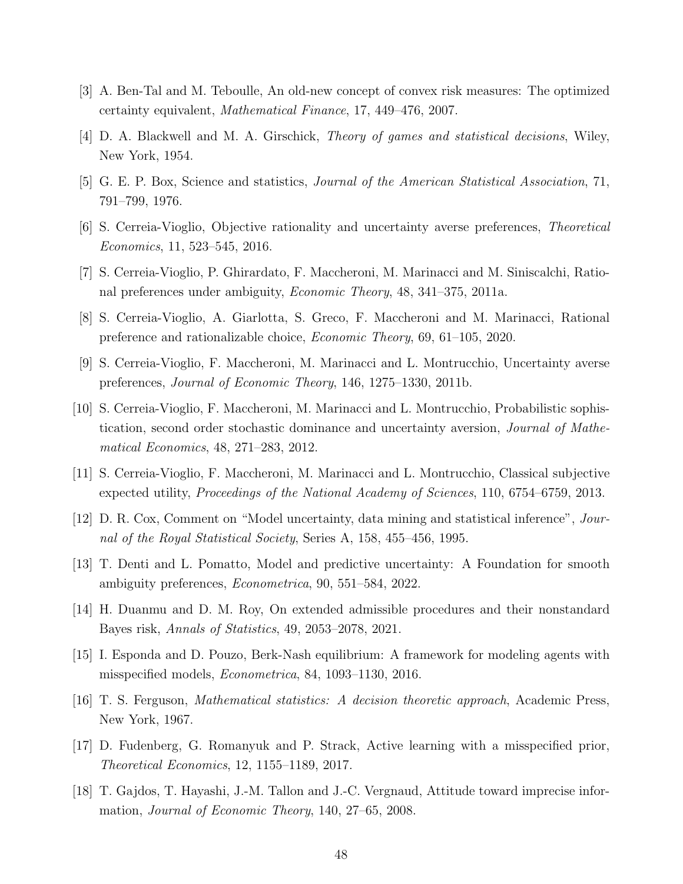- [3] A. Ben-Tal and M. Teboulle, An old-new concept of convex risk measures: The optimized certainty equivalent, Mathematical Finance, 17, 449–476, 2007.
- [4] D. A. Blackwell and M. A. Girschick, Theory of games and statistical decisions, Wiley, New York, 1954.
- [5] G. E. P. Box, Science and statistics, Journal of the American Statistical Association, 71, 791–799, 1976.
- [6] S. Cerreia-Vioglio, Objective rationality and uncertainty averse preferences, Theoretical Economics, 11, 523–545, 2016.
- [7] S. Cerreia-Vioglio, P. Ghirardato, F. Maccheroni, M. Marinacci and M. Siniscalchi, Rational preferences under ambiguity, Economic Theory, 48, 341–375, 2011a.
- [8] S. Cerreia-Vioglio, A. Giarlotta, S. Greco, F. Maccheroni and M. Marinacci, Rational preference and rationalizable choice, Economic Theory, 69, 61–105, 2020.
- [9] S. Cerreia-Vioglio, F. Maccheroni, M. Marinacci and L. Montrucchio, Uncertainty averse preferences, Journal of Economic Theory, 146, 1275–1330, 2011b.
- [10] S. Cerreia-Vioglio, F. Maccheroni, M. Marinacci and L. Montrucchio, Probabilistic sophistication, second order stochastic dominance and uncertainty aversion, Journal of Mathematical Economics, 48, 271–283, 2012.
- [11] S. Cerreia-Vioglio, F. Maccheroni, M. Marinacci and L. Montrucchio, Classical subjective expected utility, Proceedings of the National Academy of Sciences, 110, 6754–6759, 2013.
- [12] D. R. Cox, Comment on "Model uncertainty, data mining and statistical inference", Journal of the Royal Statistical Society, Series A, 158, 455–456, 1995.
- [13] T. Denti and L. Pomatto, Model and predictive uncertainty: A Foundation for smooth ambiguity preferences, Econometrica, 90, 551–584, 2022.
- [14] H. Duanmu and D. M. Roy, On extended admissible procedures and their nonstandard Bayes risk, Annals of Statistics, 49, 2053–2078, 2021.
- [15] I. Esponda and D. Pouzo, Berk-Nash equilibrium: A framework for modeling agents with misspecified models, Econometrica, 84, 1093–1130, 2016.
- [16] T. S. Ferguson, Mathematical statistics: A decision theoretic approach, Academic Press, New York, 1967.
- [17] D. Fudenberg, G. Romanyuk and P. Strack, Active learning with a misspecified prior, Theoretical Economics, 12, 1155–1189, 2017.
- [18] T. Gajdos, T. Hayashi, J.-M. Tallon and J.-C. Vergnaud, Attitude toward imprecise information, Journal of Economic Theory, 140, 27–65, 2008.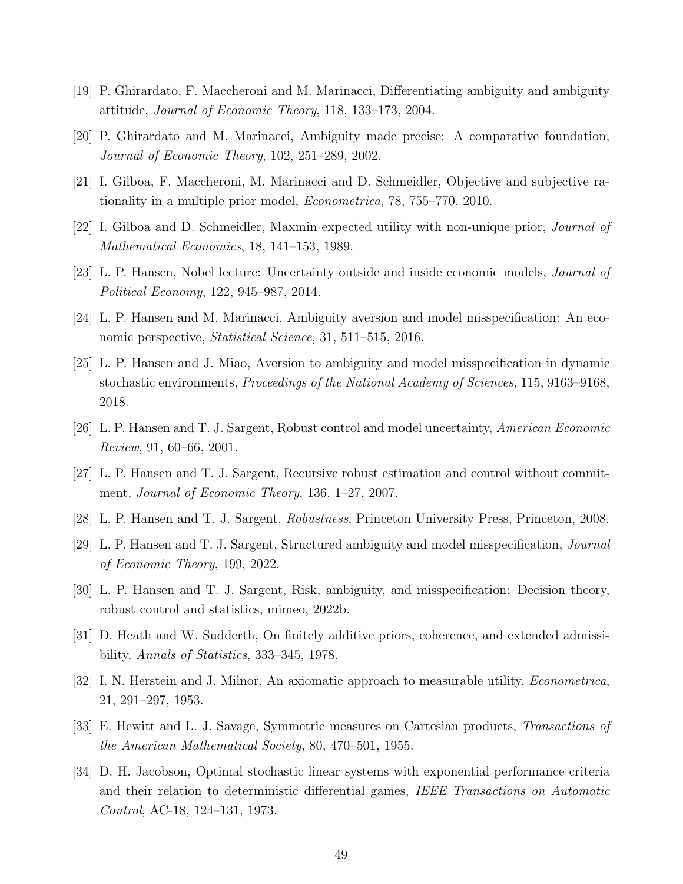- [19] P. Ghirardato, F. Maccheroni and M. Marinacci, Differentiating ambiguity and ambiguity attitude, Journal of Economic Theory, 118, 133–173, 2004.
- [20] P. Ghirardato and M. Marinacci, Ambiguity made precise: A comparative foundation, Journal of Economic Theory, 102, 251–289, 2002.
- [21] I. Gilboa, F. Maccheroni, M. Marinacci and D. Schmeidler, Objective and subjective rationality in a multiple prior model, Econometrica, 78, 755–770, 2010.
- [22] I. Gilboa and D. Schmeidler, Maxmin expected utility with non-unique prior, Journal of Mathematical Economics, 18, 141–153, 1989.
- [23] L. P. Hansen, Nobel lecture: Uncertainty outside and inside economic models, *Journal of* Political Economy, 122, 945–987, 2014.
- [24] L. P. Hansen and M. Marinacci, Ambiguity aversion and model misspecification: An economic perspective, Statistical Science, 31, 511–515, 2016.
- [25] L. P. Hansen and J. Miao, Aversion to ambiguity and model misspecification in dynamic stochastic environments, Proceedings of the National Academy of Sciences, 115, 9163–9168, 2018.
- [26] L. P. Hansen and T. J. Sargent, Robust control and model uncertainty, American Economic Review, 91, 60–66, 2001.
- [27] L. P. Hansen and T. J. Sargent, Recursive robust estimation and control without commitment, Journal of Economic Theory, 136, 1–27, 2007.
- [28] L. P. Hansen and T. J. Sargent, Robustness, Princeton University Press, Princeton, 2008.
- [29] L. P. Hansen and T. J. Sargent, Structured ambiguity and model misspecification, Journal of Economic Theory, 199, 2022.
- [30] L. P. Hansen and T. J. Sargent, Risk, ambiguity, and misspecification: Decision theory, robust control and statistics, mimeo, 2022b.
- [31] D. Heath and W. Sudderth, On finitely additive priors, coherence, and extended admissibility, Annals of Statistics, 333–345, 1978.
- [32] I. N. Herstein and J. Milnor, An axiomatic approach to measurable utility, *Econometrica*, 21, 291–297, 1953.
- [33] E. Hewitt and L. J. Savage, Symmetric measures on Cartesian products, Transactions of the American Mathematical Society, 80, 470–501, 1955.
- [34] D. H. Jacobson, Optimal stochastic linear systems with exponential performance criteria and their relation to deterministic differential games, IEEE Transactions on Automatic Control, AC-18, 124–131, 1973.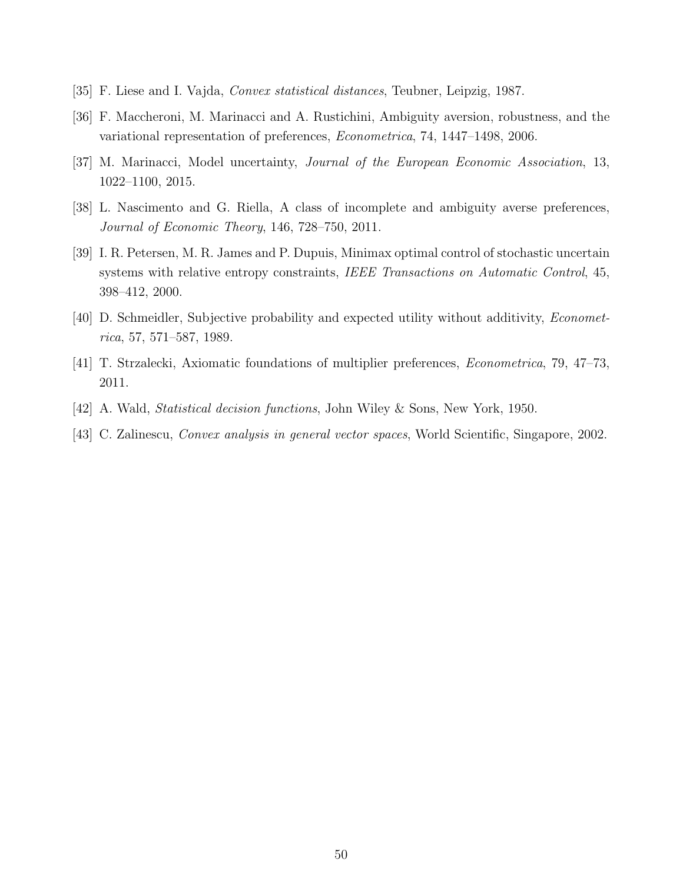- [35] F. Liese and I. Vajda, Convex statistical distances, Teubner, Leipzig, 1987.
- [36] F. Maccheroni, M. Marinacci and A. Rustichini, Ambiguity aversion, robustness, and the variational representation of preferences, Econometrica, 74, 1447–1498, 2006.
- [37] M. Marinacci, Model uncertainty, Journal of the European Economic Association, 13, 1022–1100, 2015.
- [38] L. Nascimento and G. Riella, A class of incomplete and ambiguity averse preferences, Journal of Economic Theory, 146, 728–750, 2011.
- [39] I. R. Petersen, M. R. James and P. Dupuis, Minimax optimal control of stochastic uncertain systems with relative entropy constraints, IEEE Transactions on Automatic Control, 45, 398–412, 2000.
- [40] D. Schmeidler, Subjective probability and expected utility without additivity, Econometrica, 57, 571–587, 1989.
- [41] T. Strzalecki, Axiomatic foundations of multiplier preferences, Econometrica, 79, 47–73, 2011.
- [42] A. Wald, Statistical decision functions, John Wiley & Sons, New York, 1950.
- [43] C. Zalinescu, Convex analysis in general vector spaces, World Scientific, Singapore, 2002.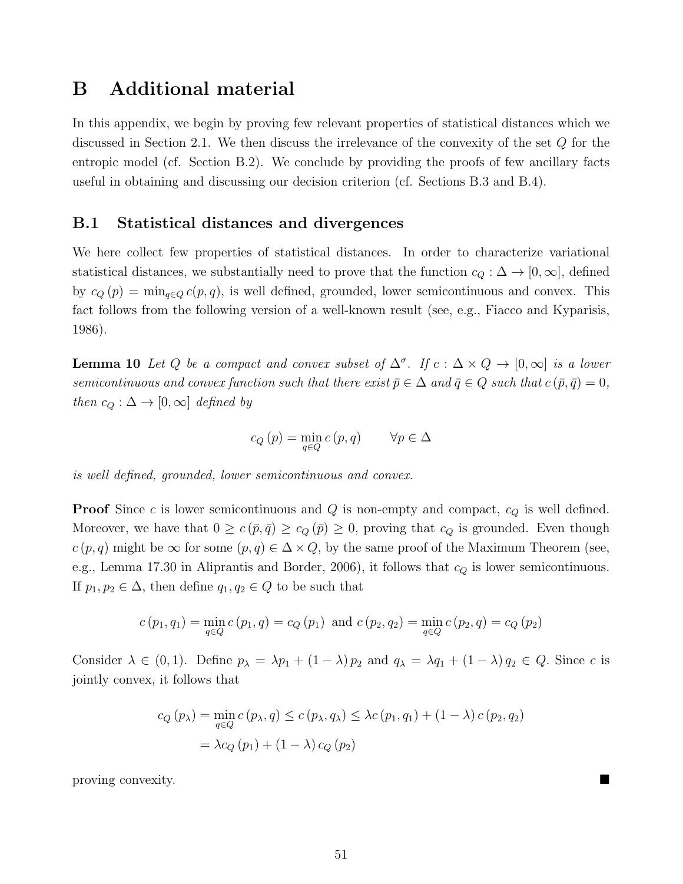# B Additional material

In this appendix, we begin by proving few relevant properties of statistical distances which we discussed in Section 2.1. We then discuss the irrelevance of the convexity of the set Q for the entropic model (cf. Section B.2). We conclude by providing the proofs of few ancillary facts useful in obtaining and discussing our decision criterion (cf. Sections B.3 and B.4).

### B.1 Statistical distances and divergences

We here collect few properties of statistical distances. In order to characterize variational statistical distances, we substantially need to prove that the function  $c_Q : \Delta \to [0, \infty]$ , defined by  $c_Q(p) = \min_{q \in Q} c(p,q)$ , is well defined, grounded, lower semicontinuous and convex. This fact follows from the following version of a well-known result (see, e.g., Fiacco and Kyparisis, 1986).

**Lemma 10** Let Q be a compact and convex subset of  $\Delta^{\sigma}$ . If  $c : \Delta \times Q \rightarrow [0,\infty]$  is a lower semicontinuous and convex function such that there exist  $\bar{p} \in \Delta$  and  $\bar{q} \in Q$  such that  $c(\bar{p}, \bar{q}) = 0$ , then  $c_Q : \Delta \to [0, \infty]$  defined by

$$
c_Q(p) = \min_{q \in Q} c(p, q) \qquad \forall p \in \Delta
$$

is well defined, grounded, lower semicontinuous and convex.

**Proof** Since c is lower semicontinuous and  $Q$  is non-empty and compact,  $c_Q$  is well defined. Moreover, we have that  $0 \geq c(\bar{p}, \bar{q}) \geq c_Q(\bar{p}) \geq 0$ , proving that  $c_Q$  is grounded. Even though  $c(p,q)$  might be  $\infty$  for some  $(p,q) \in \Delta \times Q$ , by the same proof of the Maximum Theorem (see, e.g., Lemma 17.30 in Aliprantis and Border, 2006), it follows that  $c_Q$  is lower semicontinuous. If  $p_1, p_2 \in \Delta$ , then define  $q_1, q_2 \in Q$  to be such that

$$
c(p_1, q_1) = \min_{q \in Q} c(p_1, q) = c_Q(p_1)
$$
 and  $c(p_2, q_2) = \min_{q \in Q} c(p_2, q) = c_Q(p_2)$ 

Consider  $\lambda \in (0,1)$ . Define  $p_{\lambda} = \lambda p_1 + (1 - \lambda) p_2$  and  $q_{\lambda} = \lambda q_1 + (1 - \lambda) q_2 \in Q$ . Since c is jointly convex, it follows that

$$
c_Q(p_\lambda) = \min_{q \in Q} c(p_\lambda, q) \le c(p_\lambda, q_\lambda) \le \lambda c(p_1, q_1) + (1 - \lambda) c(p_2, q_2)
$$
  
=  $\lambda c_Q(p_1) + (1 - \lambda) c_Q(p_2)$ 

proving convexity.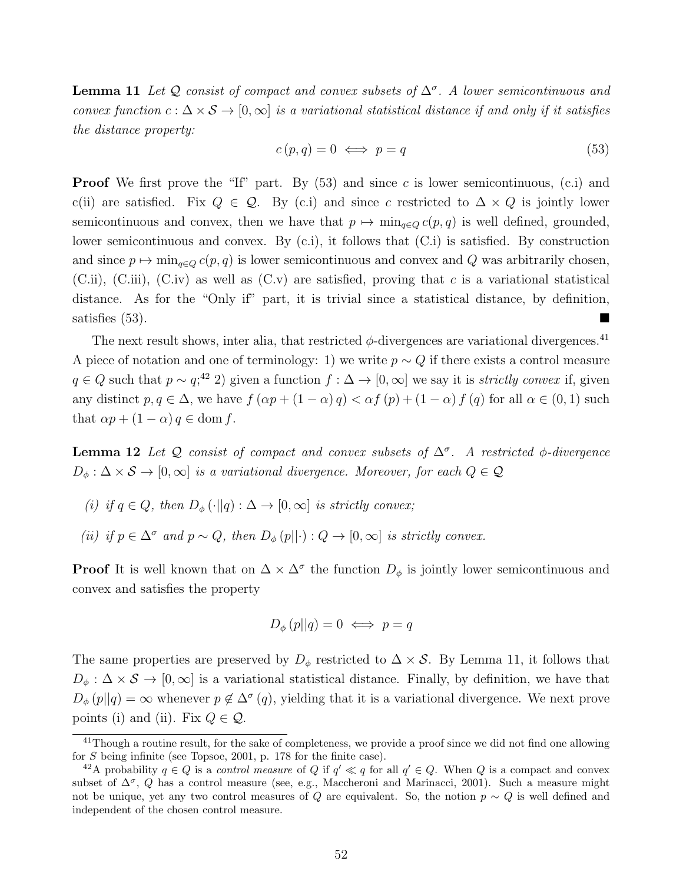**Lemma 11** Let Q consist of compact and convex subsets of  $\Delta^{\sigma}$ . A lower semicontinuous and convex function  $c : \Delta \times S \to [0, \infty]$  is a variational statistical distance if and only if it satisfies the distance property:

$$
c(p,q) = 0 \iff p = q \tag{53}
$$

**Proof** We first prove the "If" part. By  $(53)$  and since c is lower semicontinuous,  $(c.i)$  and c(ii) are satisfied. Fix  $Q \in \mathcal{Q}$ . By (c.i) and since c restricted to  $\Delta \times Q$  is jointly lower semicontinuous and convex, then we have that  $p \mapsto \min_{q \in Q} c(p, q)$  is well defined, grounded, lower semicontinuous and convex. By (c.i), it follows that (C.i) is satisfied. By construction and since  $p \mapsto \min_{q \in Q} c(p, q)$  is lower semicontinuous and convex and Q was arbitrarily chosen,  $(C.ii)$ ,  $(C.iii)$ ,  $(C.iv)$  as well as  $(C.v)$  are satisfied, proving that c is a variational statistical distance. As for the "Only if" part, it is trivial since a statistical distance, by definition, satisfies  $(53)$ .

The next result shows, inter alia, that restricted  $\phi$ -divergences are variational divergences.<sup>41</sup> A piece of notation and one of terminology: 1) we write  $p \sim Q$  if there exists a control measure  $q \in Q$  such that  $p \sim q$ ;<sup>42</sup> 2) given a function  $f : \Delta \to [0, \infty]$  we say it is *strictly convex* if, given any distinct  $p, q \in \Delta$ , we have  $f(\alpha p + (1 - \alpha) q) < \alpha f(p) + (1 - \alpha) f(q)$  for all  $\alpha \in (0, 1)$  such that  $\alpha p + (1 - \alpha) q \in \text{dom } f$ .

**Lemma 12** Let Q consist of compact and convex subsets of  $\Delta^{\sigma}$ . A restricted  $\phi$ -divergence  $D_{\phi}: \Delta \times S \to [0, \infty]$  is a variational divergence. Moreover, for each  $Q \in \mathcal{Q}$ 

- (i) if  $q \in Q$ , then  $D_{\phi}(\cdot || q) : \Delta \to [0, \infty]$  is strictly convex;
- (ii) if  $p \in \Delta^{\sigma}$  and  $p \sim Q$ , then  $D_{\phi}(p||\cdot) : Q \to [0,\infty]$  is strictly convex.

**Proof** It is well known that on  $\Delta \times \Delta^{\sigma}$  the function  $D_{\phi}$  is jointly lower semicontinuous and convex and satisfies the property

$$
D_{\phi}(p||q) = 0 \iff p = q
$$

The same properties are preserved by  $D_{\phi}$  restricted to  $\Delta \times S$ . By Lemma 11, it follows that  $D_{\phi}: \Delta \times S \to [0, \infty]$  is a variational statistical distance. Finally, by definition, we have that  $D_{\phi}(p||q) = \infty$  whenever  $p \notin \Delta^{\sigma}(q)$ , yielding that it is a variational divergence. We next prove points (i) and (ii). Fix  $Q \in \mathcal{Q}$ .

 $\frac{41}{10}$  a routine result, for the sake of completeness, we provide a proof since we did not find one allowing for S being infinite (see Topsoe, 2001, p. 178 for the finite case).

<sup>&</sup>lt;sup>42</sup>A probability  $q \in Q$  is a control measure of Q if  $q' \ll q$  for all  $q' \in Q$ . When Q is a compact and convex subset of  $\Delta^{\sigma}$ , Q has a control measure (see, e.g., Maccheroni and Marinacci, 2001). Such a measure might not be unique, yet any two control measures of Q are equivalent. So, the notion  $p \sim Q$  is well defined and independent of the chosen control measure.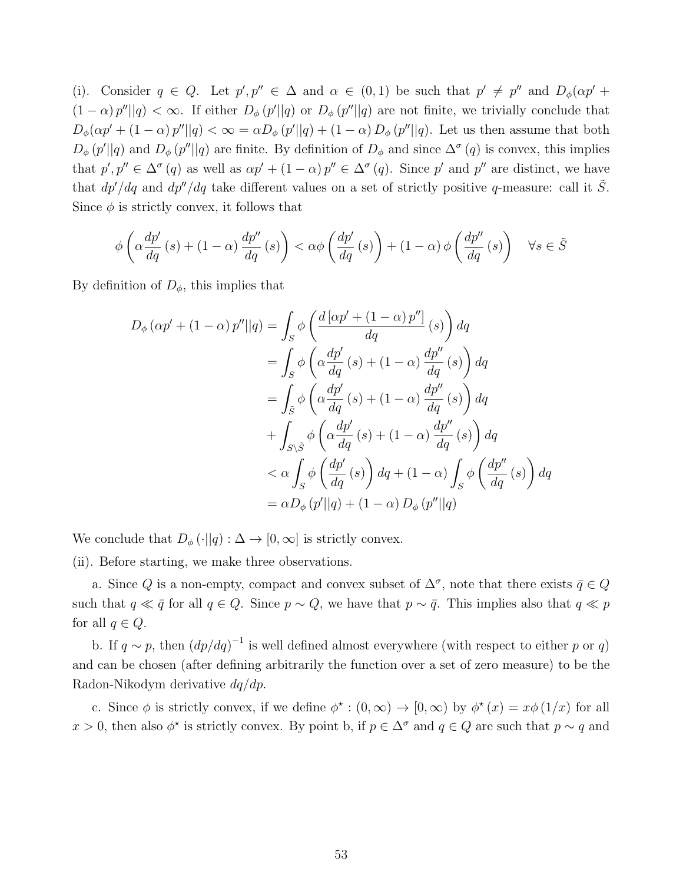(i). Consider  $q \in Q$ . Let  $p', p'' \in \Delta$  and  $\alpha \in (0,1)$  be such that  $p' \neq p''$  and  $D_{\phi}(\alpha p' +$  $(1 - \alpha) p'' || q) < \infty$ . If either  $D_{\phi}(p' || q)$  or  $D_{\phi}(p'' || q)$  are not finite, we trivially conclude that  $D_{\phi}(\alpha p' + (1 - \alpha) p''||q) < \infty = \alpha D_{\phi}(p'||q) + (1 - \alpha) D_{\phi}(p''||q)$ . Let us then assume that both  $D_{\phi}(p'||q)$  and  $D_{\phi}(p''||q)$  are finite. By definition of  $D_{\phi}$  and since  $\Delta^{\sigma}(q)$  is convex, this implies that  $p', p'' \in \Delta^{\sigma}(q)$  as well as  $\alpha p' + (1 - \alpha) p'' \in \Delta^{\sigma}(q)$ . Since p' and p'' are distinct, we have that  $dp'/dq$  and  $dp''/dq$  take different values on a set of strictly positive q-measure: call it  $\tilde{S}$ . Since  $\phi$  is strictly convex, it follows that

$$
\phi\left(\alpha \frac{dp'}{dq}(s) + (1 - \alpha) \frac{dp''}{dq}(s)\right) < \alpha\phi\left(\frac{dp'}{dq}(s)\right) + (1 - \alpha)\phi\left(\frac{dp''}{dq}(s)\right) \quad \forall s \in \tilde{S}
$$

By definition of  $D_{\phi}$ , this implies that

$$
D_{\phi} (\alpha p' + (1 - \alpha) p'' || q) = \int_{S} \phi \left( \frac{d [\alpha p' + (1 - \alpha) p'']}{dq} (s) \right) dq
$$
  
= 
$$
\int_{S} \phi \left( \alpha \frac{dp'}{dq} (s) + (1 - \alpha) \frac{dp''}{dq} (s) \right) dq
$$
  
= 
$$
\int_{\tilde{S}} \phi \left( \alpha \frac{dp'}{dq} (s) + (1 - \alpha) \frac{dp''}{dq} (s) \right) dq
$$
  
+ 
$$
\int_{S \setminus \tilde{S}} \phi \left( \alpha \frac{dp'}{dq} (s) + (1 - \alpha) \frac{dp''}{dq} (s) \right) dq
$$
  

$$
< \alpha \int_{S} \phi \left( \frac{dp'}{dq} (s) \right) dq + (1 - \alpha) \int_{S} \phi \left( \frac{dp''}{dq} (s) \right) dq
$$
  
= 
$$
\alpha D_{\phi} (p'||q) + (1 - \alpha) D_{\phi} (p'' || q)
$$

We conclude that  $D_{\phi}(\cdot||q): \Delta \to [0,\infty]$  is strictly convex.

(ii). Before starting, we make three observations.

a. Since Q is a non-empty, compact and convex subset of  $\Delta^{\sigma}$ , note that there exists  $\bar{q} \in Q$ such that  $q \ll \bar{q}$  for all  $q \in Q$ . Since  $p \sim Q$ , we have that  $p \sim \bar{q}$ . This implies also that  $q \ll p$ for all  $q \in Q$ .

b. If  $q \sim p$ , then  $\left(dp/dq\right)^{-1}$  is well defined almost everywhere (with respect to either p or q) and can be chosen (after defining arbitrarily the function over a set of zero measure) to be the Radon-Nikodym derivative dq/dp.

c. Since  $\phi$  is strictly convex, if we define  $\phi^* : (0, \infty) \to [0, \infty)$  by  $\phi^*(x) = x\phi(1/x)$  for all  $x > 0$ , then also  $\phi^*$  is strictly convex. By point b, if  $p \in \Delta^{\sigma}$  and  $q \in Q$  are such that  $p \sim q$  and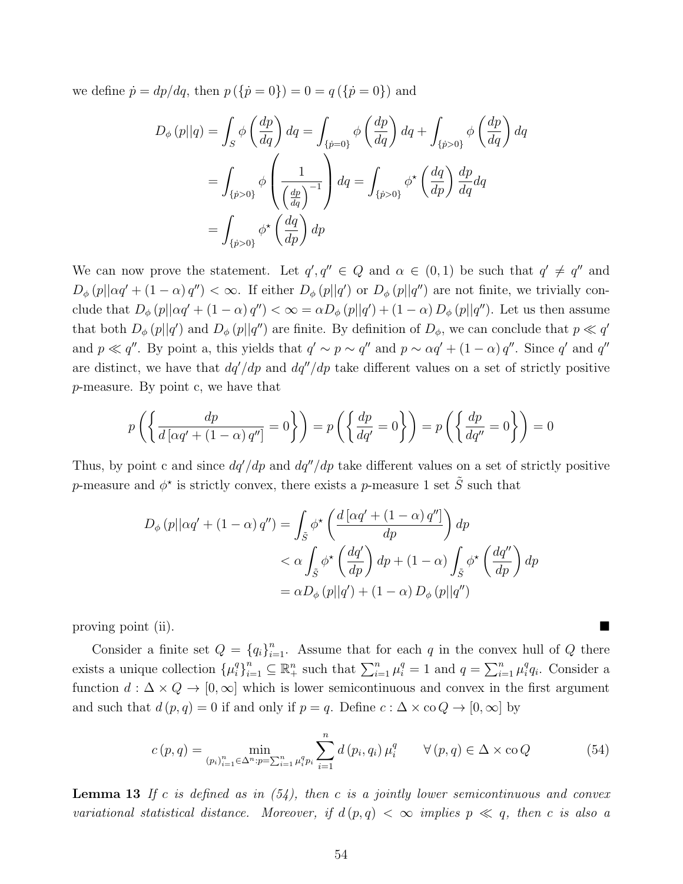we define  $\dot{p} = dp/dq$ , then  $p(\{\dot{p} = 0\}) = 0 = q(\{\dot{p} = 0\})$  and

$$
D_{\phi}(p||q) = \int_{S} \phi\left(\frac{dp}{dq}\right) dq = \int_{\{p=0\}} \phi\left(\frac{dp}{dq}\right) dq + \int_{\{p>0\}} \phi\left(\frac{dp}{dq}\right) dq
$$
  

$$
= \int_{\{p>0\}} \phi\left(\frac{1}{\left(\frac{dp}{dq}\right)^{-1}}\right) dq = \int_{\{p>0\}} \phi^* \left(\frac{dq}{dp}\right) \frac{dp}{dq} dq
$$
  

$$
= \int_{\{p>0\}} \phi^* \left(\frac{dq}{dp}\right) dp
$$

We can now prove the statement. Let  $q', q'' \in Q$  and  $\alpha \in (0,1)$  be such that  $q' \neq q''$  and  $D_{\phi}(p||\alpha q' + (1-\alpha) q'') < \infty$ . If either  $D_{\phi}(p||q')$  or  $D_{\phi}(p||q'')$  are not finite, we trivially conclude that  $D_{\phi}(p||\alpha q' + (1 - \alpha) q'') < \infty = \alpha D_{\phi}(p||q') + (1 - \alpha) D_{\phi}(p||q'')$ . Let us then assume that both  $D_{\phi}(p||q')$  and  $D_{\phi}(p||q'')$  are finite. By definition of  $D_{\phi}$ , we can conclude that  $p \ll q'$ and  $p \ll q''$ . By point a, this yields that  $q' \sim p \sim q''$  and  $p \sim \alpha q' + (1 - \alpha) q''$ . Since q' and q'' are distinct, we have that  $dq'/dp$  and  $dq''/dp$  take different values on a set of strictly positive p-measure. By point c, we have that

$$
p\left(\left\{\frac{dp}{d\left[\alpha q' + \left(1-\alpha\right)q''\right]} = 0\right\}\right) = p\left(\left\{\frac{dp}{dq'} = 0\right\}\right) = p\left(\left\{\frac{dp}{dq''} = 0\right\}\right) = 0
$$

Thus, by point c and since  $dq'/dp$  and  $dq''/dp$  take different values on a set of strictly positive p-measure and  $\phi^*$  is strictly convex, there exists a p-measure 1 set  $\tilde{S}$  such that

$$
D_{\phi}(p||\alpha q' + (1 - \alpha) q'') = \int_{\tilde{S}} \phi^* \left( \frac{d[\alpha q' + (1 - \alpha) q'']}{dp} \right) dp
$$
  

$$
< \alpha \int_{\tilde{S}} \phi^* \left( \frac{dq'}{dp} \right) dp + (1 - \alpha) \int_{\tilde{S}} \phi^* \left( \frac{dq''}{dp} \right) dp
$$
  

$$
= \alpha D_{\phi}(p||q') + (1 - \alpha) D_{\phi}(p||q'')
$$

proving point (ii).

Consider a finite set  $Q = \{q_i\}_{i=1}^n$ . Assume that for each q in the convex hull of Q there exists a unique collection  $\{\mu_i^q\}$  ${}_{i}^{q}$ <sub> ${}_{i}^{n}$ </sup> ${}_{i=1}^{n}$   $\subseteq$   $\mathbb{R}_{+}^{n}$  such that  $\sum_{i=1}^{n} \mu_{i}^{q} = 1$  and  $q = \sum_{i=1}^{n} \mu_{i}^{q}$ </sub>  ${}^q_iq_i$ . Consider a function  $d : \Delta \times Q \rightarrow [0, \infty]$  which is lower semicontinuous and convex in the first argument and such that  $d(p,q) = 0$  if and only if  $p = q$ . Define  $c : \Delta \times \infty \ Q \to [0, \infty]$  by

$$
c(p,q) = \min_{(p_i)_{i=1}^n \in \Delta^n : p = \sum_{i=1}^n \mu_i^q p_i} \sum_{i=1}^n d(p_i, q_i) \mu_i^q \qquad \forall (p,q) \in \Delta \times \text{co } Q \tag{54}
$$

**Lemma 13** If c is defined as in  $(54)$ , then c is a jointly lower semicontinuous and convex variational statistical distance. Moreover, if  $d(p,q) < \infty$  implies  $p \ll q$ , then c is also a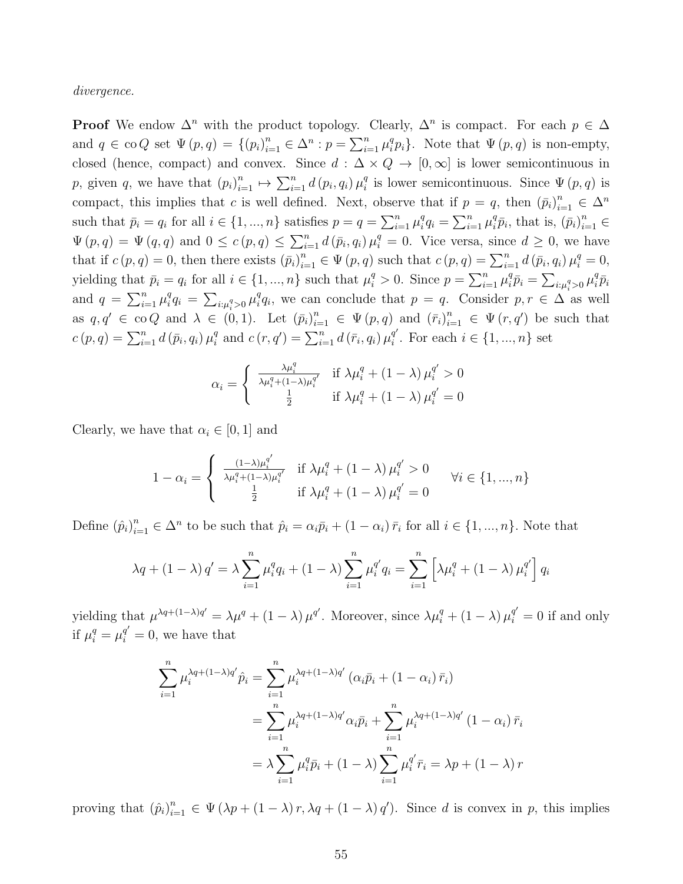divergence.

**Proof** We endow  $\Delta^n$  with the product topology. Clearly,  $\Delta^n$  is compact. For each  $p \in \Delta$ and  $q \in \text{co } Q$  set  $\Psi(p,q) = \{(p_i)_{i=1}^n \in \Delta^n : p = \sum_{i=1}^n \mu_i^q\}$  ${}_{i}^{q}p_{i}$ . Note that  $\Psi(p,q)$  is non-empty, closed (hence, compact) and convex. Since  $d : \Delta \times Q \to [0, \infty]$  is lower semicontinuous in p, given q, we have that  $(p_i)_{i=1}^n \mapsto \sum_{i=1}^n d(p_i, q_i) \mu_i^q$ <sup>q</sup> is lower semicontinuous. Since  $\Psi(p,q)$  is compact, this implies that c is well defined. Next, observe that if  $p = q$ , then  $(\bar{p}_i)_{i=1}^n \in \Delta^n$ such that  $\bar{p}_i = q_i$  for all  $i \in \{1, ..., n\}$  satisfies  $p = q = \sum_{i=1}^n \mu_i^q$  ${}_{i}^{q}q_{i} = \sum_{i=1}^{n} \mu_{i}^{q}$  ${}^q_i\bar{p}_i$ , that is,  $(\bar{p}_i)_{i=1}^n \in$  $\Psi(p,q) = \Psi(q,q)$  and  $0 \leq c(p,q) \leq \sum_{i=1}^{n} d(\bar{p}_i,q_i) \mu_i^q = 0$ . Vice versa, since  $d \geq 0$ , we have that if  $c(p,q) = 0$ , then there exists  $(\bar{p}_i)_{i=1}^n \in \Psi(p,q)$  such that  $c(p,q) = \sum_{i=1}^n d(\bar{p}_i, q_i) \mu_i^q = 0$ , yielding that  $\bar{p}_i = q_i$  for all  $i \in \{1, ..., n\}$  such that  $\mu_i^q > 0$ . Since  $p = \sum_{i=1}^n \mu_i^q$  ${}_{i}^{q}\bar{p}_{i} = \sum_{i:\mu_{i}^{q} > 0} \mu_{i}^{q}$  ${}^q_i\bar{p}_i$ and  $q = \sum_{i=1}^n \mu_i^q$  $i^q_i q_i = \sum_{i:\mu_i^q > 0} \mu_i^q$  $i_q^q q_i$ , we can conclude that  $p = q$ . Consider  $p, r \in \Delta$  as well as  $q, q' \in \text{co } Q$  and  $\lambda \in (0, 1)$ . Let  $(\bar{p}_i)_{i=1}^n \in \Psi(p, q)$  and  $(\bar{r}_i)_{i=1}^n \in \Psi(r, q')$  be such that  $c(p, q) = \sum_{i=1}^{n} d(\bar{p}_i, q_i) \mu_i^q$  $a_i^q$  and  $c(r, q') = \sum_{i=1}^n d(\bar{r}_i, q_i) \mu_i^{q'}$  $i<sup>q</sup>$ . For each  $i \in \{1, ..., n\}$  set

$$
\alpha_i = \begin{cases} \frac{\lambda \mu_i^q}{\lambda \mu_i^q + (1 - \lambda)\mu_i^{q'}} & \text{if } \lambda \mu_i^q + (1 - \lambda)\mu_i^{q'} > 0\\ \frac{1}{2} & \text{if } \lambda \mu_i^q + (1 - \lambda)\mu_i^{q'} = 0 \end{cases}
$$

Clearly, we have that  $\alpha_i \in [0, 1]$  and

$$
1 - \alpha_i = \begin{cases} \frac{(1 - \lambda)\mu_i^{q'}}{\lambda \mu_i^{q} + (1 - \lambda)\mu_i^{q'}} & \text{if } \lambda \mu_i^{q} + (1 - \lambda)\mu_i^{q'} > 0\\ \frac{1}{2} & \text{if } \lambda \mu_i^{q} + (1 - \lambda)\mu_i^{q'} = 0 \end{cases} \quad \forall i \in \{1, ..., n\}
$$

Define  $(\hat{p}_i)_{i=1}^n \in \Delta^n$  to be such that  $\hat{p}_i = \alpha_i \bar{p}_i + (1 - \alpha_i) \bar{r}_i$  for all  $i \in \{1, ..., n\}$ . Note that

$$
\lambda q + (1 - \lambda) q' = \lambda \sum_{i=1}^{n} \mu_i^q q_i + (1 - \lambda) \sum_{i=1}^{n} \mu_i^{q'} q_i = \sum_{i=1}^{n} \left[ \lambda \mu_i^q + (1 - \lambda) \mu_i^{q'} \right] q_i
$$

yielding that  $\mu^{\lambda q+(1-\lambda)q'} = \lambda \mu^q + (1-\lambda) \mu^{q'}$ . Moreover, since  $\lambda \mu_i^q + (1-\lambda) \mu_i^{q'} = 0$  if and only if  $\mu_i^q = \mu_i^{q'} = 0$ , we have that

$$
\sum_{i=1}^{n} \mu_i^{\lambda q + (1-\lambda)q'} \hat{p}_i = \sum_{i=1}^{n} \mu_i^{\lambda q + (1-\lambda)q'} (\alpha_i \bar{p}_i + (1-\alpha_i) \bar{r}_i)
$$
  
= 
$$
\sum_{i=1}^{n} \mu_i^{\lambda q + (1-\lambda)q'} \alpha_i \bar{p}_i + \sum_{i=1}^{n} \mu_i^{\lambda q + (1-\lambda)q'} (1-\alpha_i) \bar{r}_i
$$
  
= 
$$
\lambda \sum_{i=1}^{n} \mu_i^q \bar{p}_i + (1-\lambda) \sum_{i=1}^{n} \mu_i^{q'} \bar{r}_i = \lambda p + (1-\lambda) r
$$

proving that  $(\hat{p}_i)_{i=1}^n \in \Psi(\lambda p + (1-\lambda) r, \lambda q + (1-\lambda) q')$ . Since d is convex in p, this implies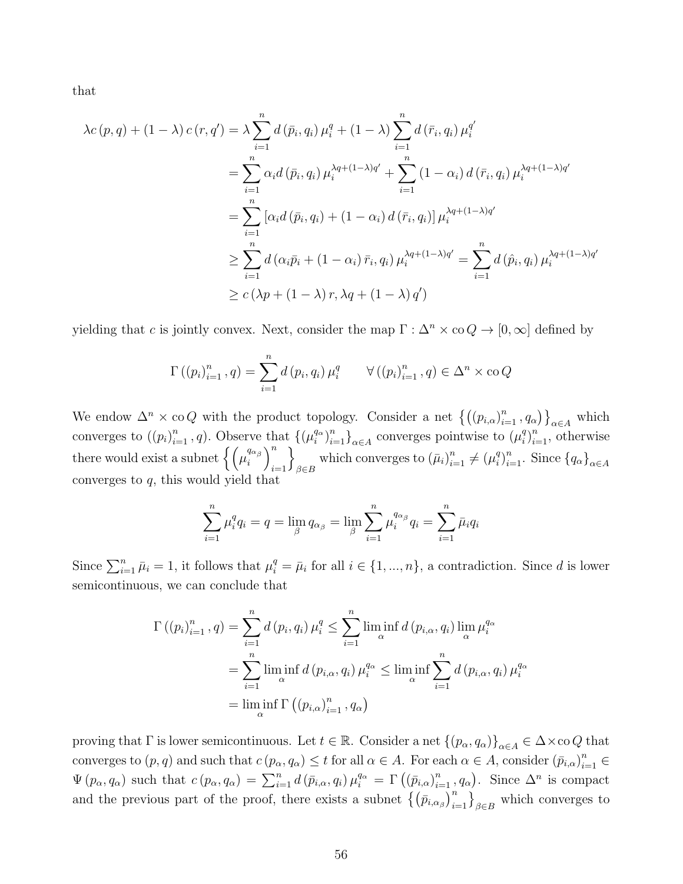that

$$
\lambda c(p,q) + (1 - \lambda) c(r,q') = \lambda \sum_{i=1}^{n} d(\bar{p}_i, q_i) \mu_i^q + (1 - \lambda) \sum_{i=1}^{n} d(\bar{r}_i, q_i) \mu_i^{q'}
$$
  
= 
$$
\sum_{i=1}^{n} \alpha_i d(\bar{p}_i, q_i) \mu_i^{\lambda q + (1 - \lambda)q'} + \sum_{i=1}^{n} (1 - \alpha_i) d(\bar{r}_i, q_i) \mu_i^{\lambda q + (1 - \lambda)q'}
$$
  
= 
$$
\sum_{i=1}^{n} [\alpha_i d(\bar{p}_i, q_i) + (1 - \alpha_i) d(\bar{r}_i, q_i)] \mu_i^{\lambda q + (1 - \lambda)q'}
$$
  

$$
\geq \sum_{i=1}^{n} d(\alpha_i \bar{p}_i + (1 - \alpha_i) \bar{r}_i, q_i) \mu_i^{\lambda q + (1 - \lambda)q'} = \sum_{i=1}^{n} d(\hat{p}_i, q_i) \mu_i^{\lambda q + (1 - \lambda)q'}
$$
  

$$
\geq c(\lambda p + (1 - \lambda) r, \lambda q + (1 - \lambda) q')
$$

yielding that c is jointly convex. Next, consider the map  $\Gamma : \Delta^n \times \infty Q \to [0, \infty]$  defined by

$$
\Gamma((p_i)_{i=1}^n, q) = \sum_{i=1}^n d(p_i, q_i) \mu_i^q \qquad \forall ((p_i)_{i=1}^n, q) \in \Delta^n \times \text{co } Q
$$

We endow  $\Delta^n \times \text{co } Q$  with the product topology. Consider a net  $\left\{((p_{i,\alpha})_{i=1}^n, q_{\alpha})\right\}_{\alpha \in A}$  which converges to  $((p_i)_{i=1}^n, q)$ . Observe that  $\{(\mu_i^{q_\alpha})_{i=1}^n, q\}$ .  $\binom{q_{\alpha}}{i}_{i=1}^{n}$   $\}_{\alpha \in A}$  converges pointwise to  $(\mu_i^q)$  $\binom{q}{i}_{i=1}^n$ , otherwise there would exist a subnet  $\left\{ \begin{pmatrix} q_{\alpha\beta} & q_{\alpha\beta} \\ a_{\beta} & a_{\beta} \end{pmatrix} \right\}$  $\binom{q_{\alpha}}{i}$  $i=1$ o which converges to  $(\bar{\mu}_i)_{i=1}^n \neq (\mu_i^q)$  ${q \choose i}_{i=1}^n$ . Since  ${q_\alpha}_{\alpha \in A}$ converges to q, this would yield that

$$
\sum_{i=1}^{n} \mu_i^q q_i = q = \lim_{\beta} q_{\alpha_{\beta}} = \lim_{\beta} \sum_{i=1}^{n} \mu_i^{q_{\alpha_{\beta}}} q_i = \sum_{i=1}^{n} \bar{\mu}_i q_i
$$

Since  $\sum_{i=1}^{n} \bar{\mu}_i = 1$ , it follows that  $\mu_i^q = \bar{\mu}_i$  for all  $i \in \{1, ..., n\}$ , a contradiction. Since d is lower semicontinuous, we can conclude that

$$
\Gamma\left(\left(p_i\right)_{i=1}^n, q\right) = \sum_{i=1}^n d\left(p_i, q_i\right) \mu_i^q \le \sum_{i=1}^n \liminf_{\alpha} d\left(p_{i,\alpha}, q_i\right) \lim_{\alpha} \mu_i^{q_\alpha}
$$
\n
$$
= \sum_{i=1}^n \liminf_{\alpha} d\left(p_{i,\alpha}, q_i\right) \mu_i^{q_\alpha} \le \liminf_{\alpha} \sum_{i=1}^n d\left(p_{i,\alpha}, q_i\right) \mu_i^{q_\alpha}
$$
\n
$$
= \liminf_{\alpha} \Gamma\left(\left(p_{i,\alpha}\right)_{i=1}^n, q_\alpha\right)
$$

proving that  $\Gamma$  is lower semicontinuous. Let  $t \in \mathbb{R}$ . Consider a net  $\{(p_{\alpha}, q_{\alpha})\}_{\alpha \in A} \in \Delta \times$ co Q that converges to  $(p, q)$  and such that  $c(p_\alpha, q_\alpha) \leq t$  for all  $\alpha \in A$ . For each  $\alpha \in A$ , consider  $(\bar{p}_{i,\alpha})_{i=1}^n \in A$  $\Psi(p_\alpha, q_\alpha)$  such that  $c(p_\alpha, q_\alpha) = \sum_{i=1}^n d(\bar{p}_{i,\alpha}, q_i) \mu_i^{q_\alpha} = \Gamma((\bar{p}_{i,\alpha})_{i=1}^n, q_\alpha)$ . Since  $\Delta^n$  is compact and the previous part of the proof, there exists a subnet  $\left\{\left(\bar{p}_{i,\alpha_{\beta}}\right)_{i=1}^{n}\right\}_{\beta\in B}$  which converges to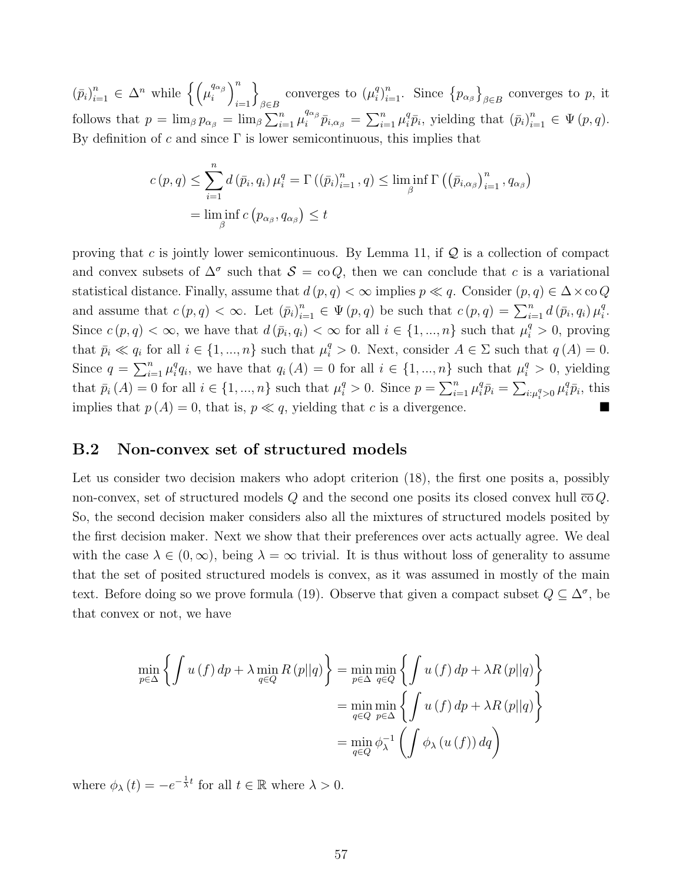$(\bar{p}_i)_{i=1}^n \in \Delta^n$  while  $\left\{ \begin{pmatrix} \mu_i^{\alpha_{\alpha_{\beta}}} \\ \mu_i^{\alpha_{\beta}} \end{pmatrix} \right\}$  $\binom{q_{\alpha}}{i}$  $i=1$ o converges to  $(\mu_i^q)$ <sup>q</sup> $\binom{n}{i}$ <sub>i=1</sub>. Since  $\{p_{\alpha_{\beta}}\}_{\beta \in B}$  converges to p, it follows that  $p = \lim_{\beta} p_{\alpha_{\beta}} = \lim_{\beta} \sum_{i=1}^n \mu_i^{q_{\alpha_{\beta}}}$  $\frac{q_{\alpha_\beta}}{i}\bar{p}_{i,\alpha_\beta}=\sum_{i=1}^n\mu_i^q$  ${}_{i}^{q} \bar{p}_{i}$ , yielding that  $(\bar{p}_{i})_{i=1}^{n} \in \Psi(p,q)$ . By definition of c and since  $\Gamma$  is lower semicontinuous, this implies that

$$
c(p,q) \leq \sum_{i=1}^{n} d(\bar{p}_i, q_i) \mu_i^q = \Gamma((\bar{p}_i)_{i=1}^n, q) \leq \liminf_{\beta} \Gamma((\bar{p}_{i,\alpha_{\beta}})_{i=1}^n, q_{\alpha_{\beta}})
$$
  
= 
$$
\liminf_{\beta} c(p_{\alpha_{\beta}}, q_{\alpha_{\beta}}) \leq t
$$

proving that c is jointly lower semicontinuous. By Lemma 11, if  $\mathcal Q$  is a collection of compact and convex subsets of  $\Delta^{\sigma}$  such that  $S = \text{co } Q$ , then we can conclude that c is a variational statistical distance. Finally, assume that  $d(p,q) < \infty$  implies  $p \ll q$ . Consider  $(p,q) \in \Delta \times \infty$  Q and assume that  $c(p,q) < \infty$ . Let  $(\bar{p}_i)_{i=1}^n \in \Psi(p,q)$  be such that  $c(p,q) = \sum_{i=1}^n d(\bar{p}_i,q_i) \mu_i^q$  $_i^q.$ Since  $c(p, q) < \infty$ , we have that  $d(\bar{p}_i, q_i) < \infty$  for all  $i \in \{1, ..., n\}$  such that  $\mu_i^q > 0$ , proving that  $\bar{p}_i \ll q_i$  for all  $i \in \{1, ..., n\}$  such that  $\mu_i^q > 0$ . Next, consider  $A \in \Sigma$  such that  $q(A) = 0$ . Since  $q = \sum_{i=1}^n \mu_i^q$  $i \neq q_i$ , we have that  $q_i(A) = 0$  for all  $i \in \{1, ..., n\}$  such that  $\mu_i^q > 0$ , yielding that  $\bar{p}_i(A) = 0$  for all  $i \in \{1, ..., n\}$  such that  $\mu_i^q > 0$ . Since  $p = \sum_{i=1}^n \mu_i^q$  ${}_{i}^{q}\bar{p}_{i}=\sum_{i:\mu_{i}^{q}>0}\mu_{i}^{q}$  ${}^q_i\bar{p}_i$ , this implies that  $p(A) = 0$ , that is,  $p \ll q$ , yielding that c is a divergence.

### B.2 Non-convex set of structured models

Let us consider two decision makers who adopt criterion  $(18)$ , the first one posits a, possibly non-convex, set of structured models Q and the second one posits its closed convex hull  $\overline{co}Q$ . So, the second decision maker considers also all the mixtures of structured models posited by the first decision maker. Next we show that their preferences over acts actually agree. We deal with the case  $\lambda \in (0,\infty)$ , being  $\lambda = \infty$  trivial. It is thus without loss of generality to assume that the set of posited structured models is convex, as it was assumed in mostly of the main text. Before doing so we prove formula (19). Observe that given a compact subset  $Q \subseteq \Delta^{\sigma}$ , be that convex or not, we have

$$
\min_{p \in \Delta} \left\{ \int u(f) \, dp + \lambda \min_{q \in Q} R(p||q) \right\} = \min_{p \in \Delta} \min_{q \in Q} \left\{ \int u(f) \, dp + \lambda R(p||q) \right\}
$$
\n
$$
= \min_{q \in Q} \min_{p \in \Delta} \left\{ \int u(f) \, dp + \lambda R(p||q) \right\}
$$
\n
$$
= \min_{q \in Q} \phi_{\lambda}^{-1} \left( \int \phi_{\lambda} (u(f)) \, dq \right)
$$

where  $\phi_{\lambda}(t) = -e^{-\frac{1}{\lambda}t}$  for all  $t \in \mathbb{R}$  where  $\lambda > 0$ .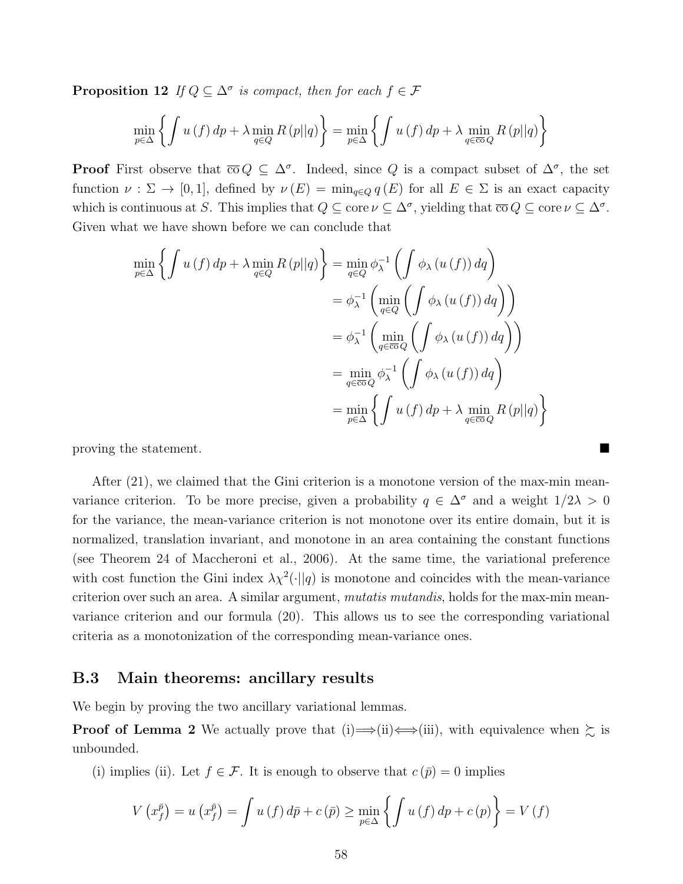**Proposition 12** If  $Q \subseteq \Delta^{\sigma}$  is compact, then for each  $f \in \mathcal{F}$ 

$$
\min_{p \in \Delta} \left\{ \int u(f) \, dp + \lambda \min_{q \in Q} R(p||q) \right\} = \min_{p \in \Delta} \left\{ \int u(f) \, dp + \lambda \min_{q \in \overline{\text{co}}} R(p||q) \right\}
$$

**Proof** First observe that  $\overline{co} Q \subseteq \Delta^{\sigma}$ . Indeed, since Q is a compact subset of  $\Delta^{\sigma}$ , the set function  $\nu : \Sigma \to [0,1]$ , defined by  $\nu(E) = \min_{q \in Q} q(E)$  for all  $E \in \Sigma$  is an exact capacity which is continuous at S. This implies that  $Q \subseteq \text{core }\nu \subseteq \Delta^{\sigma}$ , yielding that  $\overline{\text{co }}Q \subseteq \text{core }\nu \subseteq \Delta^{\sigma}$ . Given what we have shown before we can conclude that

$$
\min_{p \in \Delta} \left\{ \int u(f) \, dp + \lambda \min_{q \in Q} R(p||q) \right\} = \min_{q \in Q} \phi_{\lambda}^{-1} \left( \int \phi_{\lambda} (u(f)) \, dq \right)
$$
\n
$$
= \phi_{\lambda}^{-1} \left( \min_{q \in Q} \left( \int \phi_{\lambda} (u(f)) \, dq \right) \right)
$$
\n
$$
= \phi_{\lambda}^{-1} \left( \min_{q \in \overline{\text{co}}Q} \left( \int \phi_{\lambda} (u(f)) \, dq \right) \right)
$$
\n
$$
= \min_{q \in \overline{\text{co}}Q} \phi_{\lambda}^{-1} \left( \int \phi_{\lambda} (u(f)) \, dq \right)
$$
\n
$$
= \min_{p \in \Delta} \left\{ \int u(f) \, dp + \lambda \min_{q \in \overline{\text{co}}Q} R(p||q) \right\}
$$

proving the statement.

After (21), we claimed that the Gini criterion is a monotone version of the max-min meanvariance criterion. To be more precise, given a probability  $q \in \Delta^{\sigma}$  and a weight  $1/2\lambda > 0$ for the variance, the mean-variance criterion is not monotone over its entire domain, but it is normalized, translation invariant, and monotone in an area containing the constant functions (see Theorem 24 of Maccheroni et al., 2006). At the same time, the variational preference with cost function the Gini index  $\lambda \chi^2(\cdot || q)$  is monotone and coincides with the mean-variance criterion over such an area. A similar argument, *mutatis mutandis*, holds for the max-min meanvariance criterion and our formula (20). This allows us to see the corresponding variational criteria as a monotonization of the corresponding mean-variance ones.

### B.3 Main theorems: ancillary results

We begin by proving the two ancillary variational lemmas.

**Proof of Lemma 2** We actually prove that (i)  $\Rightarrow$  (ii)  $\leftrightarrow$  (iii), with equivalence when  $\succsim$  is unbounded.

(i) implies (ii). Let  $f \in \mathcal{F}$ . It is enough to observe that  $c(\bar{p}) = 0$  implies

$$
V\left(x_{f}^{\bar{p}}\right) = u\left(x_{f}^{\bar{p}}\right) = \int u\left(f\right) d\bar{p} + c\left(\bar{p}\right) \ge \min_{p \in \Delta} \left\{ \int u\left(f\right) dp + c\left(p\right) \right\} = V\left(f\right)
$$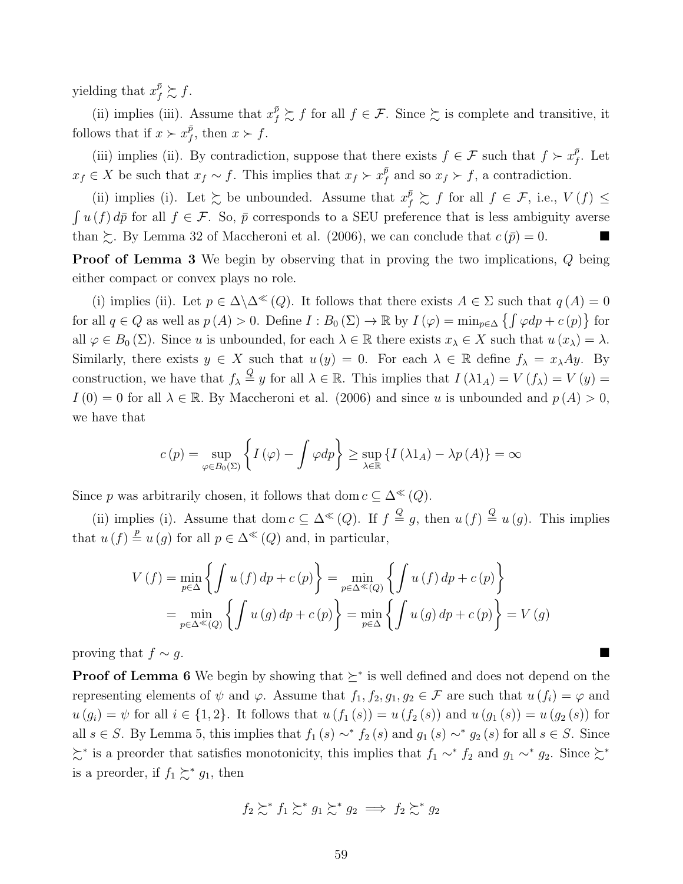yielding that  $x_f^{\bar{p}} \succsim f$ .

(ii) implies (iii). Assume that  $x_f^{\bar{p}} \succsim f$  for all  $f \in \mathcal{F}$ . Since  $\succsim$  is complete and transitive, it follows that if  $x \succ x_f^{\bar{p}}$  $_{f}^{p}$ , then  $x \succ f$ .

(iii) implies (ii). By contradiction, suppose that there exists  $f \in \mathcal{F}$  such that  $f \succ x_f^{\bar{p}}$  $_{f}^{p}$ . Let  $x_f \in X$  be such that  $x_f \sim f$ . This implies that  $x_f \succ x_f^{\bar{p}}$  $f_f^p$  and so  $x_f \succ f$ , a contradiction.

(ii) implies (i). Let  $\succsim$  be unbounded. Assume that  $x_f^{\bar{p}} \succsim f$  for all  $f \in \mathcal{F}$ , i.e.,  $V(f) \leq$  $\int u(f) d\bar{p}$  for all  $f \in \mathcal{F}$ . So,  $\bar{p}$  corresponds to a SEU preference that is less ambiguity averse than  $\gtrsim$ . By Lemma 32 of Maccheroni et al. (2006), we can conclude that  $c(\bar{p}) = 0$ .

Proof of Lemma 3 We begin by observing that in proving the two implications, Q being either compact or convex plays no role.

(i) implies (ii). Let  $p \in \Delta \backslash \Delta^{\ll}(Q)$ . It follows that there exists  $A \in \Sigma$  such that  $q(A) = 0$ for all  $q \in Q$  as well as  $p(A) > 0$ . Define  $I : B_0(\Sigma) \to \mathbb{R}$  by  $I(\varphi) = \min_{p \in \Delta} \{ \int \varphi dp + c(p) \}$  for all  $\varphi \in B_0(\Sigma)$ . Since u is unbounded, for each  $\lambda \in \mathbb{R}$  there exists  $x_\lambda \in X$  such that  $u(x_\lambda) = \lambda$ . Similarly, there exists  $y \in X$  such that  $u(y) = 0$ . For each  $\lambda \in \mathbb{R}$  define  $f_{\lambda} = x_{\lambda}Ay$ . By construction, we have that  $f_{\lambda} \stackrel{Q}{=} y$  for all  $\lambda \in \mathbb{R}$ . This implies that  $I(\lambda 1_A) = V(f_{\lambda}) = V(y) =$  $I(0) = 0$  for all  $\lambda \in \mathbb{R}$ . By Maccheroni et al. (2006) and since u is unbounded and  $p(A) > 0$ , we have that

$$
c(p) = \sup_{\varphi \in B_0(\Sigma)} \left\{ I(\varphi) - \int \varphi dp \right\} \ge \sup_{\lambda \in \mathbb{R}} \left\{ I(\lambda 1_A) - \lambda p(A) \right\} = \infty
$$

Since p was arbitrarily chosen, it follows that dom  $c \subseteq \Delta^{\ll}(Q)$ .

(ii) implies (i). Assume that dom  $c \subseteq \Delta^{\ll}(Q)$ . If  $f \stackrel{Q}{=} g$ , then  $u(f) \stackrel{Q}{=} u(g)$ . This implies that  $u(f) \stackrel{p}{=} u(g)$  for all  $p \in \Delta^{\ll}(Q)$  and, in particular,

$$
V(f) = \min_{p \in \Delta} \left\{ \int u(f) dp + c(p) \right\} = \min_{p \in \Delta^{\ll}(Q)} \left\{ \int u(f) dp + c(p) \right\}
$$

$$
= \min_{p \in \Delta^{\ll}(Q)} \left\{ \int u(g) dp + c(p) \right\} = \min_{p \in \Delta} \left\{ \int u(g) dp + c(p) \right\} = V(g)
$$

proving that  $f \sim g$ .

**Proof of Lemma 6** We begin by showing that  $\succeq^*$  is well defined and does not depend on the representing elements of  $\psi$  and  $\varphi$ . Assume that  $f_1, f_2, g_1, g_2 \in \mathcal{F}$  are such that  $u(f_i) = \varphi$  and  $u(g_i) = \psi$  for all  $i \in \{1, 2\}$ . It follows that  $u(f_1(s)) = u(f_2(s))$  and  $u(g_1(s)) = u(g_2(s))$  for all  $s \in S$ . By Lemma 5, this implies that  $f_1(s) \sim^* f_2(s)$  and  $g_1(s) \sim^* g_2(s)$  for all  $s \in S$ . Since  $\succeq^*$  is a preorder that satisfies monotonicity, this implies that  $f_1 \sim^* f_2$  and  $g_1 \sim^* g_2$ . Since  $\succeq^*$ is a preorder, if  $f_1 \succsim^* g_1$ , then

$$
f_2 \succsim^* f_1 \succsim^* g_1 \succsim^* g_2 \implies f_2 \succsim^* g_2
$$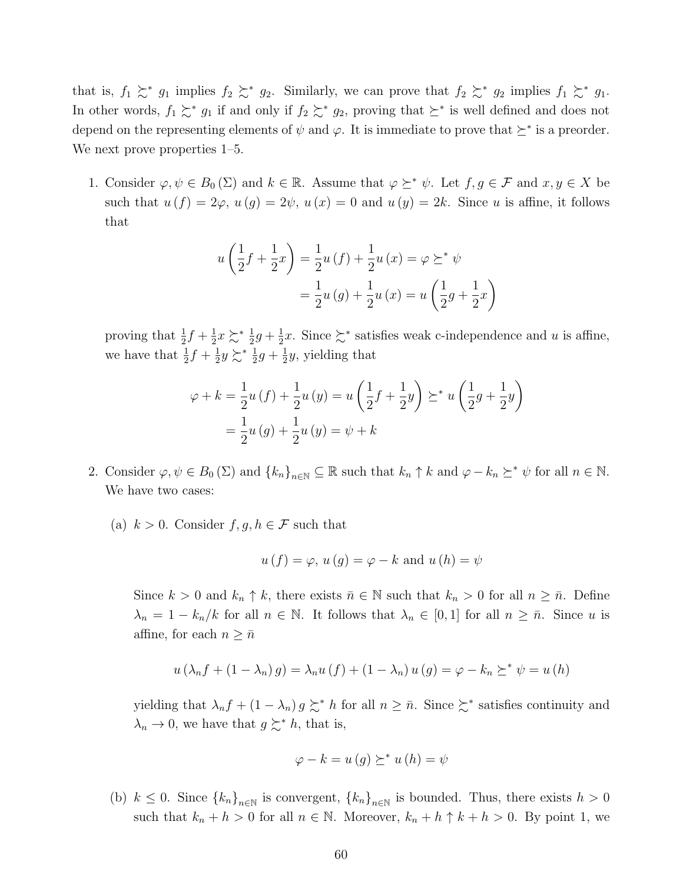that is,  $f_1 \succsim^* g_1$  implies  $f_2 \succsim^* g_2$ . Similarly, we can prove that  $f_2 \succsim^* g_2$  implies  $f_1 \succsim^* g_1$ . In other words,  $f_1 \succsim^* g_1$  if and only if  $f_2 \succsim^* g_2$ , proving that  $\succeq^*$  is well defined and does not depend on the representing elements of  $\psi$  and  $\varphi$ . It is immediate to prove that  $\succeq^*$  is a preorder. We next prove properties 1–5.

1. Consider  $\varphi, \psi \in B_0(\Sigma)$  and  $k \in \mathbb{R}$ . Assume that  $\varphi \succeq^* \psi$ . Let  $f, g \in \mathcal{F}$  and  $x, y \in X$  be such that  $u(f) = 2\varphi$ ,  $u(g) = 2\psi$ ,  $u(x) = 0$  and  $u(y) = 2k$ . Since u is affine, it follows that

$$
u\left(\frac{1}{2}f + \frac{1}{2}x\right) = \frac{1}{2}u(f) + \frac{1}{2}u(x) = \varphi \geq^* \psi
$$
  
=  $\frac{1}{2}u(g) + \frac{1}{2}u(x) = u\left(\frac{1}{2}g + \frac{1}{2}x\right)$ 

proving that  $\frac{1}{2}f + \frac{1}{2}$  $\frac{1}{2}x \succ^* \frac{1}{2}g + \frac{1}{2}$  $\frac{1}{2}x$ . Since  $\succeq^*$  satisfies weak c-independence and u is affine, we have that  $\frac{1}{2}f + \frac{1}{2}$  $\frac{1}{2}y \succsim^* \frac{1}{2}g + \frac{1}{2}$  $\frac{1}{2}y$ , yielding that

$$
\varphi + k = \frac{1}{2}u(f) + \frac{1}{2}u(y) = u\left(\frac{1}{2}f + \frac{1}{2}y\right) \succeq^* u\left(\frac{1}{2}g + \frac{1}{2}y\right)
$$

$$
= \frac{1}{2}u(g) + \frac{1}{2}u(y) = \psi + k
$$

- 2. Consider  $\varphi, \psi \in B_0(\Sigma)$  and  $\{k_n\}_{n\in\mathbb{N}} \subseteq \mathbb{R}$  such that  $k_n \uparrow k$  and  $\varphi k_n \succeq^* \psi$  for all  $n \in \mathbb{N}$ . We have two cases:
	- (a)  $k > 0$ . Consider  $f, g, h \in \mathcal{F}$  such that

$$
u(f) = \varphi, u(g) = \varphi - k
$$
 and  $u(h) = \psi$ 

Since  $k > 0$  and  $k_n \uparrow k$ , there exists  $\bar{n} \in \mathbb{N}$  such that  $k_n > 0$  for all  $n \geq \bar{n}$ . Define  $\lambda_n = 1 - k_n/k$  for all  $n \in \mathbb{N}$ . It follows that  $\lambda_n \in [0,1]$  for all  $n \geq \bar{n}$ . Since u is affine, for each  $n \geq \bar{n}$ 

$$
u(\lambda_n f + (1 - \lambda_n) g) = \lambda_n u(f) + (1 - \lambda_n) u(g) = \varphi - k_n \geq^* \psi = u(h)
$$

yielding that  $\lambda_n f + (1 - \lambda_n) g \succcurlyeq^* h$  for all  $n \geq \bar{n}$ . Since  $\succcurlyeq^*$  satisfies continuity and  $\lambda_n \to 0$ , we have that  $g \succsim^* h$ , that is,

$$
\varphi - k = u(g) \succeq^* u(h) = \psi
$$

(b)  $k \leq 0$ . Since  ${k_n}_{n \in \mathbb{N}}$  is convergent,  ${k_n}_{n \in \mathbb{N}}$  is bounded. Thus, there exists  $h > 0$ such that  $k_n + h > 0$  for all  $n \in \mathbb{N}$ . Moreover,  $k_n + h \uparrow k + h > 0$ . By point 1, we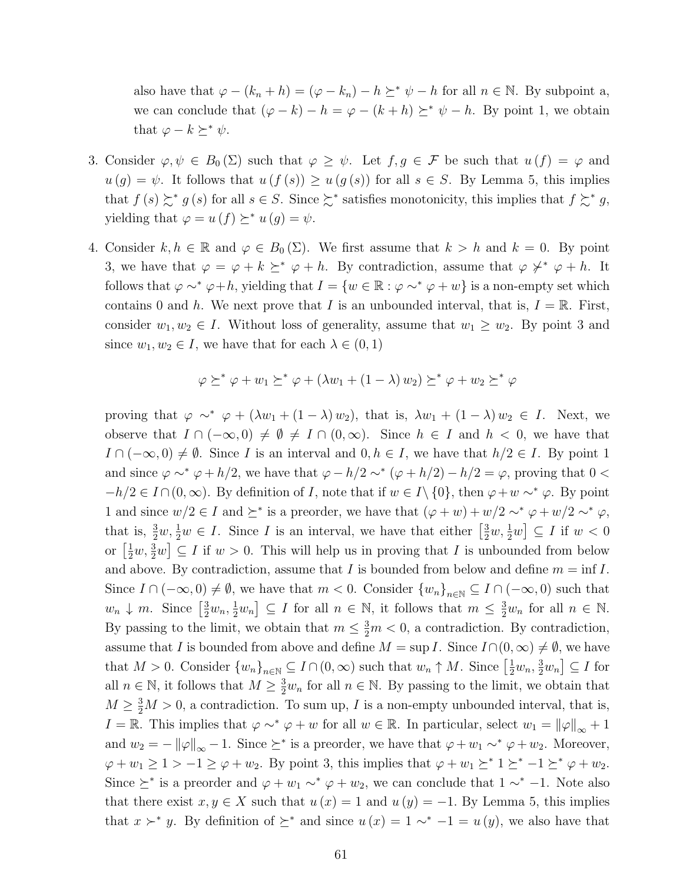also have that  $\varphi - (k_n + h) = (\varphi - k_n) - h \succeq^* \psi - h$  for all  $n \in \mathbb{N}$ . By subpoint a, we can conclude that  $(\varphi - k) - h = \varphi - (k + h) \succeq^* \psi - h$ . By point 1, we obtain that  $\varphi - k \succeq^* \psi$ .

- 3. Consider  $\varphi, \psi \in B_0(\Sigma)$  such that  $\varphi \geq \psi$ . Let  $f, g \in \mathcal{F}$  be such that  $u(f) = \varphi$  and  $u(g) = \psi$ . It follows that  $u(f(s)) \geq u(g(s))$  for all  $s \in S$ . By Lemma 5, this implies that  $f(s) \succsim^* g(s)$  for all  $s \in S$ . Since  $\succsim^*$  satisfies monotonicity, this implies that  $f \succsim^* g$ , yielding that  $\varphi = u(f) \succeq^* u(g) = \psi$ .
- 4. Consider  $k, h \in \mathbb{R}$  and  $\varphi \in B_0(\Sigma)$ . We first assume that  $k > h$  and  $k = 0$ . By point 3, we have that  $\varphi = \varphi + k \succeq^* \varphi + h$ . By contradiction, assume that  $\varphi \not\prec^* \varphi + h$ . It follows that  $\varphi \sim^* \varphi + h$ , yielding that  $I = \{w \in \mathbb{R} : \varphi \sim^* \varphi + w\}$  is a non-empty set which contains 0 and h. We next prove that I is an unbounded interval, that is,  $I = \mathbb{R}$ . First, consider  $w_1, w_2 \in I$ . Without loss of generality, assume that  $w_1 \geq w_2$ . By point 3 and since  $w_1, w_2 \in I$ , we have that for each  $\lambda \in (0, 1)$

$$
\varphi \succeq^* \varphi + w_1 \succeq^* \varphi + (\lambda w_1 + (1 - \lambda) w_2) \succeq^* \varphi + w_2 \succeq^* \varphi
$$

proving that  $\varphi \sim^* \varphi + (\lambda w_1 + (1 - \lambda) w_2)$ , that is,  $\lambda w_1 + (1 - \lambda) w_2 \in I$ . Next, we observe that  $I \cap (-\infty,0) \neq \emptyset \neq I \cap (0,\infty)$ . Since  $h \in I$  and  $h < 0$ , we have that  $I \cap (-\infty, 0) \neq \emptyset$ . Since I is an interval and  $0, h \in I$ , we have that  $h/2 \in I$ . By point 1 and since  $\varphi \sim^* \varphi + h/2$ , we have that  $\varphi - h/2 \sim^* (\varphi + h/2) - h/2 = \varphi$ , proving that  $0 <$  $-h/2 \in I \cap (0,\infty)$ . By definition of I, note that if  $w \in I \setminus \{0\}$ , then  $\varphi + w \sim^* \varphi$ . By point 1 and since  $w/2 \in I$  and  $\succeq^*$  is a preorder, we have that  $(\varphi + w) + w/2 \sim^* \varphi + w/2 \sim^* \varphi$ , that is,  $\frac{3}{2}w, \frac{1}{2}w \in I$ . Since I is an interval, we have that either  $\left[\frac{3}{2}w, \frac{1}{2}w\right] \subseteq I$  if  $w < 0$ or  $\left[\frac{1}{2}w, \frac{3}{2}w\right] \subseteq I$  if  $w > 0$ . This will help us in proving that I is unbounded from below and above. By contradiction, assume that I is bounded from below and define  $m = \inf I$ . Since  $I \cap (-\infty,0) \neq \emptyset$ , we have that  $m < 0$ . Consider  $\{w_n\}_{n \in \mathbb{N}} \subseteq I \cap (-\infty,0)$  such that  $w_n \downarrow m$ . Since  $\left[\frac{3}{2}w_n, \frac{1}{2}w_n\right] \subseteq I$  for all  $n \in \mathbb{N}$ , it follows that  $m \leq \frac{3}{2}w_n$  for all  $n \in \mathbb{N}$ . By passing to the limit, we obtain that  $m \leq \frac{3}{2}m < 0$ , a contradiction. By contradiction, assume that I is bounded from above and define  $M = \sup I$ . Since  $I \cap (0, \infty) \neq \emptyset$ , we have that  $M > 0$ . Consider  $\{w_n\}_{n \in \mathbb{N}} \subseteq I \cap (0, \infty)$  such that  $w_n \uparrow M$ . Since  $\left[\frac{1}{2}w_n, \frac{3}{2}w_n\right] \subseteq I$  for all  $n \in \mathbb{N}$ , it follows that  $M \geq \frac{3}{2}w_n$  for all  $n \in \mathbb{N}$ . By passing to the limit, we obtain that  $M \geq \frac{3}{2}M > 0$ , a contradiction. To sum up, I is a non-empty unbounded interval, that is, I = R. This implies that  $\varphi \sim^* \varphi + w$  for all  $w \in \mathbb{R}$ . In particular, select  $w_1 = ||\varphi||_{\infty} + 1$ and  $w_2 = -\|\varphi\|_{\infty} - 1$ . Since  $\succeq^*$  is a preorder, we have that  $\varphi + w_1 \sim^* \varphi + w_2$ . Moreover,  $\varphi + w_1 \geq 1 > -1 \geq \varphi + w_2$ . By point 3, this implies that  $\varphi + w_1 \geq^* 1 \geq^* -1 \geq^* \varphi + w_2$ . Since  $\succeq^*$  is a preorder and  $\varphi + w_1 \sim^* \varphi + w_2$ , we can conclude that  $1 \sim^* -1$ . Note also that there exist  $x, y \in X$  such that  $u(x) = 1$  and  $u(y) = -1$ . By Lemma 5, this implies that  $x \succ^* y$ . By definition of  $\succeq^*$  and since  $u(x) = 1 \sim^* -1 = u(y)$ , we also have that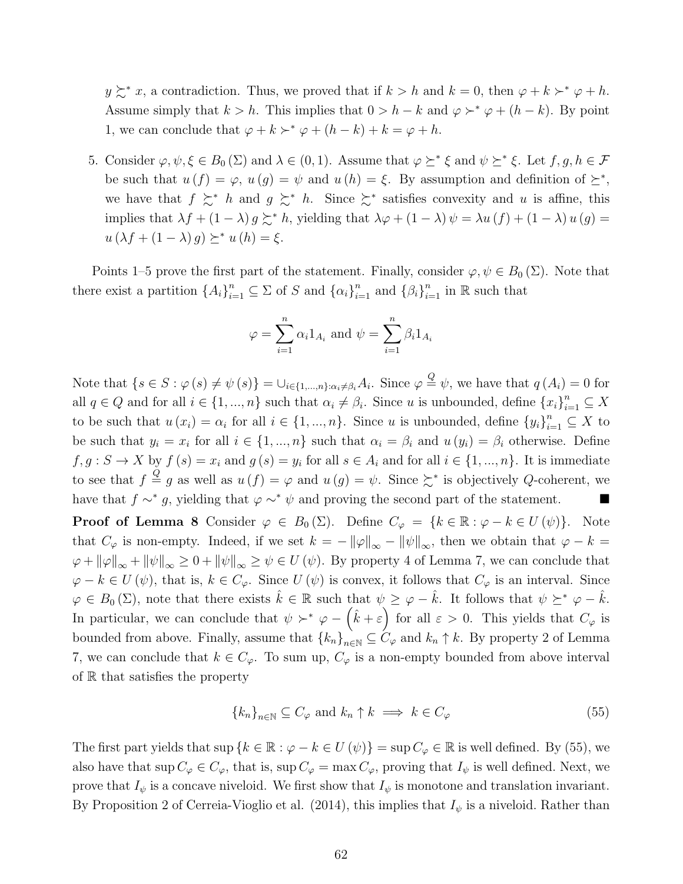$y \succsim^* x$ , a contradiction. Thus, we proved that if  $k > h$  and  $k = 0$ , then  $\varphi + k \succ^* \varphi + h$ . Assume simply that  $k > h$ . This implies that  $0 > h - k$  and  $\varphi \succ^* \varphi + (h - k)$ . By point 1, we can conclude that  $\varphi + k \succ^* \varphi + (h - k) + k = \varphi + h$ .

5. Consider  $\varphi, \psi, \xi \in B_0(\Sigma)$  and  $\lambda \in (0, 1)$ . Assume that  $\varphi \succeq^* \xi$  and  $\psi \succeq^* \xi$ . Let  $f, g, h \in \mathcal{F}$ be such that  $u(f) = \varphi$ ,  $u(g) = \psi$  and  $u(h) = \xi$ . By assumption and definition of  $\succeq^*$ , we have that  $f \succeq^* h$  and  $g \succeq^* h$ . Since  $\succeq^*$  satisfies convexity and u is affine, this implies that  $\lambda f + (1 - \lambda) g \succsim^* h$ , yielding that  $\lambda \varphi + (1 - \lambda) \psi = \lambda u(f) + (1 - \lambda) u(g) =$  $u(\lambda f + (1 - \lambda) g) \succeq^* u(h) = \xi.$ 

Points 1–5 prove the first part of the statement. Finally, consider  $\varphi, \psi \in B_0(\Sigma)$ . Note that there exist a partition  $\{A_i\}_{i=1}^n \subseteq \Sigma$  of S and  $\{\alpha_i\}_{i=1}^n$  and  $\{\beta_i\}_{i=1}^n$  in R such that

$$
\varphi = \sum_{i=1}^{n} \alpha_i 1_{A_i} \text{ and } \psi = \sum_{i=1}^{n} \beta_i 1_{A_i}
$$

Note that  $\{s \in S : \varphi(s) \neq \psi(s)\} = \bigcup_{i \in \{1, ..., n\}: \alpha_i \neq \beta_i} A_i$ . Since  $\varphi \stackrel{Q}{=} \psi$ , we have that  $q(A_i) = 0$  for all  $q \in Q$  and for all  $i \in \{1, ..., n\}$  such that  $\alpha_i \neq \beta_i$ . Since u is unbounded, define  $\{x_i\}_{i=1}^n \subseteq X$ to be such that  $u(x_i) = \alpha_i$  for all  $i \in \{1, ..., n\}$ . Since u is unbounded, define  $\{y_i\}_{i=1}^n \subseteq X$  to be such that  $y_i = x_i$  for all  $i \in \{1, ..., n\}$  such that  $\alpha_i = \beta_i$  and  $u(y_i) = \beta_i$  otherwise. Define  $f, g: S \to X$  by  $f(s) = x_i$  and  $g(s) = y_i$  for all  $s \in A_i$  and for all  $i \in \{1, ..., n\}$ . It is immediate to see that  $f \stackrel{Q}{=} g$  as well as  $u(f) = \varphi$  and  $u(g) = \psi$ . Since  $\succsim^*$  is objectively Q-coherent, we have that  $f \sim^* g$ , yielding that  $\varphi \sim^* \psi$  and proving the second part of the statement.

**Proof of Lemma 8** Consider  $\varphi \in B_0(\Sigma)$ . Define  $C_{\varphi} = \{k \in \mathbb{R} : \varphi - k \in U(\psi)\}.$  Note that  $C_{\varphi}$  is non-empty. Indeed, if we set  $k = -||\varphi||_{\infty} - ||\psi||_{\infty}$ , then we obtain that  $\varphi - k =$  $\|\varphi + \|\varphi\|_{\infty} + \|\psi\|_{\infty} \geq 0 + \|\psi\|_{\infty} \geq \psi \in U(\psi)$ . By property 4 of Lemma 7, we can conclude that  $\varphi - k \in U(\psi)$ , that is,  $k \in C_{\varphi}$ . Since  $U(\psi)$  is convex, it follows that  $C_{\varphi}$  is an interval. Since  $\varphi \in B_0(\Sigma)$ , note that there exists  $\hat{k} \in \mathbb{R}$  such that  $\psi \geq \varphi - \hat{k}$ . It follows that  $\psi \geq^* \varphi - \hat{k}$ . In particular, we can conclude that  $\psi \succ^* \varphi - (\hat{k} + \varepsilon)$  for all  $\varepsilon > 0$ . This yields that  $C_{\varphi}$  is bounded from above. Finally, assume that  ${k_n}_{n\in\mathbb{N}} \subseteq C_\varphi$  and  $k_n \uparrow k$ . By property 2 of Lemma 7, we can conclude that  $k \in C_{\varphi}$ . To sum up,  $C_{\varphi}$  is a non-empty bounded from above interval of R that satisfies the property

$$
\{k_n\}_{n\in\mathbb{N}} \subseteq C_{\varphi} \text{ and } k_n \uparrow k \implies k \in C_{\varphi} \tag{55}
$$

The first part yields that  $\sup\{k \in \mathbb{R} : \varphi - k \in U(\psi)\} = \sup C_{\varphi} \in \mathbb{R}$  is well defined. By (55), we also have that  $\sup C_{\varphi} \in C_{\varphi}$ , that is,  $\sup C_{\varphi} = \max C_{\varphi}$ , proving that  $I_{\psi}$  is well defined. Next, we prove that  $I_{\psi}$  is a concave niveloid. We first show that  $I_{\psi}$  is monotone and translation invariant. By Proposition 2 of Cerreia-Vioglio et al. (2014), this implies that  $I_{\psi}$  is a niveloid. Rather than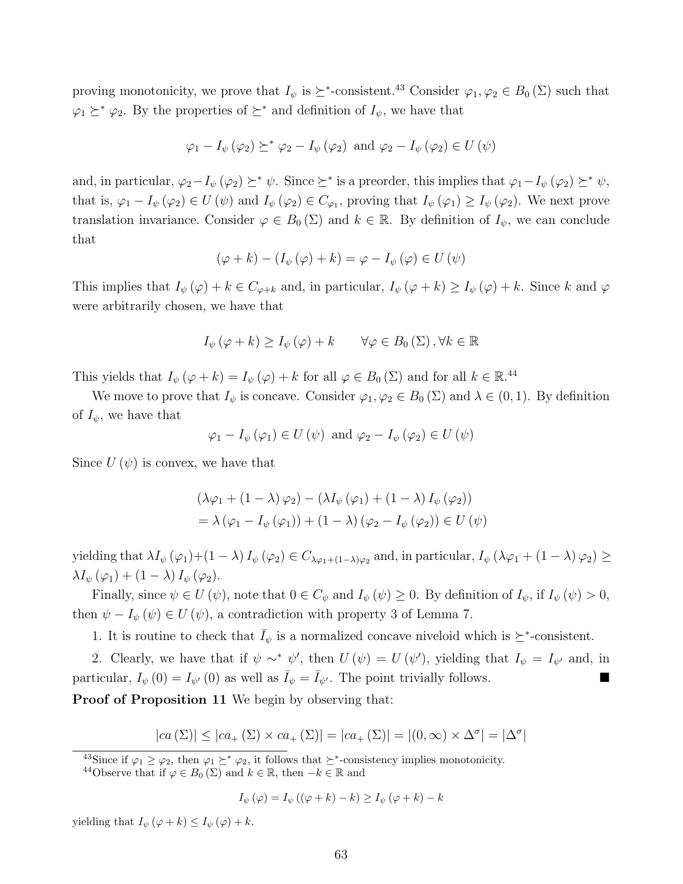proving monotonicity, we prove that  $I_{\psi}$  is  $\succeq^*$ -consistent.<sup>43</sup> Consider  $\varphi_1, \varphi_2 \in B_0(\Sigma)$  such that  $\varphi_1 \succeq^* \varphi_2$ . By the properties of  $\succeq^*$  and definition of  $I_{\psi}$ , we have that

$$
\varphi_1 - I_{\psi}(\varphi_2) \succeq^* \varphi_2 - I_{\psi}(\varphi_2)
$$
 and  $\varphi_2 - I_{\psi}(\varphi_2) \in U(\psi)$ 

and, in particular,  $\varphi_2 - I_{\psi}(\varphi_2) \succeq^* \psi$ . Since  $\succeq^*$  is a preorder, this implies that  $\varphi_1 - I_{\psi}(\varphi_2) \succeq^* \psi$ , that is,  $\varphi_1 - I_{\psi}(\varphi_2) \in U(\psi)$  and  $I_{\psi}(\varphi_2) \in C_{\varphi_1}$ , proving that  $I_{\psi}(\varphi_1) \geq I_{\psi}(\varphi_2)$ . We next prove translation invariance. Consider  $\varphi \in B_0(\Sigma)$  and  $k \in \mathbb{R}$ . By definition of  $I_{\psi}$ , we can conclude that

$$
(\varphi + k) - (I_{\psi}(\varphi) + k) = \varphi - I_{\psi}(\varphi) \in U(\psi)
$$

This implies that  $I_{\psi}(\varphi) + k \in C_{\varphi+k}$  and, in particular,  $I_{\psi}(\varphi + k) \geq I_{\psi}(\varphi) + k$ . Since k and  $\varphi$ were arbitrarily chosen, we have that

$$
I_{\psi}(\varphi + k) \ge I_{\psi}(\varphi) + k \qquad \forall \varphi \in B_0(\Sigma), \forall k \in \mathbb{R}
$$

This yields that  $I_{\psi}(\varphi + k) = I_{\psi}(\varphi) + k$  for all  $\varphi \in B_0(\Sigma)$  and for all  $k \in \mathbb{R}^{44}$ .

We move to prove that  $I_{\psi}$  is concave. Consider  $\varphi_1, \varphi_2 \in B_0(\Sigma)$  and  $\lambda \in (0,1)$ . By definition of  $I_{\psi}$ , we have that

$$
\varphi_1 - I_{\psi}(\varphi_1) \in U(\psi)
$$
 and  $\varphi_2 - I_{\psi}(\varphi_2) \in U(\psi)$ 

Since  $U(\psi)$  is convex, we have that

$$
(\lambda \varphi_1 + (1 - \lambda) \varphi_2) - (\lambda I_{\psi}(\varphi_1) + (1 - \lambda) I_{\psi}(\varphi_2))
$$
  
=  $\lambda (\varphi_1 - I_{\psi}(\varphi_1)) + (1 - \lambda) (\varphi_2 - I_{\psi}(\varphi_2)) \in U(\psi)$ 

yielding that  $\lambda I_{\psi}(\varphi_1)+(1-\lambda) I_{\psi}(\varphi_2) \in C_{\lambda\varphi_1+(1-\lambda)\varphi_2}$  and, in particular,  $I_{\psi}(\lambda\varphi_1+(1-\lambda)\varphi_2) \ge$  $\lambda I_{\psi}(\varphi_1) + (1-\lambda) I_{\psi}(\varphi_2).$ 

Finally, since  $\psi \in U(\psi)$ , note that  $0 \in C_{\psi}$  and  $I_{\psi}(\psi) \geq 0$ . By definition of  $I_{\psi}$ , if  $I_{\psi}(\psi) > 0$ , then  $\psi - I_{\psi}(\psi) \in U(\psi)$ , a contradiction with property 3 of Lemma 7.

1. It is routine to check that  $\bar{I}_{\psi}$  is a normalized concave niveloid which is  $\succeq^*$ -consistent.

2. Clearly, we have that if  $\psi \sim^* \psi'$ , then  $U(\psi) = U(\psi')$ , yielding that  $I_{\psi} = I_{\psi'}$  and, in particular,  $I_{\psi}(0) = I_{\psi'}(0)$  as well as  $\overline{I}_{\psi} = \overline{I}_{\psi'}$ . The point trivially follows. Proof of Proposition 11 We begin by observing that:

$$
|ca(\Sigma)| \le |ca_+(\Sigma) \times ca_+(\Sigma)| = |ca_+(\Sigma)| = |(0, \infty) \times \Delta^{\sigma}| = |\Delta^{\sigma}|
$$

<sup>43</sup>Since if  $\varphi_1 \ge \varphi_2$ , then  $\varphi_1 \succeq^* \varphi_2$ , it follows that  $\succeq^*$ -consistency implies monotonicity.

<sup>44</sup>Observe that if  $\varphi \in B_0(\Sigma)$  and  $k \in \mathbb{R}$ , then  $-k \in \mathbb{R}$  and

$$
I_{\psi}(\varphi) = I_{\psi}((\varphi + k) - k) \ge I_{\psi}(\varphi + k) - k
$$

yielding that  $I_{\psi}(\varphi + k) \leq I_{\psi}(\varphi) + k$ .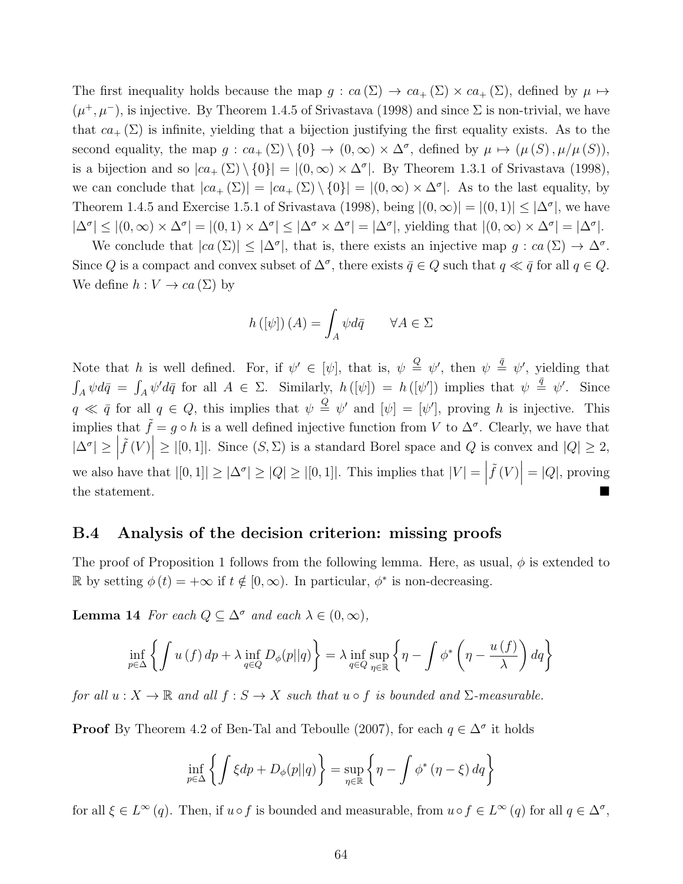The first inequality holds because the map  $g: ca(\Sigma) \to ca_+(\Sigma) \times ca_+(\Sigma)$ , defined by  $\mu \mapsto$  $(\mu^+, \mu^-)$ , is injective. By Theorem 1.4.5 of Srivastava (1998) and since  $\Sigma$  is non-trivial, we have that  $ca_+(\Sigma)$  is infinite, yielding that a bijection justifying the first equality exists. As to the second equality, the map  $g: ca_+(\Sigma) \setminus \{0\} \to (0,\infty) \times \Delta^{\sigma}$ , defined by  $\mu \mapsto (\mu(S), \mu/\mu(S)),$ is a bijection and so  $|ca_+(\Sigma)\setminus\{0\}| = |(0,\infty)\times\Delta^{\sigma}|$ . By Theorem 1.3.1 of Srivastava (1998), we can conclude that  $|ca_+(\Sigma)| = |ca_+(\Sigma) \setminus \{0\}| = |(0,\infty) \times \Delta^{\sigma}|$ . As to the last equality, by Theorem 1.4.5 and Exercise 1.5.1 of Srivastava (1998), being  $|(0, \infty)| = |(0, 1)| \leq |\Delta^{\sigma}|$ , we have  $|\Delta^{\sigma}| \leq |(0,\infty) \times \Delta^{\sigma}| = |(0,1) \times \Delta^{\sigma}| \leq |\Delta^{\sigma} \times \Delta^{\sigma}| = |\Delta^{\sigma}|$ , yielding that  $|(0,\infty) \times \Delta^{\sigma}| = |\Delta^{\sigma}|$ .

We conclude that  $|ca(\Sigma)| \leq |\Delta^{\sigma}|$ , that is, there exists an injective map  $g:ca(\Sigma) \to \Delta^{\sigma}$ . Since Q is a compact and convex subset of  $\Delta^{\sigma}$ , there exists  $\bar{q} \in Q$  such that  $q \ll \bar{q}$  for all  $q \in Q$ . We define  $h: V \to ca(\Sigma)$  by

$$
h([\psi])(A) = \int_A \psi d\bar{q} \qquad \forall A \in \Sigma
$$

Note that h is well defined. For, if  $\psi' \in [\psi]$ , that is,  $\psi \stackrel{\mathcal{Q}}{=} \psi'$ , then  $\psi \stackrel{\bar{q}}{=} \psi'$ , yielding that  $\int_A \psi d\bar{q} = \int_A \psi' d\bar{q}$  for all  $A \in \Sigma$ . Similarly,  $h([\psi]) = h([\psi'])$  implies that  $\psi \stackrel{\bar{q}}{=} \psi'$ . Since  $q \ll \bar{q}$  for all  $q \in Q$ , this implies that  $\psi \stackrel{Q}{=} \psi'$  and  $[\psi] = [\psi']$ , proving h is injective. This implies that  $\tilde{f} = g \circ h$  is a well defined injective function from V to  $\Delta^{\sigma}$ . Clearly, we have that  $|\Delta^{\sigma}| \geq |$  $\widetilde{f}(V)$   $\geq$   $|[0,1]|$ . Since  $(S, \Sigma)$  is a standard Borel space and Q is convex and  $|Q| \geq 2$ , we also have that  $|[0,1]| \geq |\Delta^{\sigma}| \geq |Q| \geq |[0,1]|$ . This implies that  $|V| = |Q|$  $\tilde{f}(V)$  = |Q|, proving  $\sum_{i=1}^{n}$  the statement.

### B.4 Analysis of the decision criterion: missing proofs

The proof of Proposition 1 follows from the following lemma. Here, as usual,  $\phi$  is extended to R by setting  $\phi(t) = +\infty$  if  $t \notin [0, \infty)$ . In particular,  $\phi^*$  is non-decreasing.

**Lemma 14** For each  $Q \subseteq \Delta^{\sigma}$  and each  $\lambda \in (0, \infty)$ ,

$$
\inf_{p \in \Delta} \left\{ \int u(f) \, dp + \lambda \inf_{q \in Q} D_{\phi}(p||q) \right\} = \lambda \inf_{q \in Q} \sup_{\eta \in \mathbb{R}} \left\{ \eta - \int \phi^* \left( \eta - \frac{u(f)}{\lambda} \right) dq \right\}
$$

for all  $u: X \to \mathbb{R}$  and all  $f: S \to X$  such that  $u \circ f$  is bounded and  $\Sigma$ -measurable.

**Proof** By Theorem 4.2 of Ben-Tal and Teboulle (2007), for each  $q \in \Delta^{\sigma}$  it holds

$$
\inf_{p \in \Delta} \left\{ \int \xi dp + D_{\phi}(p||q) \right\} = \sup_{\eta \in \mathbb{R}} \left\{ \eta - \int \phi^* \left( \eta - \xi \right) dq \right\}
$$

for all  $\xi \in L^{\infty}(q)$ . Then, if  $u \circ f$  is bounded and measurable, from  $u \circ f \in L^{\infty}(q)$  for all  $q \in \Delta^{\sigma}$ ,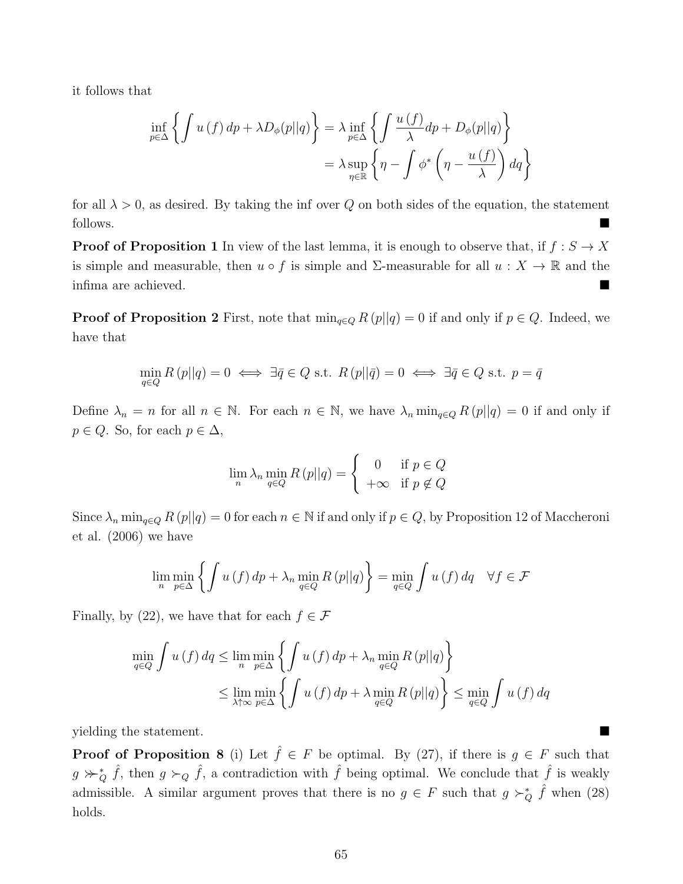it follows that

$$
\inf_{p \in \Delta} \left\{ \int u(f) \, dp + \lambda D_{\phi}(p||q) \right\} = \lambda \inf_{p \in \Delta} \left\{ \int \frac{u(f)}{\lambda} dp + D_{\phi}(p||q) \right\}
$$
\n
$$
= \lambda \sup_{\eta \in \mathbb{R}} \left\{ \eta - \int \phi^* \left( \eta - \frac{u(f)}{\lambda} \right) dq \right\}
$$

for all  $\lambda > 0$ , as desired. By taking the inf over Q on both sides of the equation, the statement follows.

**Proof of Proposition 1** In view of the last lemma, it is enough to observe that, if  $f : S \to X$ is simple and measurable, then  $u \circ f$  is simple and  $\Sigma$ -measurable for all  $u : X \to \mathbb{R}$  and the infima are achieved.

**Proof of Proposition 2** First, note that  $\min_{q \in Q} R(p||q) = 0$  if and only if  $p \in Q$ . Indeed, we have that

$$
\min_{q \in Q} R(p||q) = 0 \iff \exists \bar{q} \in Q \text{ s.t. } R(p||\bar{q}) = 0 \iff \exists \bar{q} \in Q \text{ s.t. } p = \bar{q}
$$

Define  $\lambda_n = n$  for all  $n \in \mathbb{N}$ . For each  $n \in \mathbb{N}$ , we have  $\lambda_n \min_{q \in Q} R(p||q) = 0$  if and only if  $p \in Q$ . So, for each  $p \in \Delta$ ,

$$
\lim_{n} \lambda_{n} \min_{q \in Q} R(p||q) = \begin{cases} 0 & \text{if } p \in Q \\ +\infty & \text{if } p \notin Q \end{cases}
$$

Since  $\lambda_n$  min<sub>q∈Q</sub>  $R(p||q) = 0$  for each  $n \in \mathbb{N}$  if and only if  $p \in Q$ , by Proposition 12 of Maccheroni et al. (2006) we have

$$
\lim_{n} \min_{p \in \Delta} \left\{ \int u(f) \, dp + \lambda_n \min_{q \in Q} R(p||q) \right\} = \min_{q \in Q} \int u(f) \, dq \quad \forall f \in \mathcal{F}
$$

Finally, by (22), we have that for each  $f \in \mathcal{F}$ 

$$
\min_{q \in Q} \int u(f) \, dq \le \lim_{n} \min_{p \in \Delta} \left\{ \int u(f) \, dp + \lambda_n \min_{q \in Q} R(p||q) \right\}
$$
\n
$$
\le \lim_{\lambda \uparrow \infty} \min_{p \in \Delta} \left\{ \int u(f) \, dp + \lambda \min_{q \in Q} R(p||q) \right\} \le \min_{q \in Q} \int u(f) \, dq
$$

yielding the statement.

**Proof of Proposition 8** (i) Let  $\hat{f} \in F$  be optimal. By (27), if there is  $g \in F$  such that  $g \nsucc_Q \hat{f}$ , then  $g \succ_Q \hat{f}$ , a contradiction with  $\hat{f}$  being optimal. We conclude that  $\hat{f}$  is weakly admissible. A similar argument proves that there is no  $g \in F$  such that  $g \succ_Q^* \hat{f}$  when (28) holds.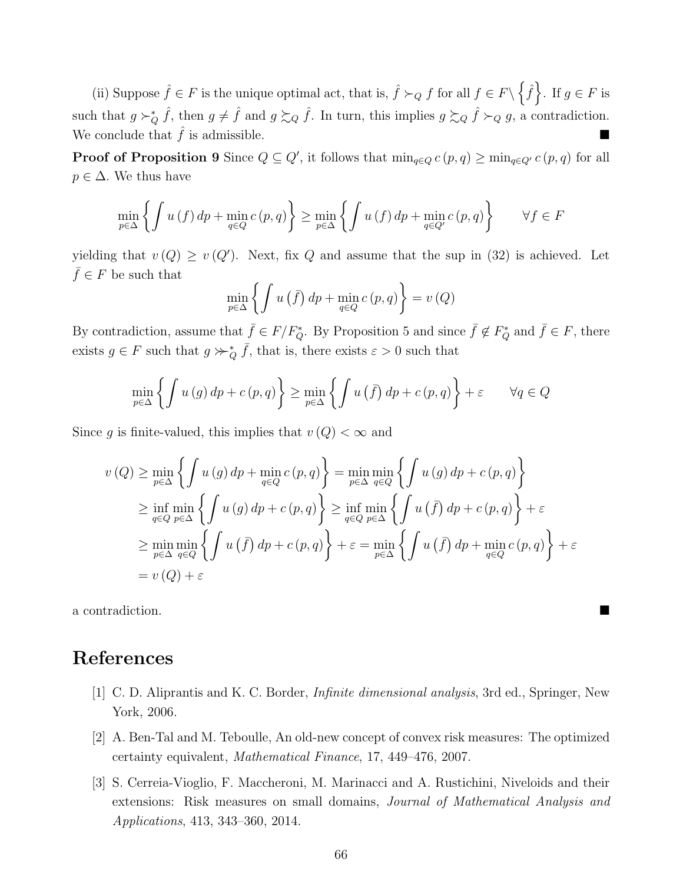(ii) Suppose  $\hat{f} \in F$  is the unique optimal act, that is,  $\hat{f} \succ_Q f$  for all  $f \in F \setminus \{\hat{f}\}\$ . If  $g \in F$  is such that  $g \succ_Q^* \hat{f}$ , then  $g \neq \hat{f}$  and  $g \succsim_Q \hat{f}$ . In turn, this implies  $g \succsim_Q \hat{f} \succ_Q g$ , a contradiction. We conclude that  $\hat{f}$  is admissible.

**Proof of Proposition 9** Since  $Q \subseteq Q'$ , it follows that  $\min_{q \in Q} c(p,q) \geq \min_{q \in Q'} c(p,q)$  for all  $p \in \Delta$ . We thus have

$$
\min_{p \in \Delta} \left\{ \int u(f) \, dp + \min_{q \in Q} c(p, q) \right\} \ge \min_{p \in \Delta} \left\{ \int u(f) \, dp + \min_{q \in Q'} c(p, q) \right\} \qquad \forall f \in F
$$

yielding that  $v(Q) \geq v(Q')$ . Next, fix Q and assume that the sup in (32) is achieved. Let  $\bar{f} \in F$  be such that

$$
\min_{p \in \Delta} \left\{ \int u(\bar{f}) \, dp + \min_{q \in Q} c(p, q) \right\} = v(Q)
$$

By contradiction, assume that  $\bar{f} \in F/F_Q^*$ . By Proposition 5 and since  $\bar{f} \notin F_Q^*$  and  $\bar{f} \in F$ , there exists  $g \in F$  such that  $g \succcurlyeq^*_{Q} \bar{f}$ , that is, there exists  $\varepsilon > 0$  such that

$$
\min_{p \in \Delta} \left\{ \int u(g) \, dp + c(p, q) \right\} \ge \min_{p \in \Delta} \left\{ \int u(\bar{f}) \, dp + c(p, q) \right\} + \varepsilon \qquad \forall q \in Q
$$

Since g is finite-valued, this implies that  $v(Q) < \infty$  and

$$
v(Q) \ge \min_{p \in \Delta} \left\{ \int u(g) dp + \min_{q \in Q} c(p, q) \right\} = \min_{p \in \Delta} \min_{q \in Q} \left\{ \int u(g) dp + c(p, q) \right\}
$$
  
\n
$$
\ge \inf_{q \in Q} \min_{p \in \Delta} \left\{ \int u(g) dp + c(p, q) \right\} \ge \inf_{q \in Q} \min_{p \in \Delta} \left\{ \int u(\overline{f}) dp + c(p, q) \right\} + \varepsilon
$$
  
\n
$$
\ge \min_{p \in \Delta} \min_{q \in Q} \left\{ \int u(\overline{f}) dp + c(p, q) \right\} + \varepsilon = \min_{p \in \Delta} \left\{ \int u(\overline{f}) dp + \min_{q \in Q} c(p, q) \right\} + \varepsilon
$$
  
\n
$$
= v(Q) + \varepsilon
$$

a contradiction.

### References

- [1] C. D. Aliprantis and K. C. Border, Infinite dimensional analysis, 3rd ed., Springer, New York, 2006.
- [2] A. Ben-Tal and M. Teboulle, An old-new concept of convex risk measures: The optimized certainty equivalent, Mathematical Finance, 17, 449–476, 2007.
- [3] S. Cerreia-Vioglio, F. Maccheroni, M. Marinacci and A. Rustichini, Niveloids and their extensions: Risk measures on small domains, Journal of Mathematical Analysis and Applications, 413, 343–360, 2014.